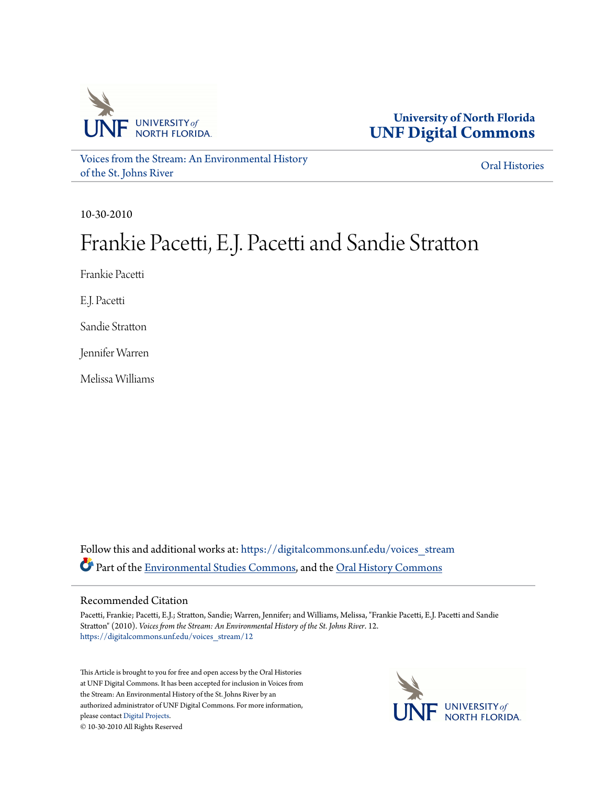

**University of North Florida [UNF Digital Commons](https://digitalcommons.unf.edu?utm_source=digitalcommons.unf.edu%2Fvoices_stream%2F12&utm_medium=PDF&utm_campaign=PDFCoverPages)**

[Voices from the Stream: An Environmental History](https://digitalcommons.unf.edu/voices_stream?utm_source=digitalcommons.unf.edu%2Fvoices_stream%2F12&utm_medium=PDF&utm_campaign=PDFCoverPages) [of the St. Johns River](https://digitalcommons.unf.edu/voices_stream?utm_source=digitalcommons.unf.edu%2Fvoices_stream%2F12&utm_medium=PDF&utm_campaign=PDFCoverPages)

[Oral Histories](https://digitalcommons.unf.edu/oral_histories?utm_source=digitalcommons.unf.edu%2Fvoices_stream%2F12&utm_medium=PDF&utm_campaign=PDFCoverPages)

10-30-2010

## Frankie Pacetti, E.J. Pacetti and Sandie Stratton

Frankie Pacetti

E.J. Pacetti

Sandie Stratton

Jennifer Warren

Melissa Williams

Follow this and additional works at: [https://digitalcommons.unf.edu/voices\\_stream](https://digitalcommons.unf.edu/voices_stream?utm_source=digitalcommons.unf.edu%2Fvoices_stream%2F12&utm_medium=PDF&utm_campaign=PDFCoverPages) Part of the [Environmental Studies Commons](http://network.bepress.com/hgg/discipline/1333?utm_source=digitalcommons.unf.edu%2Fvoices_stream%2F12&utm_medium=PDF&utm_campaign=PDFCoverPages), and the [Oral History Commons](http://network.bepress.com/hgg/discipline/1195?utm_source=digitalcommons.unf.edu%2Fvoices_stream%2F12&utm_medium=PDF&utm_campaign=PDFCoverPages)

## Recommended Citation

Pacetti, Frankie; Pacetti, E.J.; Stratton, Sandie; Warren, Jennifer; and Williams, Melissa, "Frankie Pacetti, E.J. Pacetti and Sandie Stratton" (2010). *Voices from the Stream: An Environmental History of the St. Johns River*. 12. [https://digitalcommons.unf.edu/voices\\_stream/12](https://digitalcommons.unf.edu/voices_stream/12?utm_source=digitalcommons.unf.edu%2Fvoices_stream%2F12&utm_medium=PDF&utm_campaign=PDFCoverPages)

This Article is brought to you for free and open access by the Oral Histories at UNF Digital Commons. It has been accepted for inclusion in Voices from the Stream: An Environmental History of the St. Johns River by an authorized administrator of UNF Digital Commons. For more information, please contact [Digital Projects.](mailto:lib-digital@unf.edu) © 10-30-2010 All Rights Reserved

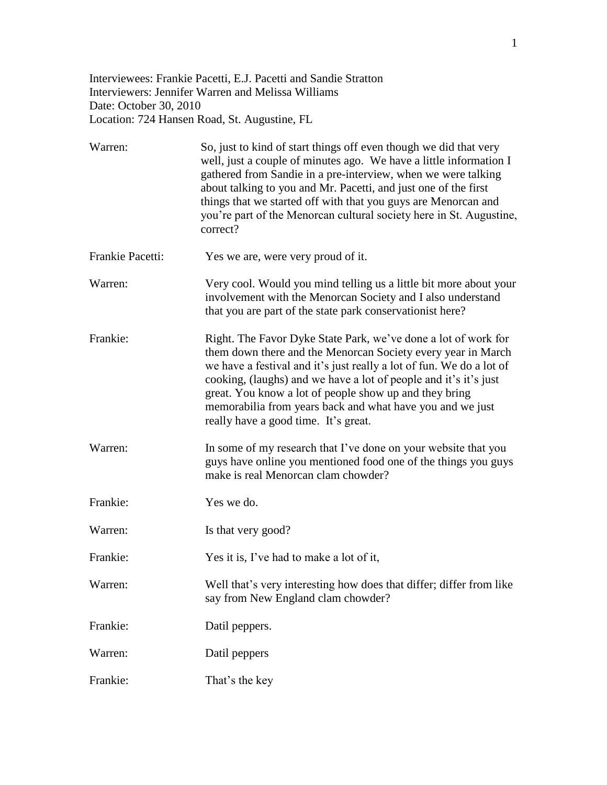Interviewees: Frankie Pacetti, E.J. Pacetti and Sandie Stratton Interviewers: Jennifer Warren and Melissa Williams Date: October 30, 2010 Location: 724 Hansen Road, St. Augustine, FL

| Warren:          | So, just to kind of start things off even though we did that very<br>well, just a couple of minutes ago. We have a little information I<br>gathered from Sandie in a pre-interview, when we were talking<br>about talking to you and Mr. Pacetti, and just one of the first<br>things that we started off with that you guys are Menorcan and<br>you're part of the Menorcan cultural society here in St. Augustine,<br>correct?          |
|------------------|-------------------------------------------------------------------------------------------------------------------------------------------------------------------------------------------------------------------------------------------------------------------------------------------------------------------------------------------------------------------------------------------------------------------------------------------|
| Frankie Pacetti: | Yes we are, were very proud of it.                                                                                                                                                                                                                                                                                                                                                                                                        |
| Warren:          | Very cool. Would you mind telling us a little bit more about your<br>involvement with the Menorcan Society and I also understand<br>that you are part of the state park conservation is there?                                                                                                                                                                                                                                            |
| Frankie:         | Right. The Favor Dyke State Park, we've done a lot of work for<br>them down there and the Menorcan Society every year in March<br>we have a festival and it's just really a lot of fun. We do a lot of<br>cooking, (laughs) and we have a lot of people and it's it's just<br>great. You know a lot of people show up and they bring<br>memorabilia from years back and what have you and we just<br>really have a good time. It's great. |
| Warren:          | In some of my research that I've done on your website that you<br>guys have online you mentioned food one of the things you guys<br>make is real Menorcan clam chowder?                                                                                                                                                                                                                                                                   |
| Frankie:         | Yes we do.                                                                                                                                                                                                                                                                                                                                                                                                                                |
| Warren:          | Is that very good?                                                                                                                                                                                                                                                                                                                                                                                                                        |
| Frankie:         | Yes it is, I've had to make a lot of it,                                                                                                                                                                                                                                                                                                                                                                                                  |
| Warren:          | Well that's very interesting how does that differ; differ from like<br>say from New England clam chowder?                                                                                                                                                                                                                                                                                                                                 |
| Frankie:         | Datil peppers.                                                                                                                                                                                                                                                                                                                                                                                                                            |
| Warren:          | Datil peppers                                                                                                                                                                                                                                                                                                                                                                                                                             |
| Frankie:         | That's the key                                                                                                                                                                                                                                                                                                                                                                                                                            |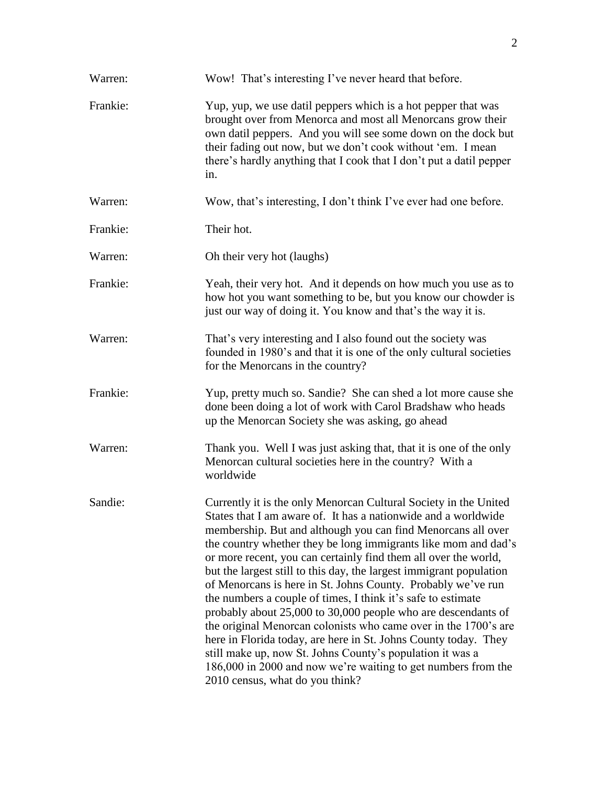| Warren:  | Wow! That's interesting I've never heard that before.                                                                                                                                                                                                                                                                                                                                                                                                                                                                                                                                                                                                                                                                                                                                                                                                                                                                  |
|----------|------------------------------------------------------------------------------------------------------------------------------------------------------------------------------------------------------------------------------------------------------------------------------------------------------------------------------------------------------------------------------------------------------------------------------------------------------------------------------------------------------------------------------------------------------------------------------------------------------------------------------------------------------------------------------------------------------------------------------------------------------------------------------------------------------------------------------------------------------------------------------------------------------------------------|
| Frankie: | Yup, yup, we use datil peppers which is a hot pepper that was<br>brought over from Menorca and most all Menorcans grow their<br>own datil peppers. And you will see some down on the dock but<br>their fading out now, but we don't cook without 'em. I mean<br>there's hardly anything that I cook that I don't put a datil pepper<br>in.                                                                                                                                                                                                                                                                                                                                                                                                                                                                                                                                                                             |
| Warren:  | Wow, that's interesting, I don't think I've ever had one before.                                                                                                                                                                                                                                                                                                                                                                                                                                                                                                                                                                                                                                                                                                                                                                                                                                                       |
| Frankie: | Their hot.                                                                                                                                                                                                                                                                                                                                                                                                                                                                                                                                                                                                                                                                                                                                                                                                                                                                                                             |
| Warren:  | Oh their very hot (laughs)                                                                                                                                                                                                                                                                                                                                                                                                                                                                                                                                                                                                                                                                                                                                                                                                                                                                                             |
| Frankie: | Yeah, their very hot. And it depends on how much you use as to<br>how hot you want something to be, but you know our chowder is<br>just our way of doing it. You know and that's the way it is.                                                                                                                                                                                                                                                                                                                                                                                                                                                                                                                                                                                                                                                                                                                        |
| Warren:  | That's very interesting and I also found out the society was<br>founded in 1980's and that it is one of the only cultural societies<br>for the Menorcans in the country?                                                                                                                                                                                                                                                                                                                                                                                                                                                                                                                                                                                                                                                                                                                                               |
| Frankie: | Yup, pretty much so. Sandie? She can shed a lot more cause she<br>done been doing a lot of work with Carol Bradshaw who heads<br>up the Menorcan Society she was asking, go ahead                                                                                                                                                                                                                                                                                                                                                                                                                                                                                                                                                                                                                                                                                                                                      |
| Warren:  | Thank you. Well I was just asking that, that it is one of the only<br>Menorcan cultural societies here in the country? With a<br>worldwide                                                                                                                                                                                                                                                                                                                                                                                                                                                                                                                                                                                                                                                                                                                                                                             |
| Sandie:  | Currently it is the only Menorcan Cultural Society in the United<br>States that I am aware of. It has a nationwide and a worldwide<br>membership. But and although you can find Menorcans all over<br>the country whether they be long immigrants like mom and dad's<br>or more recent, you can certainly find them all over the world,<br>but the largest still to this day, the largest immigrant population<br>of Menorcans is here in St. Johns County. Probably we've run<br>the numbers a couple of times, I think it's safe to estimate<br>probably about 25,000 to 30,000 people who are descendants of<br>the original Menorcan colonists who came over in the 1700's are<br>here in Florida today, are here in St. Johns County today. They<br>still make up, now St. Johns County's population it was a<br>186,000 in 2000 and now we're waiting to get numbers from the<br>2010 census, what do you think? |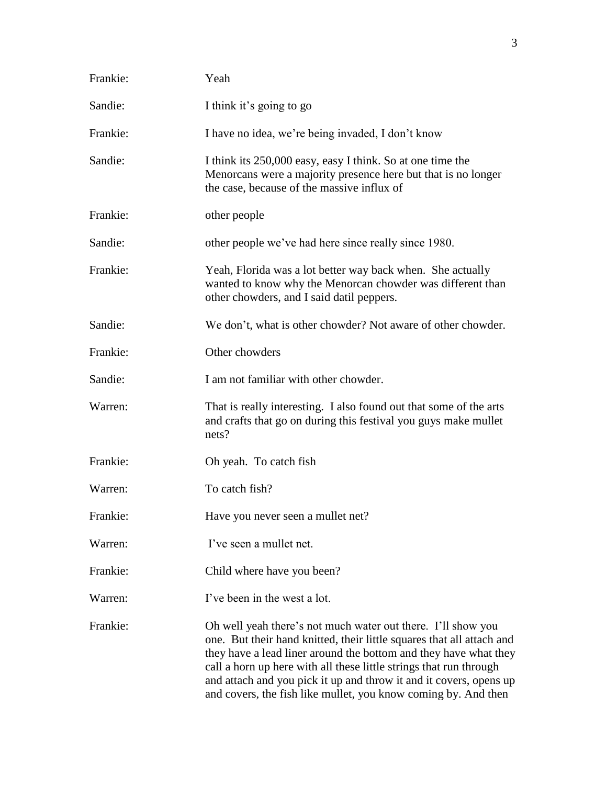| Frankie: | Yeah                                                                                                                                                                                                                                                                                                                                                                                                                    |
|----------|-------------------------------------------------------------------------------------------------------------------------------------------------------------------------------------------------------------------------------------------------------------------------------------------------------------------------------------------------------------------------------------------------------------------------|
| Sandie:  | I think it's going to go                                                                                                                                                                                                                                                                                                                                                                                                |
| Frankie: | I have no idea, we're being invaded, I don't know                                                                                                                                                                                                                                                                                                                                                                       |
| Sandie:  | I think its 250,000 easy, easy I think. So at one time the<br>Menorcans were a majority presence here but that is no longer<br>the case, because of the massive influx of                                                                                                                                                                                                                                               |
| Frankie: | other people                                                                                                                                                                                                                                                                                                                                                                                                            |
| Sandie:  | other people we've had here since really since 1980.                                                                                                                                                                                                                                                                                                                                                                    |
| Frankie: | Yeah, Florida was a lot better way back when. She actually<br>wanted to know why the Menorcan chowder was different than<br>other chowders, and I said datil peppers.                                                                                                                                                                                                                                                   |
| Sandie:  | We don't, what is other chowder? Not aware of other chowder.                                                                                                                                                                                                                                                                                                                                                            |
| Frankie: | Other chowders                                                                                                                                                                                                                                                                                                                                                                                                          |
| Sandie:  | I am not familiar with other chowder.                                                                                                                                                                                                                                                                                                                                                                                   |
| Warren:  | That is really interesting. I also found out that some of the arts<br>and crafts that go on during this festival you guys make mullet<br>nets?                                                                                                                                                                                                                                                                          |
| Frankie: | Oh yeah. To catch fish                                                                                                                                                                                                                                                                                                                                                                                                  |
| Warren:  | To catch fish?                                                                                                                                                                                                                                                                                                                                                                                                          |
| Frankie: | Have you never seen a mullet net?                                                                                                                                                                                                                                                                                                                                                                                       |
| Warren:  | I've seen a mullet net.                                                                                                                                                                                                                                                                                                                                                                                                 |
| Frankie: | Child where have you been?                                                                                                                                                                                                                                                                                                                                                                                              |
| Warren:  | I've been in the west a lot.                                                                                                                                                                                                                                                                                                                                                                                            |
| Frankie: | Oh well yeah there's not much water out there. I'll show you<br>one. But their hand knitted, their little squares that all attach and<br>they have a lead liner around the bottom and they have what they<br>call a horn up here with all these little strings that run through<br>and attach and you pick it up and throw it and it covers, opens up<br>and covers, the fish like mullet, you know coming by. And then |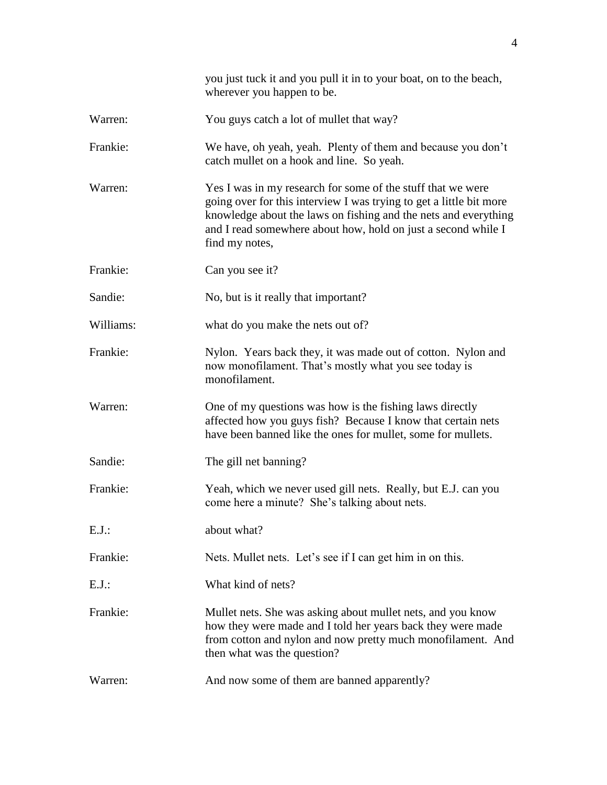|           | you just tuck it and you pull it in to your boat, on to the beach,<br>wherever you happen to be.                                                                                                                                                                                         |
|-----------|------------------------------------------------------------------------------------------------------------------------------------------------------------------------------------------------------------------------------------------------------------------------------------------|
| Warren:   | You guys catch a lot of mullet that way?                                                                                                                                                                                                                                                 |
| Frankie:  | We have, oh yeah, yeah. Plenty of them and because you don't<br>catch mullet on a hook and line. So yeah.                                                                                                                                                                                |
| Warren:   | Yes I was in my research for some of the stuff that we were<br>going over for this interview I was trying to get a little bit more<br>knowledge about the laws on fishing and the nets and everything<br>and I read somewhere about how, hold on just a second while I<br>find my notes, |
| Frankie:  | Can you see it?                                                                                                                                                                                                                                                                          |
| Sandie:   | No, but is it really that important?                                                                                                                                                                                                                                                     |
| Williams: | what do you make the nets out of?                                                                                                                                                                                                                                                        |
| Frankie:  | Nylon. Years back they, it was made out of cotton. Nylon and<br>now monofilament. That's mostly what you see today is<br>monofilament.                                                                                                                                                   |
| Warren:   | One of my questions was how is the fishing laws directly<br>affected how you guys fish? Because I know that certain nets<br>have been banned like the ones for mullet, some for mullets.                                                                                                 |
| Sandie:   | The gill net banning?                                                                                                                                                                                                                                                                    |
| Frankie:  | Yeah, which we never used gill nets. Really, but E.J. can you<br>come here a minute? She's talking about nets.                                                                                                                                                                           |
| $E.J.$ :  | about what?                                                                                                                                                                                                                                                                              |
| Frankie:  | Nets. Mullet nets. Let's see if I can get him in on this.                                                                                                                                                                                                                                |
| $E.J.$ :  | What kind of nets?                                                                                                                                                                                                                                                                       |
| Frankie:  | Mullet nets. She was asking about mullet nets, and you know<br>how they were made and I told her years back they were made<br>from cotton and nylon and now pretty much monofilament. And<br>then what was the question?                                                                 |
| Warren:   | And now some of them are banned apparently?                                                                                                                                                                                                                                              |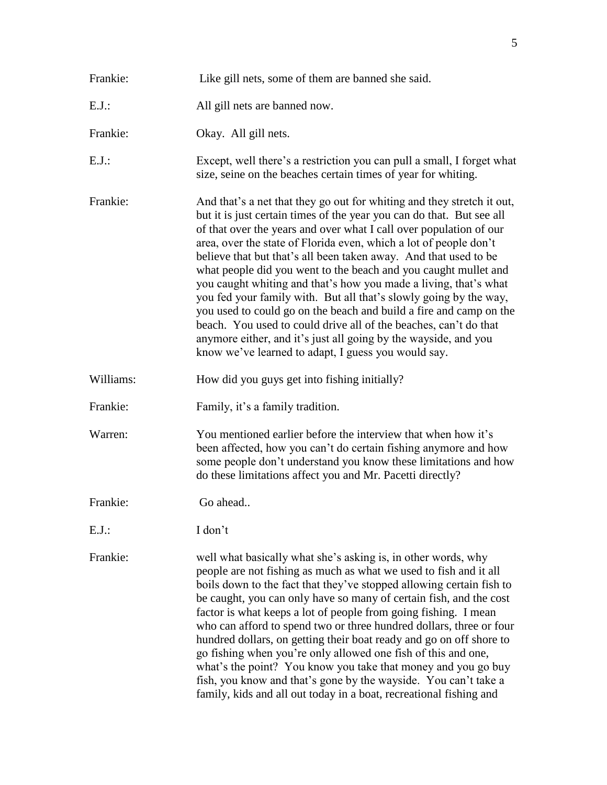| Frankie:  | Like gill nets, some of them are banned she said.                                                                                                                                                                                                                                                                                                                                                                                                                                                                                                                                                                                                                                                                                                                                                                                              |
|-----------|------------------------------------------------------------------------------------------------------------------------------------------------------------------------------------------------------------------------------------------------------------------------------------------------------------------------------------------------------------------------------------------------------------------------------------------------------------------------------------------------------------------------------------------------------------------------------------------------------------------------------------------------------------------------------------------------------------------------------------------------------------------------------------------------------------------------------------------------|
| $E.J.$ :  | All gill nets are banned now.                                                                                                                                                                                                                                                                                                                                                                                                                                                                                                                                                                                                                                                                                                                                                                                                                  |
| Frankie:  | Okay. All gill nets.                                                                                                                                                                                                                                                                                                                                                                                                                                                                                                                                                                                                                                                                                                                                                                                                                           |
| $E.J.$ :  | Except, well there's a restriction you can pull a small, I forget what<br>size, seine on the beaches certain times of year for whiting.                                                                                                                                                                                                                                                                                                                                                                                                                                                                                                                                                                                                                                                                                                        |
| Frankie:  | And that's a net that they go out for whiting and they stretch it out,<br>but it is just certain times of the year you can do that. But see all<br>of that over the years and over what I call over population of our<br>area, over the state of Florida even, which a lot of people don't<br>believe that but that's all been taken away. And that used to be<br>what people did you went to the beach and you caught mullet and<br>you caught whiting and that's how you made a living, that's what<br>you fed your family with. But all that's slowly going by the way,<br>you used to could go on the beach and build a fire and camp on the<br>beach. You used to could drive all of the beaches, can't do that<br>anymore either, and it's just all going by the wayside, and you<br>know we've learned to adapt, I guess you would say. |
| Williams: | How did you guys get into fishing initially?                                                                                                                                                                                                                                                                                                                                                                                                                                                                                                                                                                                                                                                                                                                                                                                                   |
| Frankie:  | Family, it's a family tradition.                                                                                                                                                                                                                                                                                                                                                                                                                                                                                                                                                                                                                                                                                                                                                                                                               |
| Warren:   | You mentioned earlier before the interview that when how it's<br>been affected, how you can't do certain fishing anymore and how<br>some people don't understand you know these limitations and how<br>do these limitations affect you and Mr. Pacetti directly?                                                                                                                                                                                                                                                                                                                                                                                                                                                                                                                                                                               |
| Frankie:  | Go ahead                                                                                                                                                                                                                                                                                                                                                                                                                                                                                                                                                                                                                                                                                                                                                                                                                                       |
| $E.J.$ :  | I don't                                                                                                                                                                                                                                                                                                                                                                                                                                                                                                                                                                                                                                                                                                                                                                                                                                        |
| Frankie:  | well what basically what she's asking is, in other words, why<br>people are not fishing as much as what we used to fish and it all<br>boils down to the fact that they've stopped allowing certain fish to<br>be caught, you can only have so many of certain fish, and the cost<br>factor is what keeps a lot of people from going fishing. I mean<br>who can afford to spend two or three hundred dollars, three or four<br>hundred dollars, on getting their boat ready and go on off shore to<br>go fishing when you're only allowed one fish of this and one,<br>what's the point? You know you take that money and you go buy<br>fish, you know and that's gone by the wayside. You can't take a<br>family, kids and all out today in a boat, recreational fishing and                                                                   |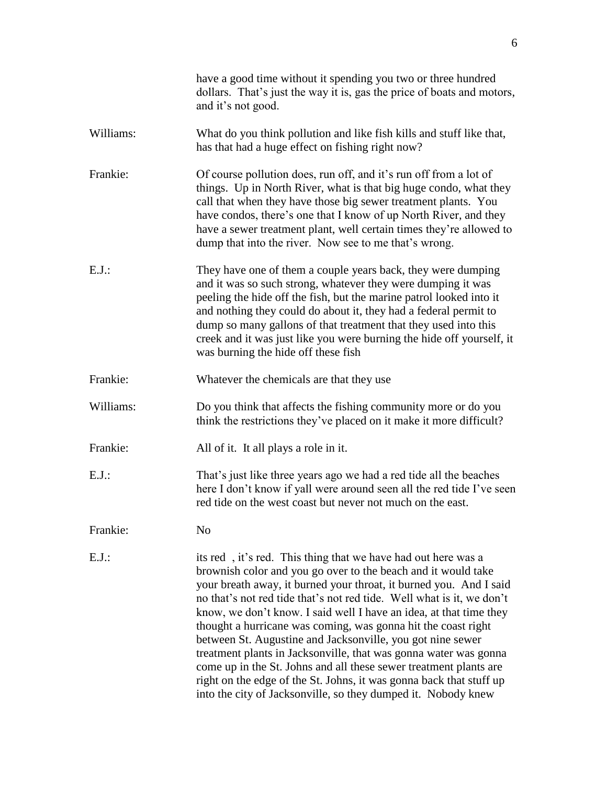|           | have a good time without it spending you two or three hundred<br>dollars. That's just the way it is, gas the price of boats and motors,<br>and it's not good.                                                                                                                                                                                                                                                                                                                                                                                                                                                                                                                                                                                                       |
|-----------|---------------------------------------------------------------------------------------------------------------------------------------------------------------------------------------------------------------------------------------------------------------------------------------------------------------------------------------------------------------------------------------------------------------------------------------------------------------------------------------------------------------------------------------------------------------------------------------------------------------------------------------------------------------------------------------------------------------------------------------------------------------------|
| Williams: | What do you think pollution and like fish kills and stuff like that,<br>has that had a huge effect on fishing right now?                                                                                                                                                                                                                                                                                                                                                                                                                                                                                                                                                                                                                                            |
| Frankie:  | Of course pollution does, run off, and it's run off from a lot of<br>things. Up in North River, what is that big huge condo, what they<br>call that when they have those big sewer treatment plants. You<br>have condos, there's one that I know of up North River, and they<br>have a sewer treatment plant, well certain times they're allowed to<br>dump that into the river. Now see to me that's wrong.                                                                                                                                                                                                                                                                                                                                                        |
| $E.J.$ :  | They have one of them a couple years back, they were dumping<br>and it was so such strong, whatever they were dumping it was<br>peeling the hide off the fish, but the marine patrol looked into it<br>and nothing they could do about it, they had a federal permit to<br>dump so many gallons of that treatment that they used into this<br>creek and it was just like you were burning the hide off yourself, it<br>was burning the hide off these fish                                                                                                                                                                                                                                                                                                          |
| Frankie:  | Whatever the chemicals are that they use                                                                                                                                                                                                                                                                                                                                                                                                                                                                                                                                                                                                                                                                                                                            |
| Williams: | Do you think that affects the fishing community more or do you<br>think the restrictions they've placed on it make it more difficult?                                                                                                                                                                                                                                                                                                                                                                                                                                                                                                                                                                                                                               |
| Frankie:  | All of it. It all plays a role in it.                                                                                                                                                                                                                                                                                                                                                                                                                                                                                                                                                                                                                                                                                                                               |
| $E.J.$ :  | That's just like three years ago we had a red tide all the beaches<br>here I don't know if yall were around seen all the red tide I've seen<br>red tide on the west coast but never not much on the east.                                                                                                                                                                                                                                                                                                                                                                                                                                                                                                                                                           |
| Frankie:  | N <sub>o</sub>                                                                                                                                                                                                                                                                                                                                                                                                                                                                                                                                                                                                                                                                                                                                                      |
| $E.J.$ :  | its red, it's red. This thing that we have had out here was a<br>brownish color and you go over to the beach and it would take<br>your breath away, it burned your throat, it burned you. And I said<br>no that's not red tide that's not red tide. Well what is it, we don't<br>know, we don't know. I said well I have an idea, at that time they<br>thought a hurricane was coming, was gonna hit the coast right<br>between St. Augustine and Jacksonville, you got nine sewer<br>treatment plants in Jacksonville, that was gonna water was gonna<br>come up in the St. Johns and all these sewer treatment plants are<br>right on the edge of the St. Johns, it was gonna back that stuff up<br>into the city of Jacksonville, so they dumped it. Nobody knew |
|           |                                                                                                                                                                                                                                                                                                                                                                                                                                                                                                                                                                                                                                                                                                                                                                     |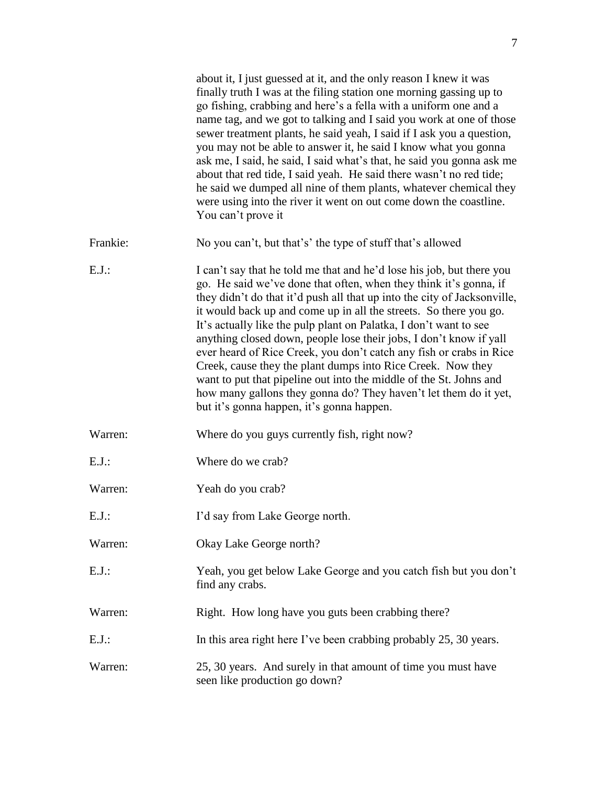|          | about it, I just guessed at it, and the only reason I knew it was<br>finally truth I was at the filing station one morning gassing up to<br>go fishing, crabbing and here's a fella with a uniform one and a<br>name tag, and we got to talking and I said you work at one of those<br>sewer treatment plants, he said yeah, I said if I ask you a question,<br>you may not be able to answer it, he said I know what you gonna<br>ask me, I said, he said, I said what's that, he said you gonna ask me<br>about that red tide, I said yeah. He said there wasn't no red tide;<br>he said we dumped all nine of them plants, whatever chemical they<br>were using into the river it went on out come down the coastline.<br>You can't prove it                     |
|----------|---------------------------------------------------------------------------------------------------------------------------------------------------------------------------------------------------------------------------------------------------------------------------------------------------------------------------------------------------------------------------------------------------------------------------------------------------------------------------------------------------------------------------------------------------------------------------------------------------------------------------------------------------------------------------------------------------------------------------------------------------------------------|
| Frankie: | No you can't, but that's' the type of stuff that's allowed                                                                                                                                                                                                                                                                                                                                                                                                                                                                                                                                                                                                                                                                                                          |
| $E.J.$ : | I can't say that he told me that and he'd lose his job, but there you<br>go. He said we've done that often, when they think it's gonna, if<br>they didn't do that it'd push all that up into the city of Jacksonville,<br>it would back up and come up in all the streets. So there you go.<br>It's actually like the pulp plant on Palatka, I don't want to see<br>anything closed down, people lose their jobs, I don't know if yall<br>ever heard of Rice Creek, you don't catch any fish or crabs in Rice<br>Creek, cause they the plant dumps into Rice Creek. Now they<br>want to put that pipeline out into the middle of the St. Johns and<br>how many gallons they gonna do? They haven't let them do it yet,<br>but it's gonna happen, it's gonna happen. |
| Warren:  | Where do you guys currently fish, right now?                                                                                                                                                                                                                                                                                                                                                                                                                                                                                                                                                                                                                                                                                                                        |
| $E.J.$ : | Where do we crab?                                                                                                                                                                                                                                                                                                                                                                                                                                                                                                                                                                                                                                                                                                                                                   |
| Warren:  | Yeah do you crab?                                                                                                                                                                                                                                                                                                                                                                                                                                                                                                                                                                                                                                                                                                                                                   |
| $E.J.$ : | I'd say from Lake George north.                                                                                                                                                                                                                                                                                                                                                                                                                                                                                                                                                                                                                                                                                                                                     |
| Warren:  | Okay Lake George north?                                                                                                                                                                                                                                                                                                                                                                                                                                                                                                                                                                                                                                                                                                                                             |
| $E.J.$ : | Yeah, you get below Lake George and you catch fish but you don't<br>find any crabs.                                                                                                                                                                                                                                                                                                                                                                                                                                                                                                                                                                                                                                                                                 |
| Warren:  | Right. How long have you guts been crabbing there?                                                                                                                                                                                                                                                                                                                                                                                                                                                                                                                                                                                                                                                                                                                  |
| $E.J.$ : | In this area right here I've been crabbing probably 25, 30 years.                                                                                                                                                                                                                                                                                                                                                                                                                                                                                                                                                                                                                                                                                                   |
| Warren:  | 25, 30 years. And surely in that amount of time you must have<br>seen like production go down?                                                                                                                                                                                                                                                                                                                                                                                                                                                                                                                                                                                                                                                                      |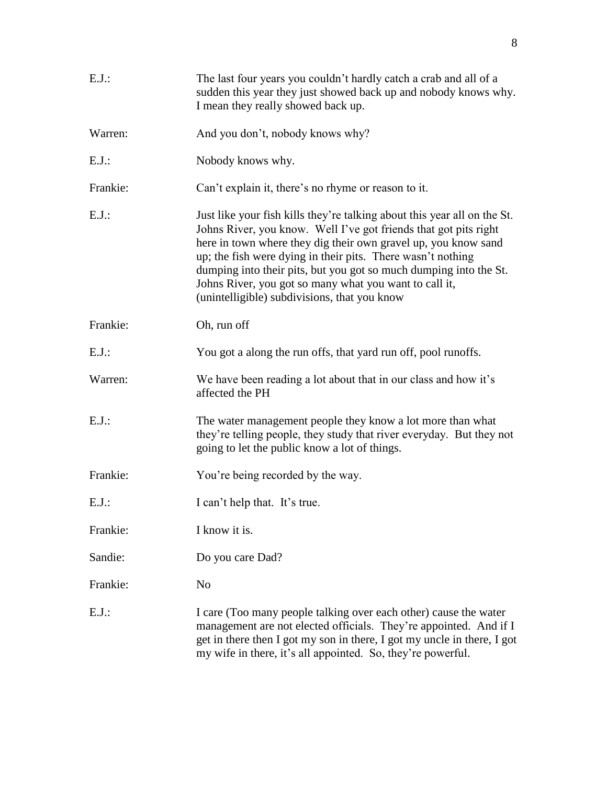| $E.J.$ : | The last four years you couldn't hardly catch a crab and all of a<br>sudden this year they just showed back up and nobody knows why.<br>I mean they really showed back up.                                                                                                                                                                                                                                                                                   |
|----------|--------------------------------------------------------------------------------------------------------------------------------------------------------------------------------------------------------------------------------------------------------------------------------------------------------------------------------------------------------------------------------------------------------------------------------------------------------------|
| Warren:  | And you don't, nobody knows why?                                                                                                                                                                                                                                                                                                                                                                                                                             |
| $E.J.$ : | Nobody knows why.                                                                                                                                                                                                                                                                                                                                                                                                                                            |
| Frankie: | Can't explain it, there's no rhyme or reason to it.                                                                                                                                                                                                                                                                                                                                                                                                          |
| $E.J.$ : | Just like your fish kills they're talking about this year all on the St.<br>Johns River, you know. Well I've got friends that got pits right<br>here in town where they dig their own gravel up, you know sand<br>up; the fish were dying in their pits. There wasn't nothing<br>dumping into their pits, but you got so much dumping into the St.<br>Johns River, you got so many what you want to call it,<br>(unintelligible) subdivisions, that you know |
| Frankie: | Oh, run off                                                                                                                                                                                                                                                                                                                                                                                                                                                  |
| $E.J.$ : | You got a along the run offs, that yard run off, pool runoffs.                                                                                                                                                                                                                                                                                                                                                                                               |
| Warren:  | We have been reading a lot about that in our class and how it's<br>affected the PH                                                                                                                                                                                                                                                                                                                                                                           |
| $E.J.$ : | The water management people they know a lot more than what<br>they're telling people, they study that river everyday. But they not<br>going to let the public know a lot of things.                                                                                                                                                                                                                                                                          |
| Frankie: | You're being recorded by the way.                                                                                                                                                                                                                                                                                                                                                                                                                            |
| E.J.     | I can't help that. It's true.                                                                                                                                                                                                                                                                                                                                                                                                                                |
| Frankie: | I know it is.                                                                                                                                                                                                                                                                                                                                                                                                                                                |
| Sandie:  | Do you care Dad?                                                                                                                                                                                                                                                                                                                                                                                                                                             |
| Frankie: | N <sub>0</sub>                                                                                                                                                                                                                                                                                                                                                                                                                                               |
| $E.J.$ : | I care (Too many people talking over each other) cause the water<br>management are not elected officials. They're appointed. And if I<br>get in there then I got my son in there, I got my uncle in there, I got<br>my wife in there, it's all appointed. So, they're powerful.                                                                                                                                                                              |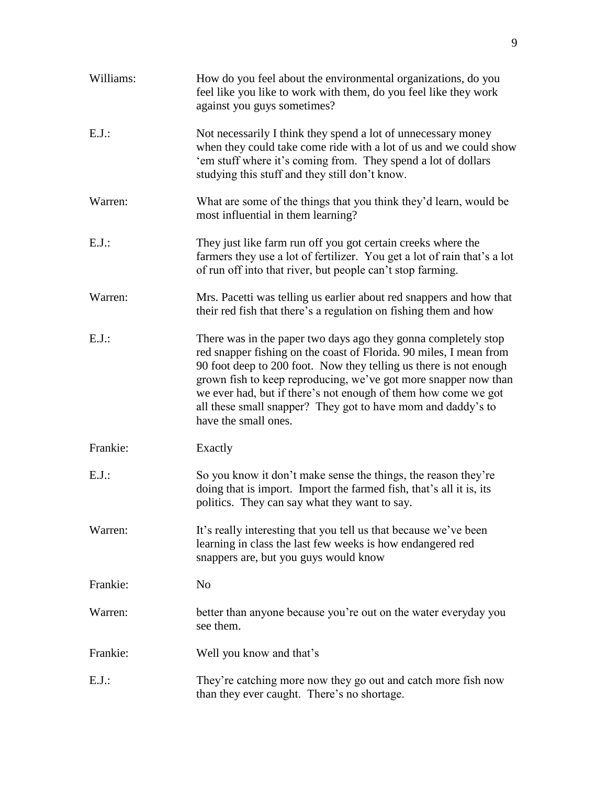| Williams: | How do you feel about the environmental organizations, do you<br>feel like you like to work with them, do you feel like they work<br>against you guys sometimes?                                                                                                                                                                                                                                                                       |
|-----------|----------------------------------------------------------------------------------------------------------------------------------------------------------------------------------------------------------------------------------------------------------------------------------------------------------------------------------------------------------------------------------------------------------------------------------------|
| $E.J.$ :  | Not necessarily I think they spend a lot of unnecessary money<br>when they could take come ride with a lot of us and we could show<br>'em stuff where it's coming from. They spend a lot of dollars<br>studying this stuff and they still don't know.                                                                                                                                                                                  |
| Warren:   | What are some of the things that you think they'd learn, would be<br>most influential in them learning?                                                                                                                                                                                                                                                                                                                                |
| $E.J.$ :  | They just like farm run off you got certain creeks where the<br>farmers they use a lot of fertilizer. You get a lot of rain that's a lot<br>of run off into that river, but people can't stop farming.                                                                                                                                                                                                                                 |
| Warren:   | Mrs. Pacetti was telling us earlier about red snappers and how that<br>their red fish that there's a regulation on fishing them and how                                                                                                                                                                                                                                                                                                |
| $E.J.$ :  | There was in the paper two days ago they gonna completely stop<br>red snapper fishing on the coast of Florida. 90 miles, I mean from<br>90 foot deep to 200 foot. Now they telling us there is not enough<br>grown fish to keep reproducing, we've got more snapper now than<br>we ever had, but if there's not enough of them how come we got<br>all these small snapper? They got to have mom and daddy's to<br>have the small ones. |
| Frankie:  | Exactly                                                                                                                                                                                                                                                                                                                                                                                                                                |
| $E.J.$ :  | So you know it don't make sense the things, the reason they're<br>doing that is import. Import the farmed fish, that's all it is, its<br>politics. They can say what they want to say.                                                                                                                                                                                                                                                 |
| Warren:   | It's really interesting that you tell us that because we've been<br>learning in class the last few weeks is how endangered red<br>snappers are, but you guys would know                                                                                                                                                                                                                                                                |
| Frankie:  | N <sub>o</sub>                                                                                                                                                                                                                                                                                                                                                                                                                         |
| Warren:   | better than anyone because you're out on the water everyday you<br>see them.                                                                                                                                                                                                                                                                                                                                                           |
| Frankie:  | Well you know and that's                                                                                                                                                                                                                                                                                                                                                                                                               |
| $E.J.$ :  | They're catching more now they go out and catch more fish now<br>than they ever caught. There's no shortage.                                                                                                                                                                                                                                                                                                                           |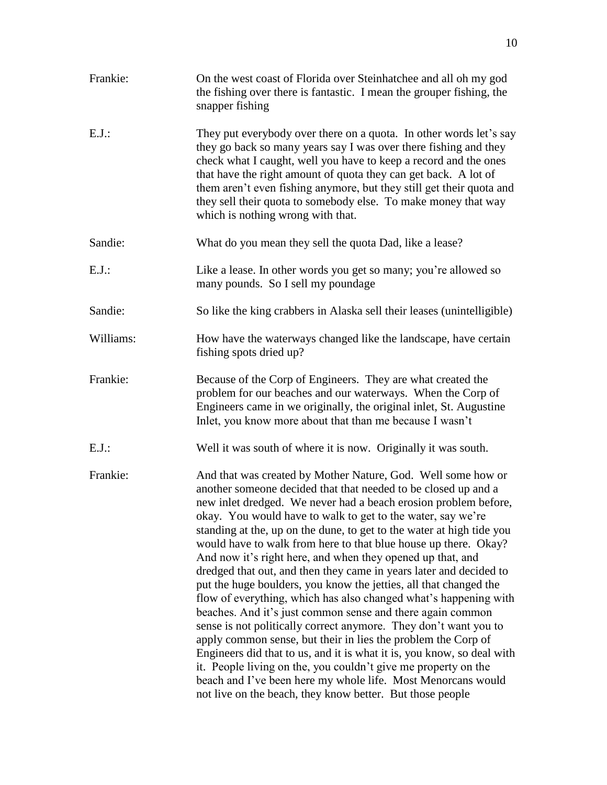| Frankie:  | On the west coast of Florida over Steinhatchee and all oh my god<br>the fishing over there is fantastic. I mean the grouper fishing, the<br>snapper fishing                                                                                                                                                                                                                                                                                                                                                                                                                                                                                                                                                                                                                                                                                                                                                                                                                                                                                                                                                                                                           |
|-----------|-----------------------------------------------------------------------------------------------------------------------------------------------------------------------------------------------------------------------------------------------------------------------------------------------------------------------------------------------------------------------------------------------------------------------------------------------------------------------------------------------------------------------------------------------------------------------------------------------------------------------------------------------------------------------------------------------------------------------------------------------------------------------------------------------------------------------------------------------------------------------------------------------------------------------------------------------------------------------------------------------------------------------------------------------------------------------------------------------------------------------------------------------------------------------|
| $E.J.$ :  | They put everybody over there on a quota. In other words let's say<br>they go back so many years say I was over there fishing and they<br>check what I caught, well you have to keep a record and the ones<br>that have the right amount of quota they can get back. A lot of<br>them aren't even fishing anymore, but they still get their quota and<br>they sell their quota to somebody else. To make money that way<br>which is nothing wrong with that.                                                                                                                                                                                                                                                                                                                                                                                                                                                                                                                                                                                                                                                                                                          |
| Sandie:   | What do you mean they sell the quota Dad, like a lease?                                                                                                                                                                                                                                                                                                                                                                                                                                                                                                                                                                                                                                                                                                                                                                                                                                                                                                                                                                                                                                                                                                               |
| $E.J.$ :  | Like a lease. In other words you get so many; you're allowed so<br>many pounds. So I sell my poundage                                                                                                                                                                                                                                                                                                                                                                                                                                                                                                                                                                                                                                                                                                                                                                                                                                                                                                                                                                                                                                                                 |
| Sandie:   | So like the king crabbers in Alaska sell their leases (unintelligible)                                                                                                                                                                                                                                                                                                                                                                                                                                                                                                                                                                                                                                                                                                                                                                                                                                                                                                                                                                                                                                                                                                |
| Williams: | How have the waterways changed like the landscape, have certain<br>fishing spots dried up?                                                                                                                                                                                                                                                                                                                                                                                                                                                                                                                                                                                                                                                                                                                                                                                                                                                                                                                                                                                                                                                                            |
| Frankie:  | Because of the Corp of Engineers. They are what created the<br>problem for our beaches and our waterways. When the Corp of<br>Engineers came in we originally, the original inlet, St. Augustine<br>Inlet, you know more about that than me because I wasn't                                                                                                                                                                                                                                                                                                                                                                                                                                                                                                                                                                                                                                                                                                                                                                                                                                                                                                          |
| $E.J.$ :  | Well it was south of where it is now. Originally it was south.                                                                                                                                                                                                                                                                                                                                                                                                                                                                                                                                                                                                                                                                                                                                                                                                                                                                                                                                                                                                                                                                                                        |
| Frankie:  | And that was created by Mother Nature, God. Well some how or<br>another someone decided that that needed to be closed up and a<br>new inlet dredged. We never had a beach erosion problem before,<br>okay. You would have to walk to get to the water, say we're<br>standing at the, up on the dune, to get to the water at high tide you<br>would have to walk from here to that blue house up there. Okay?<br>And now it's right here, and when they opened up that, and<br>dredged that out, and then they came in years later and decided to<br>put the huge boulders, you know the jetties, all that changed the<br>flow of everything, which has also changed what's happening with<br>beaches. And it's just common sense and there again common<br>sense is not politically correct anymore. They don't want you to<br>apply common sense, but their in lies the problem the Corp of<br>Engineers did that to us, and it is what it is, you know, so deal with<br>it. People living on the, you couldn't give me property on the<br>beach and I've been here my whole life. Most Menorcans would<br>not live on the beach, they know better. But those people |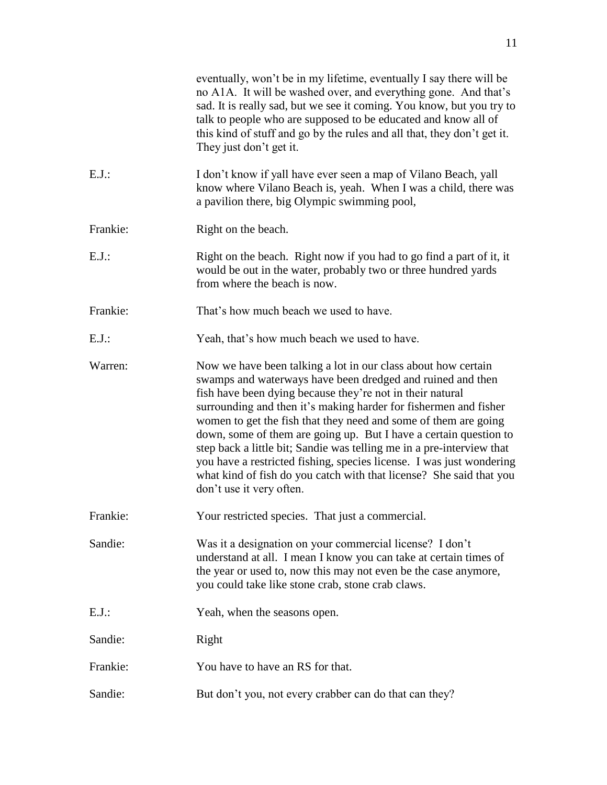|          | eventually, won't be in my lifetime, eventually I say there will be<br>no A1A. It will be washed over, and everything gone. And that's<br>sad. It is really sad, but we see it coming. You know, but you try to<br>talk to people who are supposed to be educated and know all of<br>this kind of stuff and go by the rules and all that, they don't get it.<br>They just don't get it.                                                                                                                                                                                                                                                                  |
|----------|----------------------------------------------------------------------------------------------------------------------------------------------------------------------------------------------------------------------------------------------------------------------------------------------------------------------------------------------------------------------------------------------------------------------------------------------------------------------------------------------------------------------------------------------------------------------------------------------------------------------------------------------------------|
| $E.J.$ : | I don't know if yall have ever seen a map of Vilano Beach, yall<br>know where Vilano Beach is, yeah. When I was a child, there was<br>a pavilion there, big Olympic swimming pool,                                                                                                                                                                                                                                                                                                                                                                                                                                                                       |
| Frankie: | Right on the beach.                                                                                                                                                                                                                                                                                                                                                                                                                                                                                                                                                                                                                                      |
| $E.J.$ : | Right on the beach. Right now if you had to go find a part of it, it<br>would be out in the water, probably two or three hundred yards<br>from where the beach is now.                                                                                                                                                                                                                                                                                                                                                                                                                                                                                   |
| Frankie: | That's how much beach we used to have.                                                                                                                                                                                                                                                                                                                                                                                                                                                                                                                                                                                                                   |
| $E.J.$ : | Yeah, that's how much beach we used to have.                                                                                                                                                                                                                                                                                                                                                                                                                                                                                                                                                                                                             |
| Warren:  | Now we have been talking a lot in our class about how certain<br>swamps and waterways have been dredged and ruined and then<br>fish have been dying because they're not in their natural<br>surrounding and then it's making harder for fishermen and fisher<br>women to get the fish that they need and some of them are going<br>down, some of them are going up. But I have a certain question to<br>step back a little bit; Sandie was telling me in a pre-interview that<br>you have a restricted fishing, species license. I was just wondering<br>what kind of fish do you catch with that license? She said that you<br>don't use it very often. |
| Frankie: | Your restricted species. That just a commercial.                                                                                                                                                                                                                                                                                                                                                                                                                                                                                                                                                                                                         |
| Sandie:  | Was it a designation on your commercial license? I don't<br>understand at all. I mean I know you can take at certain times of<br>the year or used to, now this may not even be the case anymore,<br>you could take like stone crab, stone crab claws.                                                                                                                                                                                                                                                                                                                                                                                                    |
| $E.J.$ : | Yeah, when the seasons open.                                                                                                                                                                                                                                                                                                                                                                                                                                                                                                                                                                                                                             |
| Sandie:  | Right                                                                                                                                                                                                                                                                                                                                                                                                                                                                                                                                                                                                                                                    |
| Frankie: | You have to have an RS for that.                                                                                                                                                                                                                                                                                                                                                                                                                                                                                                                                                                                                                         |
| Sandie:  | But don't you, not every crabber can do that can they?                                                                                                                                                                                                                                                                                                                                                                                                                                                                                                                                                                                                   |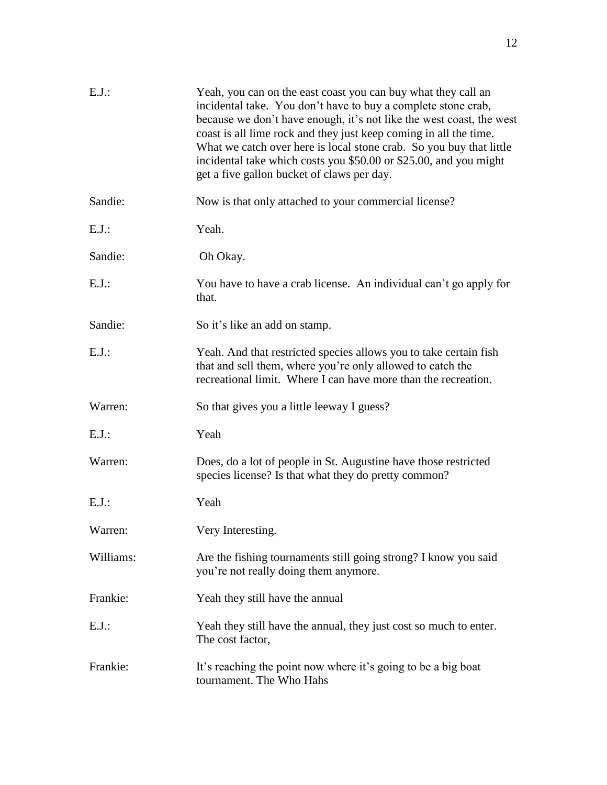| $E.J.$ :  | Yeah, you can on the east coast you can buy what they call an<br>incidental take. You don't have to buy a complete stone crab,<br>because we don't have enough, it's not like the west coast, the west<br>coast is all lime rock and they just keep coming in all the time.<br>What we catch over here is local stone crab. So you buy that little<br>incidental take which costs you \$50.00 or \$25.00, and you might<br>get a five gallon bucket of claws per day. |
|-----------|-----------------------------------------------------------------------------------------------------------------------------------------------------------------------------------------------------------------------------------------------------------------------------------------------------------------------------------------------------------------------------------------------------------------------------------------------------------------------|
| Sandie:   | Now is that only attached to your commercial license?                                                                                                                                                                                                                                                                                                                                                                                                                 |
| $E.J.$ :  | Yeah.                                                                                                                                                                                                                                                                                                                                                                                                                                                                 |
| Sandie:   | Oh Okay.                                                                                                                                                                                                                                                                                                                                                                                                                                                              |
| E.J.      | You have to have a crab license. An individual can't go apply for<br>that.                                                                                                                                                                                                                                                                                                                                                                                            |
| Sandie:   | So it's like an add on stamp.                                                                                                                                                                                                                                                                                                                                                                                                                                         |
| $E.J.$ :  | Yeah. And that restricted species allows you to take certain fish<br>that and sell them, where you're only allowed to catch the<br>recreational limit. Where I can have more than the recreation.                                                                                                                                                                                                                                                                     |
| Warren:   | So that gives you a little leeway I guess?                                                                                                                                                                                                                                                                                                                                                                                                                            |
| $E.J.$ :  | Yeah                                                                                                                                                                                                                                                                                                                                                                                                                                                                  |
| Warren:   | Does, do a lot of people in St. Augustine have those restricted<br>species license? Is that what they do pretty common?                                                                                                                                                                                                                                                                                                                                               |
| $E.J.$ :  | Yeah                                                                                                                                                                                                                                                                                                                                                                                                                                                                  |
| Warren:   | Very Interesting.                                                                                                                                                                                                                                                                                                                                                                                                                                                     |
| Williams: | Are the fishing tournaments still going strong? I know you said<br>you're not really doing them anymore.                                                                                                                                                                                                                                                                                                                                                              |
| Frankie:  | Yeah they still have the annual                                                                                                                                                                                                                                                                                                                                                                                                                                       |
| $E.J.$ :  | Yeah they still have the annual, they just cost so much to enter.<br>The cost factor,                                                                                                                                                                                                                                                                                                                                                                                 |
| Frankie:  | It's reaching the point now where it's going to be a big boat<br>tournament. The Who Hahs                                                                                                                                                                                                                                                                                                                                                                             |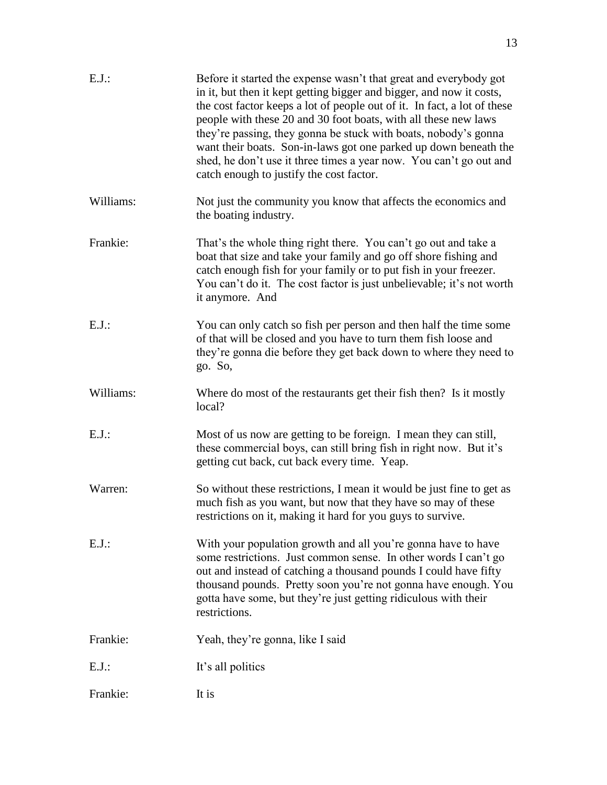| $E.J.$ :  | Before it started the expense wasn't that great and everybody got<br>in it, but then it kept getting bigger and bigger, and now it costs,<br>the cost factor keeps a lot of people out of it. In fact, a lot of these<br>people with these 20 and 30 foot boats, with all these new laws<br>they're passing, they gonna be stuck with boats, nobody's gonna<br>want their boats. Son-in-laws got one parked up down beneath the<br>shed, he don't use it three times a year now. You can't go out and<br>catch enough to justify the cost factor. |
|-----------|---------------------------------------------------------------------------------------------------------------------------------------------------------------------------------------------------------------------------------------------------------------------------------------------------------------------------------------------------------------------------------------------------------------------------------------------------------------------------------------------------------------------------------------------------|
| Williams: | Not just the community you know that affects the economics and<br>the boating industry.                                                                                                                                                                                                                                                                                                                                                                                                                                                           |
| Frankie:  | That's the whole thing right there. You can't go out and take a<br>boat that size and take your family and go off shore fishing and<br>catch enough fish for your family or to put fish in your freezer.<br>You can't do it. The cost factor is just unbelievable; it's not worth<br>it anymore. And                                                                                                                                                                                                                                              |
| $E.J.$ :  | You can only catch so fish per person and then half the time some<br>of that will be closed and you have to turn them fish loose and<br>they're gonna die before they get back down to where they need to<br>go. So,                                                                                                                                                                                                                                                                                                                              |
| Williams: | Where do most of the restaurants get their fish then? Is it mostly<br>local?                                                                                                                                                                                                                                                                                                                                                                                                                                                                      |
| $E.J.$ :  | Most of us now are getting to be foreign. I mean they can still,<br>these commercial boys, can still bring fish in right now. But it's<br>getting cut back, cut back every time. Yeap.                                                                                                                                                                                                                                                                                                                                                            |
| Warren:   | So without these restrictions, I mean it would be just fine to get as<br>much fish as you want, but now that they have so may of these<br>restrictions on it, making it hard for you guys to survive.                                                                                                                                                                                                                                                                                                                                             |
| $E.J.$ :  | With your population growth and all you're gonna have to have<br>some restrictions. Just common sense. In other words I can't go<br>out and instead of catching a thousand pounds I could have fifty<br>thousand pounds. Pretty soon you're not gonna have enough. You<br>gotta have some, but they're just getting ridiculous with their<br>restrictions.                                                                                                                                                                                        |
| Frankie:  | Yeah, they're gonna, like I said                                                                                                                                                                                                                                                                                                                                                                                                                                                                                                                  |
| $E.J.$ :  | It's all politics                                                                                                                                                                                                                                                                                                                                                                                                                                                                                                                                 |
| Frankie:  | It is                                                                                                                                                                                                                                                                                                                                                                                                                                                                                                                                             |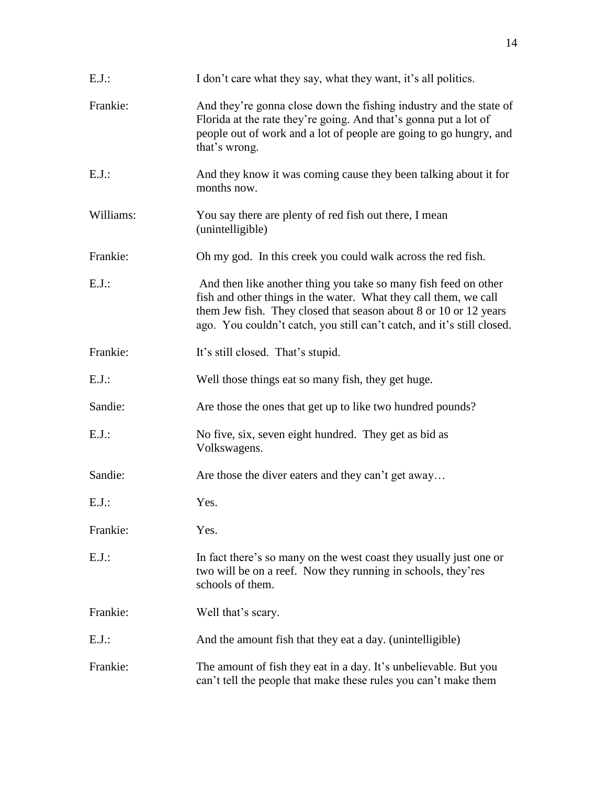| $E.J.$ :  | I don't care what they say, what they want, it's all politics.                                                                                                                                                                                                                    |
|-----------|-----------------------------------------------------------------------------------------------------------------------------------------------------------------------------------------------------------------------------------------------------------------------------------|
| Frankie:  | And they're gonna close down the fishing industry and the state of<br>Florida at the rate they're going. And that's gonna put a lot of<br>people out of work and a lot of people are going to go hungry, and<br>that's wrong.                                                     |
| $E.J.$ :  | And they know it was coming cause they been talking about it for<br>months now.                                                                                                                                                                                                   |
| Williams: | You say there are plenty of red fish out there, I mean<br>(unintelligible)                                                                                                                                                                                                        |
| Frankie:  | Oh my god. In this creek you could walk across the red fish.                                                                                                                                                                                                                      |
| $E.J.$ :  | And then like another thing you take so many fish feed on other<br>fish and other things in the water. What they call them, we call<br>them Jew fish. They closed that season about 8 or 10 or 12 years<br>ago. You couldn't catch, you still can't catch, and it's still closed. |
| Frankie:  | It's still closed. That's stupid.                                                                                                                                                                                                                                                 |
| $E.J.$ :  | Well those things eat so many fish, they get huge.                                                                                                                                                                                                                                |
| Sandie:   | Are those the ones that get up to like two hundred pounds?                                                                                                                                                                                                                        |
| $E.J.$ :  | No five, six, seven eight hundred. They get as bid as<br>Volkswagens.                                                                                                                                                                                                             |
| Sandie:   | Are those the diver eaters and they can't get away                                                                                                                                                                                                                                |
| $E.J.$ :  | Yes.                                                                                                                                                                                                                                                                              |
| Frankie:  | Yes.                                                                                                                                                                                                                                                                              |
| $E.J.$ :  | In fact there's so many on the west coast they usually just one or<br>two will be on a reef. Now they running in schools, they'res<br>schools of them.                                                                                                                            |
| Frankie:  | Well that's scary.                                                                                                                                                                                                                                                                |
| $E.J.$ :  | And the amount fish that they eat a day. (unintelligible)                                                                                                                                                                                                                         |
| Frankie:  | The amount of fish they eat in a day. It's unbelievable. But you<br>can't tell the people that make these rules you can't make them                                                                                                                                               |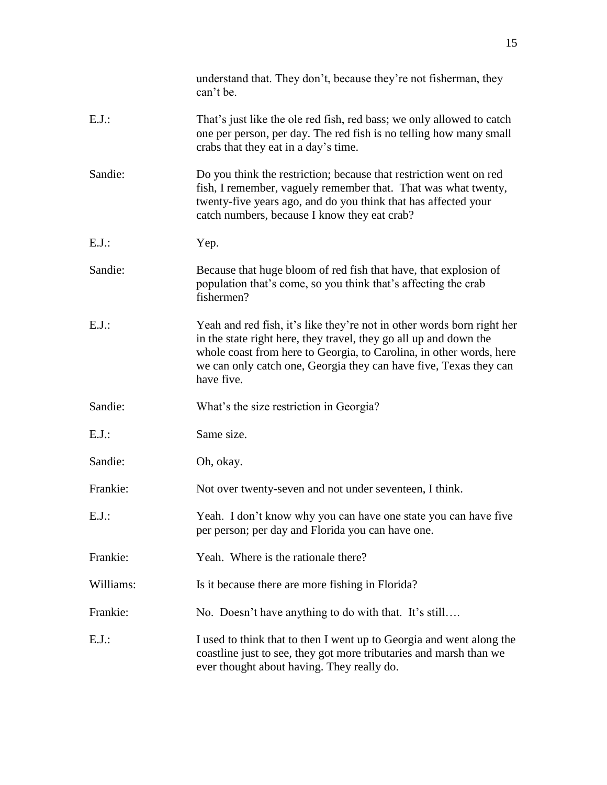|           | understand that. They don't, because they're not fisherman, they<br>can't be.                                                                                                                                                                                                                         |
|-----------|-------------------------------------------------------------------------------------------------------------------------------------------------------------------------------------------------------------------------------------------------------------------------------------------------------|
| $E.J.$ :  | That's just like the ole red fish, red bass; we only allowed to catch<br>one per person, per day. The red fish is no telling how many small<br>crabs that they eat in a day's time.                                                                                                                   |
| Sandie:   | Do you think the restriction; because that restriction went on red<br>fish, I remember, vaguely remember that. That was what twenty,<br>twenty-five years ago, and do you think that has affected your<br>catch numbers, because I know they eat crab?                                                |
| $E.J.$ :  | Yep.                                                                                                                                                                                                                                                                                                  |
| Sandie:   | Because that huge bloom of red fish that have, that explosion of<br>population that's come, so you think that's affecting the crab<br>fishermen?                                                                                                                                                      |
| $E.J.$ :  | Yeah and red fish, it's like they're not in other words born right her<br>in the state right here, they travel, they go all up and down the<br>whole coast from here to Georgia, to Carolina, in other words, here<br>we can only catch one, Georgia they can have five, Texas they can<br>have five. |
| Sandie:   | What's the size restriction in Georgia?                                                                                                                                                                                                                                                               |
| $E.J.$ :  | Same size.                                                                                                                                                                                                                                                                                            |
| Sandie:   | Oh, okay.                                                                                                                                                                                                                                                                                             |
| Frankie:  | Not over twenty-seven and not under seventeen, I think.                                                                                                                                                                                                                                               |
| E.J.:     | Yeah. I don't know why you can have one state you can have five<br>per person; per day and Florida you can have one.                                                                                                                                                                                  |
| Frankie:  | Yeah. Where is the rationale there?                                                                                                                                                                                                                                                                   |
| Williams: | Is it because there are more fishing in Florida?                                                                                                                                                                                                                                                      |
| Frankie:  | No. Doesn't have anything to do with that. It's still                                                                                                                                                                                                                                                 |
| $E.J.$ :  | I used to think that to then I went up to Georgia and went along the<br>coastline just to see, they got more tributaries and marsh than we<br>ever thought about having. They really do.                                                                                                              |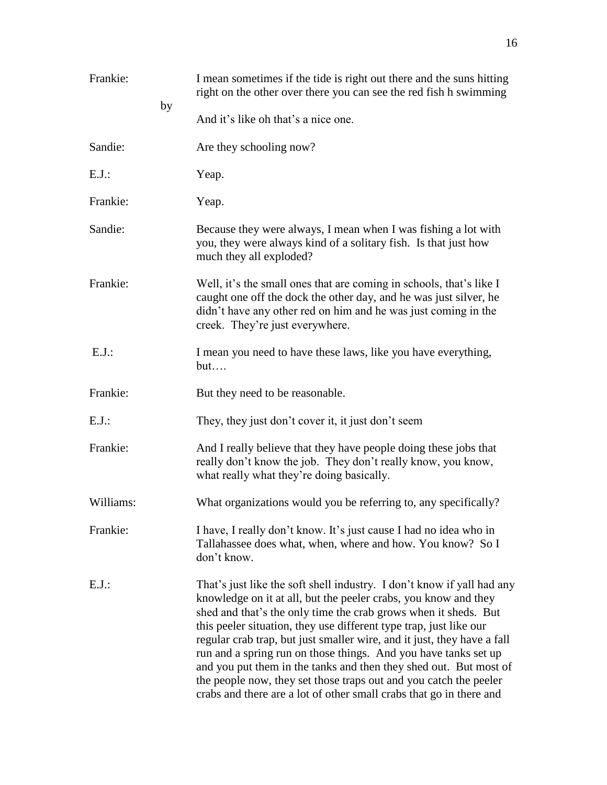| Frankie:  | I mean sometimes if the tide is right out there and the suns hitting<br>right on the other over there you can see the red fish h swimming<br>by                                                                                                                                                                                                                                                                                                                                                                                                                                                                                                   |
|-----------|---------------------------------------------------------------------------------------------------------------------------------------------------------------------------------------------------------------------------------------------------------------------------------------------------------------------------------------------------------------------------------------------------------------------------------------------------------------------------------------------------------------------------------------------------------------------------------------------------------------------------------------------------|
|           | And it's like oh that's a nice one.                                                                                                                                                                                                                                                                                                                                                                                                                                                                                                                                                                                                               |
| Sandie:   | Are they schooling now?                                                                                                                                                                                                                                                                                                                                                                                                                                                                                                                                                                                                                           |
| $E.J.$ :  | Yeap.                                                                                                                                                                                                                                                                                                                                                                                                                                                                                                                                                                                                                                             |
| Frankie:  | Yeap.                                                                                                                                                                                                                                                                                                                                                                                                                                                                                                                                                                                                                                             |
| Sandie:   | Because they were always, I mean when I was fishing a lot with<br>you, they were always kind of a solitary fish. Is that just how<br>much they all exploded?                                                                                                                                                                                                                                                                                                                                                                                                                                                                                      |
| Frankie:  | Well, it's the small ones that are coming in schools, that's like I<br>caught one off the dock the other day, and he was just silver, he<br>didn't have any other red on him and he was just coming in the<br>creek. They're just everywhere.                                                                                                                                                                                                                                                                                                                                                                                                     |
| $E.J.$ :  | I mean you need to have these laws, like you have everything,<br>but                                                                                                                                                                                                                                                                                                                                                                                                                                                                                                                                                                              |
| Frankie:  | But they need to be reasonable.                                                                                                                                                                                                                                                                                                                                                                                                                                                                                                                                                                                                                   |
| $E.J.$ :  | They, they just don't cover it, it just don't seem                                                                                                                                                                                                                                                                                                                                                                                                                                                                                                                                                                                                |
| Frankie:  | And I really believe that they have people doing these jobs that<br>really don't know the job. They don't really know, you know,<br>what really what they're doing basically.                                                                                                                                                                                                                                                                                                                                                                                                                                                                     |
| Williams: | What organizations would you be referring to, any specifically?                                                                                                                                                                                                                                                                                                                                                                                                                                                                                                                                                                                   |
| Frankie:  | I have, I really don't know. It's just cause I had no idea who in<br>Tallahassee does what, when, where and how. You know? So I<br>don't know.                                                                                                                                                                                                                                                                                                                                                                                                                                                                                                    |
| $E.J.$ :  | That's just like the soft shell industry. I don't know if yall had any<br>knowledge on it at all, but the peeler crabs, you know and they<br>shed and that's the only time the crab grows when it sheds. But<br>this peeler situation, they use different type trap, just like our<br>regular crab trap, but just smaller wire, and it just, they have a fall<br>run and a spring run on those things. And you have tanks set up<br>and you put them in the tanks and then they shed out. But most of<br>the people now, they set those traps out and you catch the peeler<br>crabs and there are a lot of other small crabs that go in there and |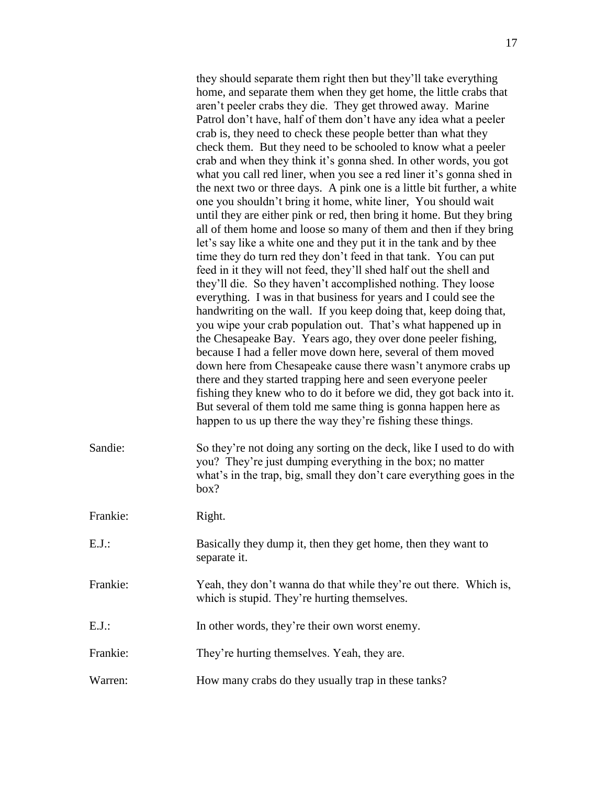they should separate them right then but they'll take everything home, and separate them when they get home, the little crabs that aren't peeler crabs they die. They get throwed away. Marine Patrol don't have, half of them don't have any idea what a peeler crab is, they need to check these people better than what they check them. But they need to be schooled to know what a peeler crab and when they think it's gonna shed. In other words, you got what you call red liner, when you see a red liner it's gonna shed in the next two or three days. A pink one is a little bit further, a white one you shouldn't bring it home, white liner, You should wait until they are either pink or red, then bring it home. But they bring all of them home and loose so many of them and then if they bring let's say like a white one and they put it in the tank and by thee time they do turn red they don't feed in that tank. You can put feed in it they will not feed, they'll shed half out the shell and they'll die. So they haven't accomplished nothing. They loose everything. I was in that business for years and I could see the handwriting on the wall. If you keep doing that, keep doing that, you wipe your crab population out. That's what happened up in the Chesapeake Bay. Years ago, they over done peeler fishing, because I had a feller move down here, several of them moved down here from Chesapeake cause there wasn't anymore crabs up there and they started trapping here and seen everyone peeler fishing they knew who to do it before we did, they got back into it. But several of them told me same thing is gonna happen here as happen to us up there the way they're fishing these things. Sandie: So they're not doing any sorting on the deck, like I used to do with you? They're just dumping everything in the box; no matter what's in the trap, big, small they don't care everything goes in the box? Frankie: Right.

| $E.J.$ : | Basically they dump it, then they get home, then they want to<br>separate it.                                     |
|----------|-------------------------------------------------------------------------------------------------------------------|
| Frankie: | Yeah, they don't wanna do that while they're out there. Which is,<br>which is stupid. They're hurting themselves. |
| E.J.:    | In other words, they're their own worst enemy.                                                                    |
| Frankie: | They're hurting themselves. Yeah, they are.                                                                       |

Warren: How many crabs do they usually trap in these tanks?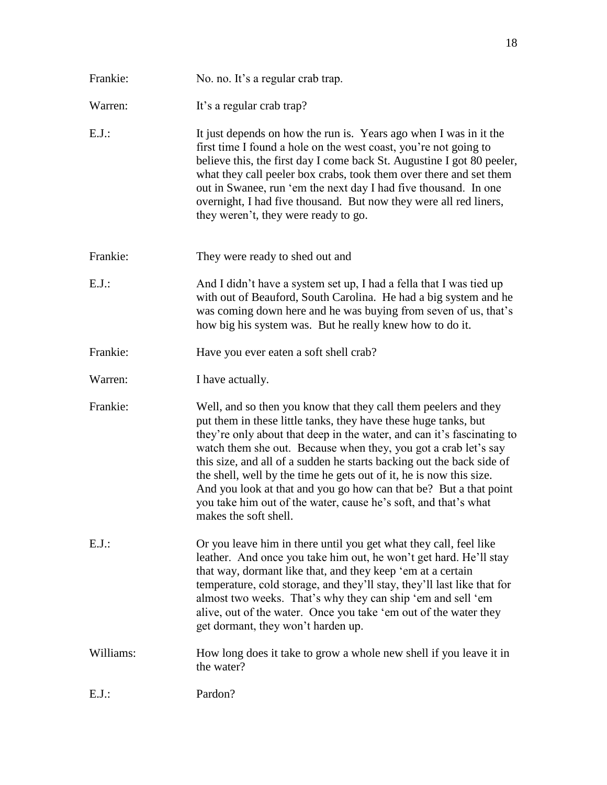Warren: It's a regular crab trap? E.J.: It just depends on how the run is. Years ago when I was in it the first time I found a hole on the west coast, you're not going to believe this, the first day I come back St. Augustine I got 80 peeler, what they call peeler box crabs, took them over there and set them out in Swanee, run 'em the next day I had five thousand. In one overnight, I had five thousand. But now they were all red liners, they weren't, they were ready to go. Frankie: They were ready to shed out and E.J.: And I didn't have a system set up, I had a fella that I was tied up with out of Beauford, South Carolina. He had a big system and he was coming down here and he was buying from seven of us, that's how big his system was. But he really knew how to do it. Frankie: Have you ever eaten a soft shell crab? Warren: I have actually. Frankie: Well, and so then you know that they call them peelers and they put them in these little tanks, they have these huge tanks, but they're only about that deep in the water, and can it's fascinating to watch them she out. Because when they, you got a crab let's say this size, and all of a sudden he starts backing out the back side of the shell, well by the time he gets out of it, he is now this size. And you look at that and you go how can that be? But a that point you take him out of the water, cause he's soft, and that's what makes the soft shell.

Frankie: No. no. It's a regular crab trap.

- E.J.: Or you leave him in there until you get what they call, feel like leather. And once you take him out, he won't get hard. He'll stay that way, dormant like that, and they keep 'em at a certain temperature, cold storage, and they'll stay, they'll last like that for almost two weeks. That's why they can ship 'em and sell 'em alive, out of the water. Once you take 'em out of the water they get dormant, they won't harden up.
- Williams: How long does it take to grow a whole new shell if you leave it in the water?
- E.J.: Pardon?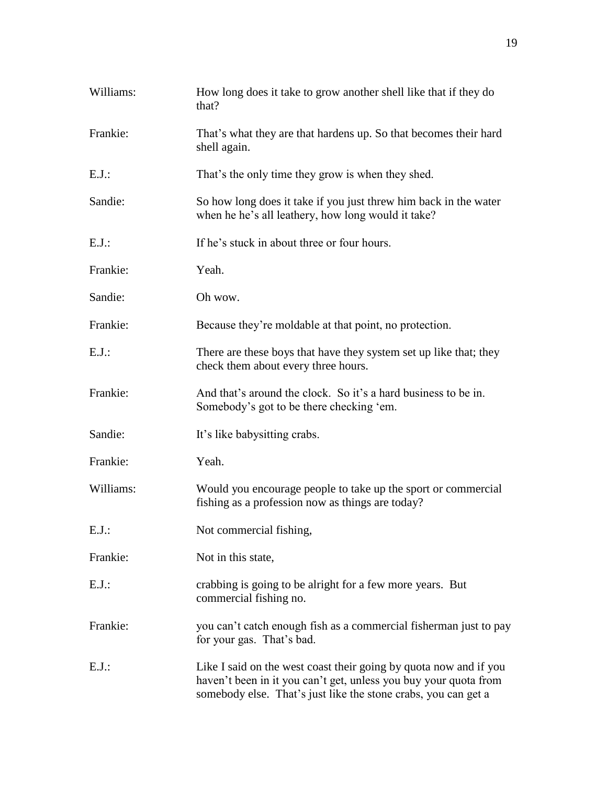| Williams: | How long does it take to grow another shell like that if they do<br>that?                                                                                                                               |
|-----------|---------------------------------------------------------------------------------------------------------------------------------------------------------------------------------------------------------|
| Frankie:  | That's what they are that hardens up. So that becomes their hard<br>shell again.                                                                                                                        |
| $E.J.$ :  | That's the only time they grow is when they shed.                                                                                                                                                       |
| Sandie:   | So how long does it take if you just threw him back in the water<br>when he he's all leathery, how long would it take?                                                                                  |
| $E.J.$ :  | If he's stuck in about three or four hours.                                                                                                                                                             |
| Frankie:  | Yeah.                                                                                                                                                                                                   |
| Sandie:   | Oh wow.                                                                                                                                                                                                 |
| Frankie:  | Because they're moldable at that point, no protection.                                                                                                                                                  |
| $E.J.$ :  | There are these boys that have they system set up like that; they<br>check them about every three hours.                                                                                                |
| Frankie:  | And that's around the clock. So it's a hard business to be in.<br>Somebody's got to be there checking 'em.                                                                                              |
| Sandie:   | It's like babysitting crabs.                                                                                                                                                                            |
| Frankie:  | Yeah.                                                                                                                                                                                                   |
| Williams: | Would you encourage people to take up the sport or commercial<br>fishing as a profession now as things are today?                                                                                       |
| E.J.:     | Not commercial fishing,                                                                                                                                                                                 |
| Frankie:  | Not in this state,                                                                                                                                                                                      |
| $E.J.$ :  | crabbing is going to be alright for a few more years. But<br>commercial fishing no.                                                                                                                     |
| Frankie:  | you can't catch enough fish as a commercial fisherman just to pay<br>for your gas. That's bad.                                                                                                          |
| E.J.      | Like I said on the west coast their going by quota now and if you<br>haven't been in it you can't get, unless you buy your quota from<br>somebody else. That's just like the stone crabs, you can get a |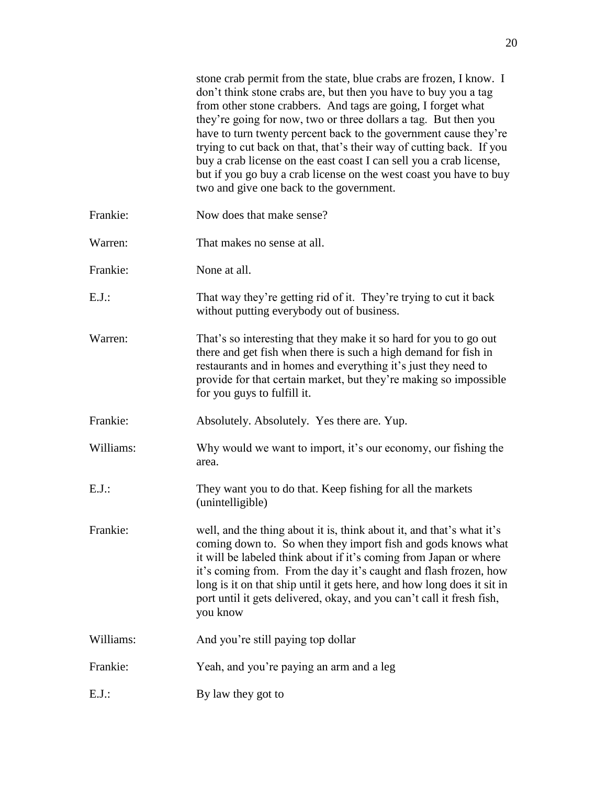|           | stone crab permit from the state, blue crabs are frozen, I know. I<br>don't think stone crabs are, but then you have to buy you a tag<br>from other stone crabbers. And tags are going, I forget what<br>they're going for now, two or three dollars a tag. But then you<br>have to turn twenty percent back to the government cause they're<br>trying to cut back on that, that's their way of cutting back. If you<br>buy a crab license on the east coast I can sell you a crab license,<br>but if you go buy a crab license on the west coast you have to buy<br>two and give one back to the government. |
|-----------|---------------------------------------------------------------------------------------------------------------------------------------------------------------------------------------------------------------------------------------------------------------------------------------------------------------------------------------------------------------------------------------------------------------------------------------------------------------------------------------------------------------------------------------------------------------------------------------------------------------|
| Frankie:  | Now does that make sense?                                                                                                                                                                                                                                                                                                                                                                                                                                                                                                                                                                                     |
| Warren:   | That makes no sense at all.                                                                                                                                                                                                                                                                                                                                                                                                                                                                                                                                                                                   |
| Frankie:  | None at all.                                                                                                                                                                                                                                                                                                                                                                                                                                                                                                                                                                                                  |
| $E.J.$ :  | That way they're getting rid of it. They're trying to cut it back<br>without putting everybody out of business.                                                                                                                                                                                                                                                                                                                                                                                                                                                                                               |
| Warren:   | That's so interesting that they make it so hard for you to go out<br>there and get fish when there is such a high demand for fish in<br>restaurants and in homes and everything it's just they need to<br>provide for that certain market, but they're making so impossible<br>for you guys to fulfill it.                                                                                                                                                                                                                                                                                                    |
| Frankie:  | Absolutely. Absolutely. Yes there are. Yup.                                                                                                                                                                                                                                                                                                                                                                                                                                                                                                                                                                   |
| Williams: | Why would we want to import, it's our economy, our fishing the<br>area.                                                                                                                                                                                                                                                                                                                                                                                                                                                                                                                                       |
| $E.J.$ :  | They want you to do that. Keep fishing for all the markets<br>(unintelligible)                                                                                                                                                                                                                                                                                                                                                                                                                                                                                                                                |
| Frankie:  | well, and the thing about it is, think about it, and that's what it's<br>coming down to. So when they import fish and gods knows what<br>it will be labeled think about if it's coming from Japan or where<br>it's coming from. From the day it's caught and flash frozen, how<br>long is it on that ship until it gets here, and how long does it sit in<br>port until it gets delivered, okay, and you can't call it fresh fish,<br>you know                                                                                                                                                                |
| Williams: | And you're still paying top dollar                                                                                                                                                                                                                                                                                                                                                                                                                                                                                                                                                                            |
| Frankie:  | Yeah, and you're paying an arm and a leg                                                                                                                                                                                                                                                                                                                                                                                                                                                                                                                                                                      |
| $E.J.$ :  | By law they got to                                                                                                                                                                                                                                                                                                                                                                                                                                                                                                                                                                                            |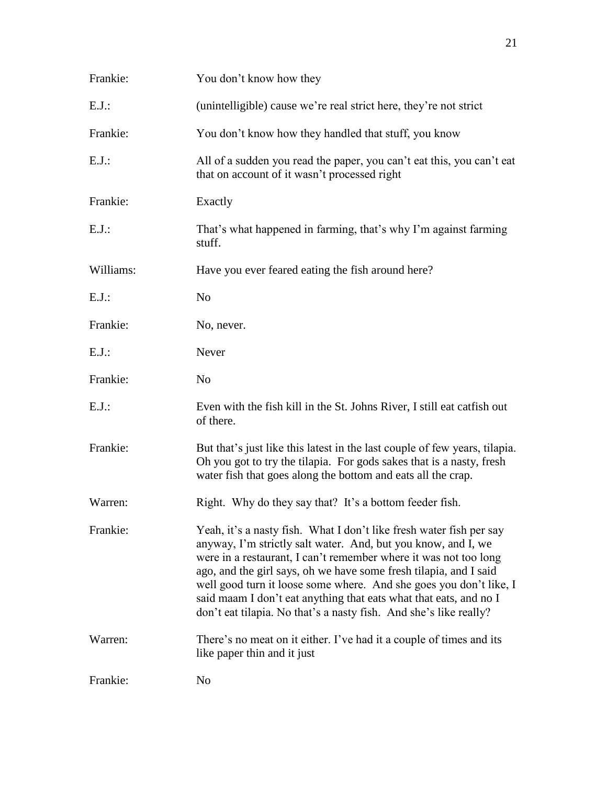| Frankie:  | You don't know how they                                                                                                                                                                                                                                                                                                                                                                                                                                                                       |
|-----------|-----------------------------------------------------------------------------------------------------------------------------------------------------------------------------------------------------------------------------------------------------------------------------------------------------------------------------------------------------------------------------------------------------------------------------------------------------------------------------------------------|
| $E.J.$ :  | (unintelligible) cause we're real strict here, they're not strict                                                                                                                                                                                                                                                                                                                                                                                                                             |
| Frankie:  | You don't know how they handled that stuff, you know                                                                                                                                                                                                                                                                                                                                                                                                                                          |
| $E.J.$ :  | All of a sudden you read the paper, you can't eat this, you can't eat<br>that on account of it wasn't processed right                                                                                                                                                                                                                                                                                                                                                                         |
| Frankie:  | Exactly                                                                                                                                                                                                                                                                                                                                                                                                                                                                                       |
| $E.J.$ :  | That's what happened in farming, that's why I'm against farming<br>stuff.                                                                                                                                                                                                                                                                                                                                                                                                                     |
| Williams: | Have you ever feared eating the fish around here?                                                                                                                                                                                                                                                                                                                                                                                                                                             |
| $E.J.$ :  | N <sub>o</sub>                                                                                                                                                                                                                                                                                                                                                                                                                                                                                |
| Frankie:  | No, never.                                                                                                                                                                                                                                                                                                                                                                                                                                                                                    |
| $E.J.$ :  | Never                                                                                                                                                                                                                                                                                                                                                                                                                                                                                         |
| Frankie:  | N <sub>o</sub>                                                                                                                                                                                                                                                                                                                                                                                                                                                                                |
| $E.J.$ :  | Even with the fish kill in the St. Johns River, I still eat catfish out<br>of there.                                                                                                                                                                                                                                                                                                                                                                                                          |
| Frankie:  | But that's just like this latest in the last couple of few years, tilapia.<br>Oh you got to try the tilapia. For gods sakes that is a nasty, fresh<br>water fish that goes along the bottom and eats all the crap.                                                                                                                                                                                                                                                                            |
| Warren:   | Right. Why do they say that? It's a bottom feeder fish.                                                                                                                                                                                                                                                                                                                                                                                                                                       |
| Frankie:  | Yeah, it's a nasty fish. What I don't like fresh water fish per say<br>anyway, I'm strictly salt water. And, but you know, and I, we<br>were in a restaurant, I can't remember where it was not too long<br>ago, and the girl says, oh we have some fresh tilapia, and I said<br>well good turn it loose some where. And she goes you don't like, I<br>said maam I don't eat anything that eats what that eats, and no I<br>don't eat tilapia. No that's a nasty fish. And she's like really? |
| Warren:   | There's no meat on it either. I've had it a couple of times and its<br>like paper thin and it just                                                                                                                                                                                                                                                                                                                                                                                            |
| Frankie:  | N <sub>0</sub>                                                                                                                                                                                                                                                                                                                                                                                                                                                                                |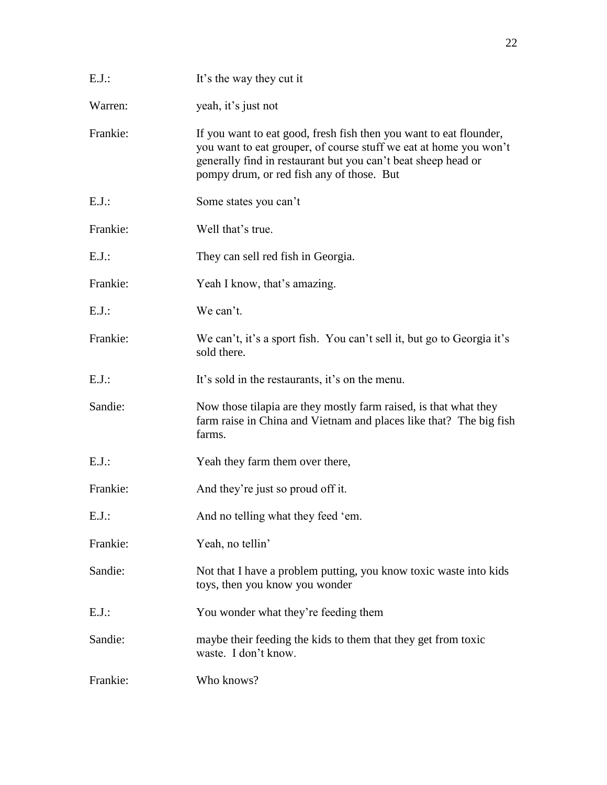| $E.J.$ : | It's the way they cut it                                                                                                                                                                                                                              |
|----------|-------------------------------------------------------------------------------------------------------------------------------------------------------------------------------------------------------------------------------------------------------|
| Warren:  | yeah, it's just not                                                                                                                                                                                                                                   |
| Frankie: | If you want to eat good, fresh fish then you want to eat flounder,<br>you want to eat grouper, of course stuff we eat at home you won't<br>generally find in restaurant but you can't beat sheep head or<br>pompy drum, or red fish any of those. But |
| $E.J.$ : | Some states you can't                                                                                                                                                                                                                                 |
| Frankie: | Well that's true.                                                                                                                                                                                                                                     |
| $E.J.$ : | They can sell red fish in Georgia.                                                                                                                                                                                                                    |
| Frankie: | Yeah I know, that's amazing.                                                                                                                                                                                                                          |
| $E.J.$ : | We can't.                                                                                                                                                                                                                                             |
| Frankie: | We can't, it's a sport fish. You can't sell it, but go to Georgia it's<br>sold there.                                                                                                                                                                 |
| $E.J.$ : | It's sold in the restaurants, it's on the menu.                                                                                                                                                                                                       |
| Sandie:  | Now those tilapia are they mostly farm raised, is that what they<br>farm raise in China and Vietnam and places like that? The big fish<br>farms.                                                                                                      |
| $E.J.$ : | Yeah they farm them over there,                                                                                                                                                                                                                       |
| Frankie: | And they're just so proud off it.                                                                                                                                                                                                                     |
| $E.J.$ : | And no telling what they feed 'em.                                                                                                                                                                                                                    |
| Frankie: | Yeah, no tellin'                                                                                                                                                                                                                                      |
| Sandie:  | Not that I have a problem putting, you know toxic waste into kids<br>toys, then you know you wonder                                                                                                                                                   |
| $E.J.$ : | You wonder what they're feeding them                                                                                                                                                                                                                  |
| Sandie:  | maybe their feeding the kids to them that they get from toxic<br>waste. I don't know.                                                                                                                                                                 |
| Frankie: | Who knows?                                                                                                                                                                                                                                            |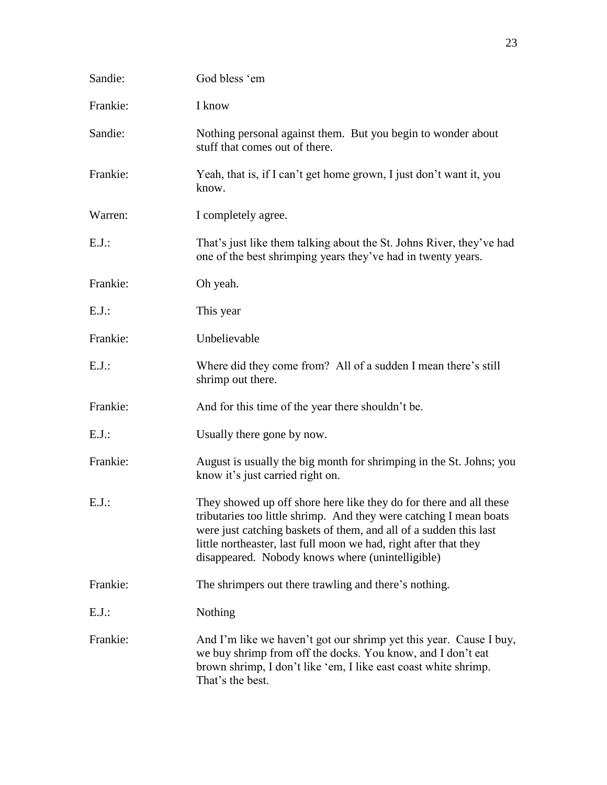| Sandie:  | God bless 'em                                                                                                                                                                                                                                                                                                                         |
|----------|---------------------------------------------------------------------------------------------------------------------------------------------------------------------------------------------------------------------------------------------------------------------------------------------------------------------------------------|
| Frankie: | I know                                                                                                                                                                                                                                                                                                                                |
| Sandie:  | Nothing personal against them. But you begin to wonder about<br>stuff that comes out of there.                                                                                                                                                                                                                                        |
| Frankie: | Yeah, that is, if I can't get home grown, I just don't want it, you<br>know.                                                                                                                                                                                                                                                          |
| Warren:  | I completely agree.                                                                                                                                                                                                                                                                                                                   |
| $E.J.$ : | That's just like them talking about the St. Johns River, they've had<br>one of the best shrimping years they've had in twenty years.                                                                                                                                                                                                  |
| Frankie: | Oh yeah.                                                                                                                                                                                                                                                                                                                              |
| $E.J.$ : | This year                                                                                                                                                                                                                                                                                                                             |
| Frankie: | Unbelievable                                                                                                                                                                                                                                                                                                                          |
| $E.J.$ : | Where did they come from? All of a sudden I mean there's still<br>shrimp out there.                                                                                                                                                                                                                                                   |
| Frankie: | And for this time of the year there shouldn't be.                                                                                                                                                                                                                                                                                     |
| $E.J.$ : | Usually there gone by now.                                                                                                                                                                                                                                                                                                            |
| Frankie: | August is usually the big month for shrimping in the St. Johns; you<br>know it's just carried right on.                                                                                                                                                                                                                               |
| $E.J.$ : | They showed up off shore here like they do for there and all these<br>tributaries too little shrimp. And they were catching I mean boats<br>were just catching baskets of them, and all of a sudden this last<br>little northeaster, last full moon we had, right after that they<br>disappeared. Nobody knows where (unintelligible) |
| Frankie: | The shrimpers out there trawling and there's nothing.                                                                                                                                                                                                                                                                                 |
| $E.J.$ : | Nothing                                                                                                                                                                                                                                                                                                                               |
| Frankie: | And I'm like we haven't got our shrimp yet this year. Cause I buy,<br>we buy shrimp from off the docks. You know, and I don't eat<br>brown shrimp, I don't like 'em, I like east coast white shrimp.<br>That's the best.                                                                                                              |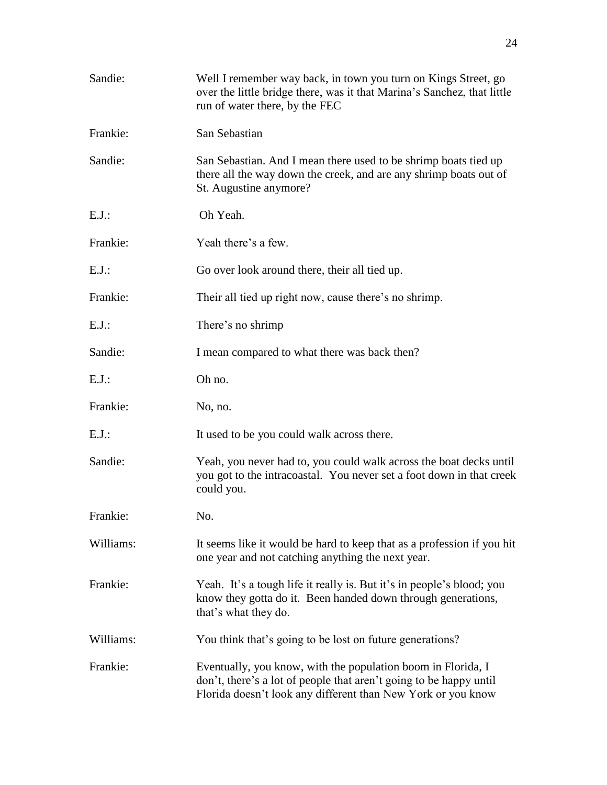| Sandie:   | Well I remember way back, in town you turn on Kings Street, go<br>over the little bridge there, was it that Marina's Sanchez, that little<br>run of water there, by the FEC                        |
|-----------|----------------------------------------------------------------------------------------------------------------------------------------------------------------------------------------------------|
| Frankie:  | San Sebastian                                                                                                                                                                                      |
| Sandie:   | San Sebastian. And I mean there used to be shrimp boats tied up<br>there all the way down the creek, and are any shrimp boats out of<br>St. Augustine anymore?                                     |
| $E.J.$ :  | Oh Yeah.                                                                                                                                                                                           |
| Frankie:  | Yeah there's a few.                                                                                                                                                                                |
| $E.J.$ :  | Go over look around there, their all tied up.                                                                                                                                                      |
| Frankie:  | Their all tied up right now, cause there's no shrimp.                                                                                                                                              |
| $E.J.$ :  | There's no shrimp                                                                                                                                                                                  |
| Sandie:   | I mean compared to what there was back then?                                                                                                                                                       |
| E.J.:     | Oh no.                                                                                                                                                                                             |
| Frankie:  | No, no.                                                                                                                                                                                            |
| $E.J.$ :  | It used to be you could walk across there.                                                                                                                                                         |
| Sandie:   | Yeah, you never had to, you could walk across the boat decks until<br>you got to the intracoastal. You never set a foot down in that creek<br>could you.                                           |
| Frankie:  | No.                                                                                                                                                                                                |
| Williams: | It seems like it would be hard to keep that as a profession if you hit<br>one year and not catching anything the next year.                                                                        |
| Frankie:  | Yeah. It's a tough life it really is. But it's in people's blood; you<br>know they gotta do it. Been handed down through generations,<br>that's what they do.                                      |
| Williams: | You think that's going to be lost on future generations?                                                                                                                                           |
| Frankie:  | Eventually, you know, with the population boom in Florida, I<br>don't, there's a lot of people that aren't going to be happy until<br>Florida doesn't look any different than New York or you know |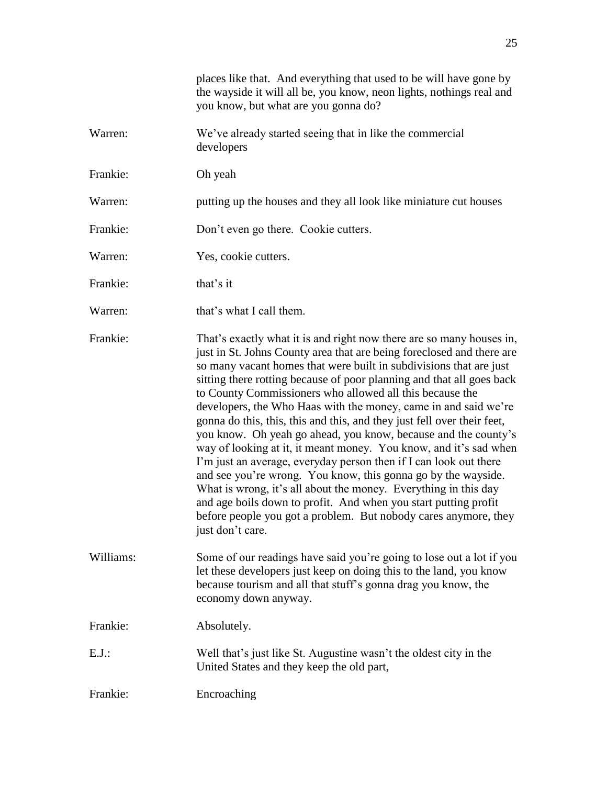places like that. And everything that used to be will have gone by the wayside it will all be, you know, neon lights, nothings real and you know, but what are you gonna do?

Warren: We've already started seeing that in like the commercial developers

Frankie: Oh yeah

Warren: putting up the houses and they all look like miniature cut houses

Frankie: Don't even go there. Cookie cutters.

Warren: Yes, cookie cutters.

Frankie: that's it

Warren: that's what I call them.

Frankie: That's exactly what it is and right now there are so many houses in, just in St. Johns County area that are being foreclosed and there are so many vacant homes that were built in subdivisions that are just sitting there rotting because of poor planning and that all goes back to County Commissioners who allowed all this because the developers, the Who Haas with the money, came in and said we're gonna do this, this, this and this, and they just fell over their feet, you know. Oh yeah go ahead, you know, because and the county's way of looking at it, it meant money. You know, and it's sad when I'm just an average, everyday person then if I can look out there and see you're wrong. You know, this gonna go by the wayside. What is wrong, it's all about the money. Everything in this day and age boils down to profit. And when you start putting profit before people you got a problem. But nobody cares anymore, they just don't care.

Williams: Some of our readings have said you're going to lose out a lot if you let these developers just keep on doing this to the land, you know because tourism and all that stuff's gonna drag you know, the economy down anyway.

Frankie: Absolutely.

E.J.: Well that's just like St. Augustine wasn't the oldest city in the United States and they keep the old part,

Frankie: Encroaching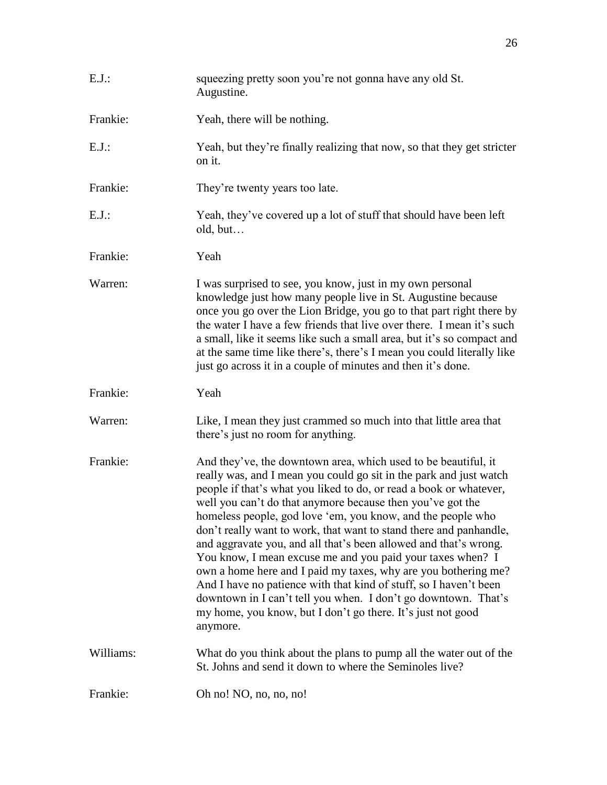| $E.J.$ :  | squeezing pretty soon you're not gonna have any old St.<br>Augustine.                                                                                                                                                                                                                                                                                                                                                                                                                                                                                                                                                                                                                                                                                                                                                               |
|-----------|-------------------------------------------------------------------------------------------------------------------------------------------------------------------------------------------------------------------------------------------------------------------------------------------------------------------------------------------------------------------------------------------------------------------------------------------------------------------------------------------------------------------------------------------------------------------------------------------------------------------------------------------------------------------------------------------------------------------------------------------------------------------------------------------------------------------------------------|
| Frankie:  | Yeah, there will be nothing.                                                                                                                                                                                                                                                                                                                                                                                                                                                                                                                                                                                                                                                                                                                                                                                                        |
| $E.J.$ :  | Yeah, but they're finally realizing that now, so that they get stricter<br>on it.                                                                                                                                                                                                                                                                                                                                                                                                                                                                                                                                                                                                                                                                                                                                                   |
| Frankie:  | They're twenty years too late.                                                                                                                                                                                                                                                                                                                                                                                                                                                                                                                                                                                                                                                                                                                                                                                                      |
| $E.J.$ :  | Yeah, they've covered up a lot of stuff that should have been left<br>old, but                                                                                                                                                                                                                                                                                                                                                                                                                                                                                                                                                                                                                                                                                                                                                      |
| Frankie:  | Yeah                                                                                                                                                                                                                                                                                                                                                                                                                                                                                                                                                                                                                                                                                                                                                                                                                                |
| Warren:   | I was surprised to see, you know, just in my own personal<br>knowledge just how many people live in St. Augustine because<br>once you go over the Lion Bridge, you go to that part right there by<br>the water I have a few friends that live over there. I mean it's such<br>a small, like it seems like such a small area, but it's so compact and<br>at the same time like there's, there's I mean you could literally like<br>just go across it in a couple of minutes and then it's done.                                                                                                                                                                                                                                                                                                                                      |
| Frankie:  | Yeah                                                                                                                                                                                                                                                                                                                                                                                                                                                                                                                                                                                                                                                                                                                                                                                                                                |
| Warren:   | Like, I mean they just crammed so much into that little area that<br>there's just no room for anything.                                                                                                                                                                                                                                                                                                                                                                                                                                                                                                                                                                                                                                                                                                                             |
| Frankie:  | And they've, the downtown area, which used to be beautiful, it<br>really was, and I mean you could go sit in the park and just watch<br>people if that's what you liked to do, or read a book or whatever,<br>well you can't do that anymore because then you've got the<br>homeless people, god love 'em, you know, and the people who<br>don't really want to work, that want to stand there and panhandle,<br>and aggravate you, and all that's been allowed and that's wrong.<br>You know, I mean excuse me and you paid your taxes when? I<br>own a home here and I paid my taxes, why are you bothering me?<br>And I have no patience with that kind of stuff, so I haven't been<br>downtown in I can't tell you when. I don't go downtown. That's<br>my home, you know, but I don't go there. It's just not good<br>anymore. |
| Williams: | What do you think about the plans to pump all the water out of the<br>St. Johns and send it down to where the Seminoles live?                                                                                                                                                                                                                                                                                                                                                                                                                                                                                                                                                                                                                                                                                                       |
| Frankie:  | Oh no! NO, no, no, no!                                                                                                                                                                                                                                                                                                                                                                                                                                                                                                                                                                                                                                                                                                                                                                                                              |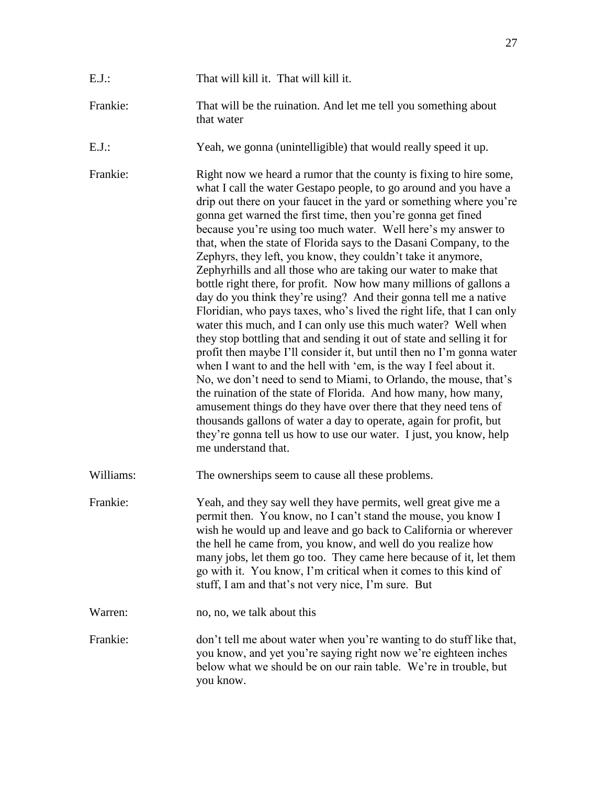| That will kill it. That will kill it. |
|---------------------------------------|
|                                       |

Frankie: That will be the ruination. And let me tell you something about that water

E.J.: Yeah, we gonna (unintelligible) that would really speed it up.

Frankie: Right now we heard a rumor that the county is fixing to hire some, what I call the water Gestapo people, to go around and you have a drip out there on your faucet in the yard or something where you're gonna get warned the first time, then you're gonna get fined because you're using too much water. Well here's my answer to that, when the state of Florida says to the Dasani Company, to the Zephyrs, they left, you know, they couldn't take it anymore, Zephyrhills and all those who are taking our water to make that bottle right there, for profit. Now how many millions of gallons a day do you think they're using? And their gonna tell me a native Floridian, who pays taxes, who's lived the right life, that I can only water this much, and I can only use this much water? Well when they stop bottling that and sending it out of state and selling it for profit then maybe I'll consider it, but until then no I'm gonna water when I want to and the hell with 'em, is the way I feel about it. No, we don't need to send to Miami, to Orlando, the mouse, that's the ruination of the state of Florida. And how many, how many, amusement things do they have over there that they need tens of thousands gallons of water a day to operate, again for profit, but they're gonna tell us how to use our water. I just, you know, help me understand that.

Williams: The ownerships seem to cause all these problems.

Frankie: Yeah, and they say well they have permits, well great give me a permit then. You know, no I can't stand the mouse, you know I wish he would up and leave and go back to California or wherever the hell he came from, you know, and well do you realize how many jobs, let them go too. They came here because of it, let them go with it. You know, I'm critical when it comes to this kind of stuff, I am and that's not very nice, I'm sure. But

Warren: no, no, we talk about this

Frankie: don't tell me about water when you're wanting to do stuff like that, you know, and yet you're saying right now we're eighteen inches below what we should be on our rain table. We're in trouble, but you know.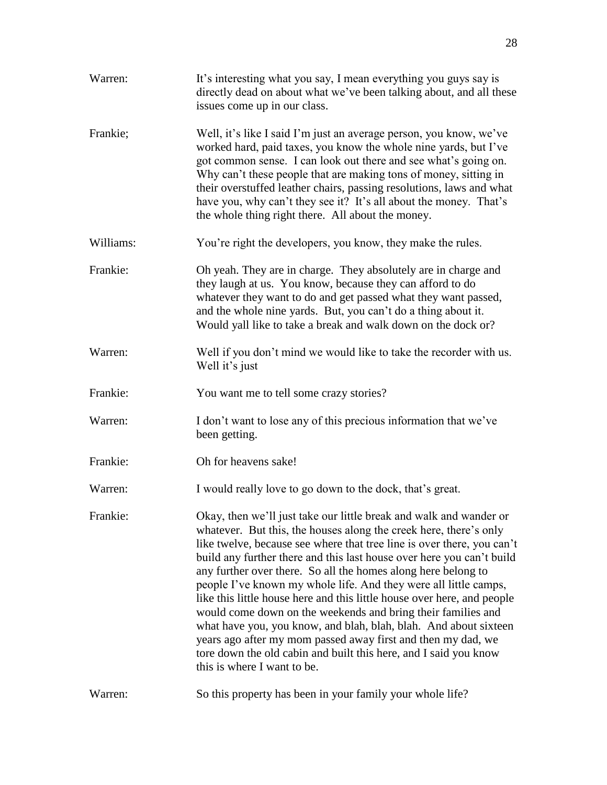| Warren:   | It's interesting what you say, I mean everything you guys say is<br>directly dead on about what we've been talking about, and all these<br>issues come up in our class.                                                                                                                                                                                                                                                                                                                                                                                                                                                                                                                                                                                                                                           |
|-----------|-------------------------------------------------------------------------------------------------------------------------------------------------------------------------------------------------------------------------------------------------------------------------------------------------------------------------------------------------------------------------------------------------------------------------------------------------------------------------------------------------------------------------------------------------------------------------------------------------------------------------------------------------------------------------------------------------------------------------------------------------------------------------------------------------------------------|
| Frankie;  | Well, it's like I said I'm just an average person, you know, we've<br>worked hard, paid taxes, you know the whole nine yards, but I've<br>got common sense. I can look out there and see what's going on.<br>Why can't these people that are making tons of money, sitting in<br>their overstuffed leather chairs, passing resolutions, laws and what<br>have you, why can't they see it? It's all about the money. That's<br>the whole thing right there. All about the money.                                                                                                                                                                                                                                                                                                                                   |
| Williams: | You're right the developers, you know, they make the rules.                                                                                                                                                                                                                                                                                                                                                                                                                                                                                                                                                                                                                                                                                                                                                       |
| Frankie:  | Oh yeah. They are in charge. They absolutely are in charge and<br>they laugh at us. You know, because they can afford to do<br>whatever they want to do and get passed what they want passed,<br>and the whole nine yards. But, you can't do a thing about it.<br>Would yall like to take a break and walk down on the dock or?                                                                                                                                                                                                                                                                                                                                                                                                                                                                                   |
| Warren:   | Well if you don't mind we would like to take the recorder with us.<br>Well it's just                                                                                                                                                                                                                                                                                                                                                                                                                                                                                                                                                                                                                                                                                                                              |
| Frankie:  | You want me to tell some crazy stories?                                                                                                                                                                                                                                                                                                                                                                                                                                                                                                                                                                                                                                                                                                                                                                           |
| Warren:   | I don't want to lose any of this precious information that we've<br>been getting.                                                                                                                                                                                                                                                                                                                                                                                                                                                                                                                                                                                                                                                                                                                                 |
| Frankie:  | Oh for heavens sake!                                                                                                                                                                                                                                                                                                                                                                                                                                                                                                                                                                                                                                                                                                                                                                                              |
| Warren:   | I would really love to go down to the dock, that's great.                                                                                                                                                                                                                                                                                                                                                                                                                                                                                                                                                                                                                                                                                                                                                         |
| Frankie:  | Okay, then we'll just take our little break and walk and wander or<br>whatever. But this, the houses along the creek here, there's only<br>like twelve, because see where that tree line is over there, you can't<br>build any further there and this last house over here you can't build<br>any further over there. So all the homes along here belong to<br>people I've known my whole life. And they were all little camps,<br>like this little house here and this little house over here, and people<br>would come down on the weekends and bring their families and<br>what have you, you know, and blah, blah, blah. And about sixteen<br>years ago after my mom passed away first and then my dad, we<br>tore down the old cabin and built this here, and I said you know<br>this is where I want to be. |
| Warren:   | So this property has been in your family your whole life?                                                                                                                                                                                                                                                                                                                                                                                                                                                                                                                                                                                                                                                                                                                                                         |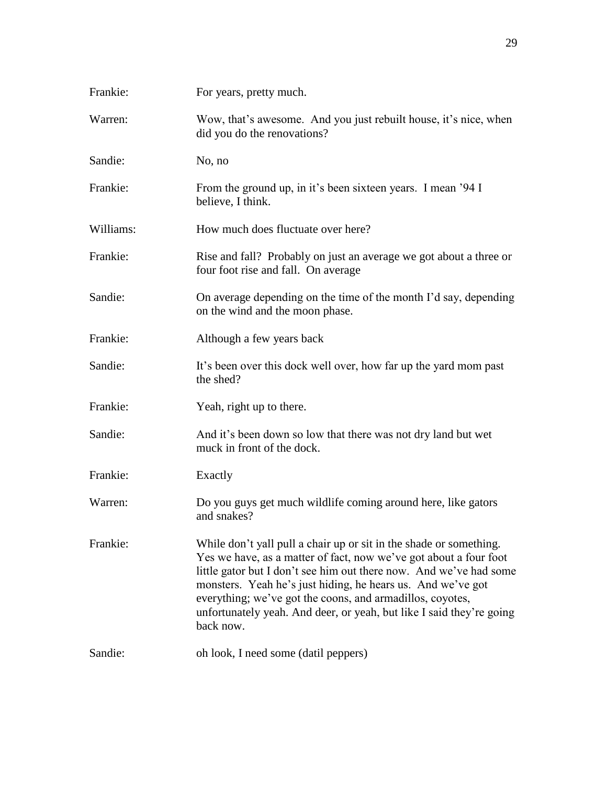| Frankie:  | For years, pretty much.                                                                                                                                                                                                                                                                                                                                                                                                        |
|-----------|--------------------------------------------------------------------------------------------------------------------------------------------------------------------------------------------------------------------------------------------------------------------------------------------------------------------------------------------------------------------------------------------------------------------------------|
| Warren:   | Wow, that's awesome. And you just rebuilt house, it's nice, when<br>did you do the renovations?                                                                                                                                                                                                                                                                                                                                |
| Sandie:   | No, no                                                                                                                                                                                                                                                                                                                                                                                                                         |
| Frankie:  | From the ground up, in it's been sixteen years. I mean '94 I<br>believe, I think.                                                                                                                                                                                                                                                                                                                                              |
| Williams: | How much does fluctuate over here?                                                                                                                                                                                                                                                                                                                                                                                             |
| Frankie:  | Rise and fall? Probably on just an average we got about a three or<br>four foot rise and fall. On average                                                                                                                                                                                                                                                                                                                      |
| Sandie:   | On average depending on the time of the month I'd say, depending<br>on the wind and the moon phase.                                                                                                                                                                                                                                                                                                                            |
| Frankie:  | Although a few years back                                                                                                                                                                                                                                                                                                                                                                                                      |
| Sandie:   | It's been over this dock well over, how far up the yard mom past<br>the shed?                                                                                                                                                                                                                                                                                                                                                  |
| Frankie:  | Yeah, right up to there.                                                                                                                                                                                                                                                                                                                                                                                                       |
| Sandie:   | And it's been down so low that there was not dry land but wet<br>muck in front of the dock.                                                                                                                                                                                                                                                                                                                                    |
| Frankie:  | Exactly                                                                                                                                                                                                                                                                                                                                                                                                                        |
| Warren:   | Do you guys get much wildlife coming around here, like gators<br>and snakes?                                                                                                                                                                                                                                                                                                                                                   |
| Frankie:  | While don't yall pull a chair up or sit in the shade or something.<br>Yes we have, as a matter of fact, now we've got about a four foot<br>little gator but I don't see him out there now. And we've had some<br>monsters. Yeah he's just hiding, he hears us. And we've got<br>everything; we've got the coons, and armadillos, coyotes,<br>unfortunately yeah. And deer, or yeah, but like I said they're going<br>back now. |
| Sandie:   | oh look, I need some (datil peppers)                                                                                                                                                                                                                                                                                                                                                                                           |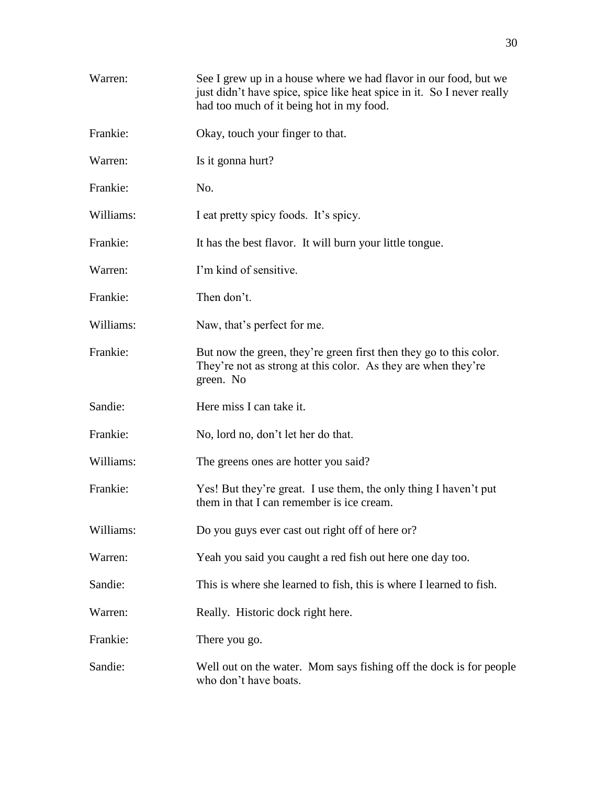| Warren:   | See I grew up in a house where we had flavor in our food, but we<br>just didn't have spice, spice like heat spice in it. So I never really<br>had too much of it being hot in my food. |
|-----------|----------------------------------------------------------------------------------------------------------------------------------------------------------------------------------------|
| Frankie:  | Okay, touch your finger to that.                                                                                                                                                       |
| Warren:   | Is it gonna hurt?                                                                                                                                                                      |
| Frankie:  | No.                                                                                                                                                                                    |
| Williams: | I eat pretty spicy foods. It's spicy.                                                                                                                                                  |
| Frankie:  | It has the best flavor. It will burn your little tongue.                                                                                                                               |
| Warren:   | I'm kind of sensitive.                                                                                                                                                                 |
| Frankie:  | Then don't.                                                                                                                                                                            |
| Williams: | Naw, that's perfect for me.                                                                                                                                                            |
| Frankie:  | But now the green, they're green first then they go to this color.<br>They're not as strong at this color. As they are when they're<br>green. No                                       |
| Sandie:   | Here miss I can take it.                                                                                                                                                               |
| Frankie:  | No, lord no, don't let her do that.                                                                                                                                                    |
| Williams: | The greens ones are hotter you said?                                                                                                                                                   |
| Frankie:  | Yes! But they're great. I use them, the only thing I haven't put<br>them in that I can remember is ice cream.                                                                          |
| Williams: | Do you guys ever cast out right off of here or?                                                                                                                                        |
| Warren:   | Yeah you said you caught a red fish out here one day too.                                                                                                                              |
| Sandie:   | This is where she learned to fish, this is where I learned to fish.                                                                                                                    |
| Warren:   | Really. Historic dock right here.                                                                                                                                                      |
| Frankie:  | There you go.                                                                                                                                                                          |
| Sandie:   | Well out on the water. Mom says fishing off the dock is for people<br>who don't have boats.                                                                                            |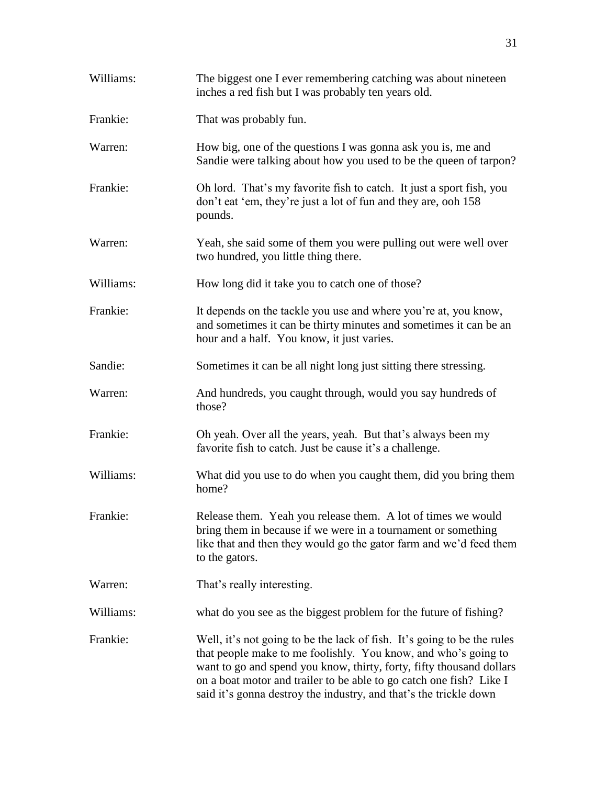| Williams: | The biggest one I ever remembering catching was about nineteen<br>inches a red fish but I was probably ten years old.                                                                                                                                                                    |
|-----------|------------------------------------------------------------------------------------------------------------------------------------------------------------------------------------------------------------------------------------------------------------------------------------------|
| Frankie:  | That was probably fun.                                                                                                                                                                                                                                                                   |
| Warren:   | How big, one of the questions I was gonna ask you is, me and<br>Sandie were talking about how you used to be the queen of tarpon?                                                                                                                                                        |
| Frankie:  | Oh lord. That's my favorite fish to catch. It just a sport fish, you<br>don't eat 'em, they're just a lot of fun and they are, ooh 158<br>pounds.                                                                                                                                        |
| Warren:   | Yeah, she said some of them you were pulling out were well over<br>two hundred, you little thing there.                                                                                                                                                                                  |
| Williams: | How long did it take you to catch one of those?                                                                                                                                                                                                                                          |
| Frankie:  | It depends on the tackle you use and where you're at, you know,<br>and sometimes it can be thirty minutes and sometimes it can be an<br>hour and a half. You know, it just varies.                                                                                                       |
| Sandie:   | Sometimes it can be all night long just sitting there stressing.                                                                                                                                                                                                                         |
| Warren:   | And hundreds, you caught through, would you say hundreds of<br>those?                                                                                                                                                                                                                    |
| Frankie:  | Oh yeah. Over all the years, yeah. But that's always been my<br>favorite fish to catch. Just be cause it's a challenge.                                                                                                                                                                  |
| Williams: | What did you use to do when you caught them, did you bring them<br>home?                                                                                                                                                                                                                 |
| Frankie:  | Release them. Yeah you release them. A lot of times we would<br>bring them in because if we were in a tournament or something<br>like that and then they would go the gator farm and we'd feed them<br>to the gators.                                                                    |
| Warren:   | That's really interesting.                                                                                                                                                                                                                                                               |
| Williams: | what do you see as the biggest problem for the future of fishing?                                                                                                                                                                                                                        |
| Frankie:  | Well, it's not going to be the lack of fish. It's going to be the rules<br>that people make to me foolishly. You know, and who's going to<br>want to go and spend you know, thirty, forty, fifty thousand dollars<br>on a boat motor and trailer to be able to go catch one fish? Like I |

said it's gonna destroy the industry, and that's the trickle down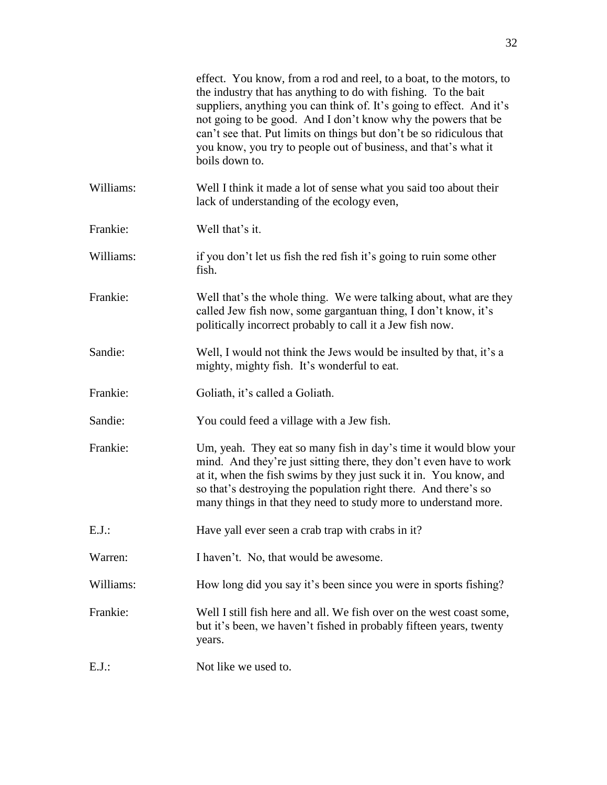|           | effect. You know, from a rod and reel, to a boat, to the motors, to<br>the industry that has anything to do with fishing. To the bait<br>suppliers, anything you can think of. It's going to effect. And it's<br>not going to be good. And I don't know why the powers that be<br>can't see that. Put limits on things but don't be so ridiculous that<br>you know, you try to people out of business, and that's what it<br>boils down to. |
|-----------|---------------------------------------------------------------------------------------------------------------------------------------------------------------------------------------------------------------------------------------------------------------------------------------------------------------------------------------------------------------------------------------------------------------------------------------------|
| Williams: | Well I think it made a lot of sense what you said too about their<br>lack of understanding of the ecology even,                                                                                                                                                                                                                                                                                                                             |
| Frankie:  | Well that's it.                                                                                                                                                                                                                                                                                                                                                                                                                             |
| Williams: | if you don't let us fish the red fish it's going to ruin some other<br>fish.                                                                                                                                                                                                                                                                                                                                                                |
| Frankie:  | Well that's the whole thing. We were talking about, what are they<br>called Jew fish now, some gargantuan thing, I don't know, it's<br>politically incorrect probably to call it a Jew fish now.                                                                                                                                                                                                                                            |
| Sandie:   | Well, I would not think the Jews would be insulted by that, it's a<br>mighty, mighty fish. It's wonderful to eat.                                                                                                                                                                                                                                                                                                                           |
| Frankie:  | Goliath, it's called a Goliath.                                                                                                                                                                                                                                                                                                                                                                                                             |
| Sandie:   | You could feed a village with a Jew fish.                                                                                                                                                                                                                                                                                                                                                                                                   |
| Frankie:  | Um, yeah. They eat so many fish in day's time it would blow your<br>mind. And they're just sitting there, they don't even have to work<br>at it, when the fish swims by they just suck it in. You know, and<br>so that's destroying the population right there. And there's so<br>many things in that they need to study more to understand more.                                                                                           |
| $E.J.$ :  | Have yall ever seen a crab trap with crabs in it?                                                                                                                                                                                                                                                                                                                                                                                           |
| Warren:   | I haven't. No, that would be awesome.                                                                                                                                                                                                                                                                                                                                                                                                       |
| Williams: | How long did you say it's been since you were in sports fishing?                                                                                                                                                                                                                                                                                                                                                                            |
| Frankie:  | Well I still fish here and all. We fish over on the west coast some,<br>but it's been, we haven't fished in probably fifteen years, twenty<br>years.                                                                                                                                                                                                                                                                                        |
| $E.J.$ :  | Not like we used to.                                                                                                                                                                                                                                                                                                                                                                                                                        |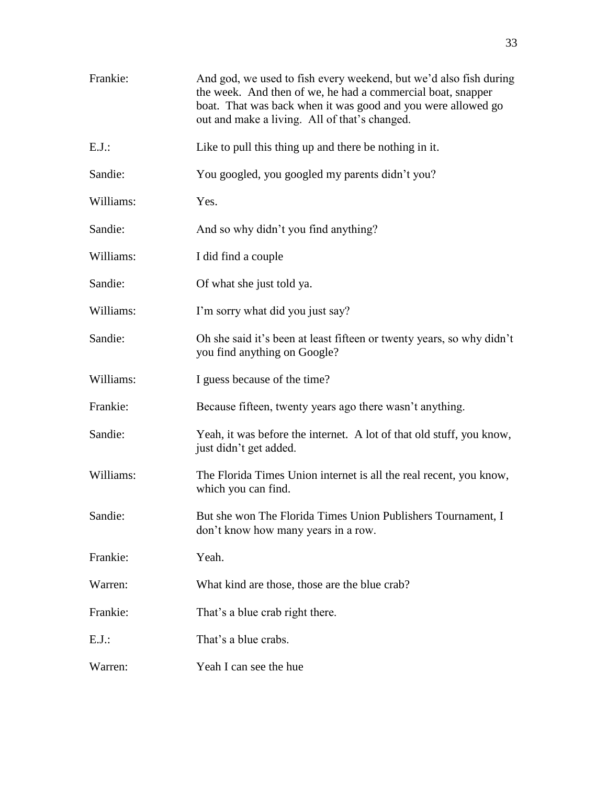| Frankie:  | And god, we used to fish every weekend, but we'd also fish during<br>the week. And then of we, he had a commercial boat, snapper<br>boat. That was back when it was good and you were allowed go<br>out and make a living. All of that's changed. |
|-----------|---------------------------------------------------------------------------------------------------------------------------------------------------------------------------------------------------------------------------------------------------|
| $E.J.$ :  | Like to pull this thing up and there be nothing in it.                                                                                                                                                                                            |
| Sandie:   | You googled, you googled my parents didn't you?                                                                                                                                                                                                   |
| Williams: | Yes.                                                                                                                                                                                                                                              |
| Sandie:   | And so why didn't you find anything?                                                                                                                                                                                                              |
| Williams: | I did find a couple                                                                                                                                                                                                                               |
| Sandie:   | Of what she just told ya.                                                                                                                                                                                                                         |
| Williams: | I'm sorry what did you just say?                                                                                                                                                                                                                  |
| Sandie:   | Oh she said it's been at least fifteen or twenty years, so why didn't<br>you find anything on Google?                                                                                                                                             |
| Williams: | I guess because of the time?                                                                                                                                                                                                                      |
| Frankie:  | Because fifteen, twenty years ago there wasn't anything.                                                                                                                                                                                          |
| Sandie:   | Yeah, it was before the internet. A lot of that old stuff, you know,<br>just didn't get added.                                                                                                                                                    |
| Williams: | The Florida Times Union internet is all the real recent, you know,<br>which you can find.                                                                                                                                                         |
| Sandie:   | But she won The Florida Times Union Publishers Tournament, I<br>don't know how many years in a row.                                                                                                                                               |
| Frankie:  | Yeah.                                                                                                                                                                                                                                             |
| Warren:   | What kind are those, those are the blue crab?                                                                                                                                                                                                     |
| Frankie:  | That's a blue crab right there.                                                                                                                                                                                                                   |
| $E.J.$ :  | That's a blue crabs.                                                                                                                                                                                                                              |
| Warren:   | Yeah I can see the hue                                                                                                                                                                                                                            |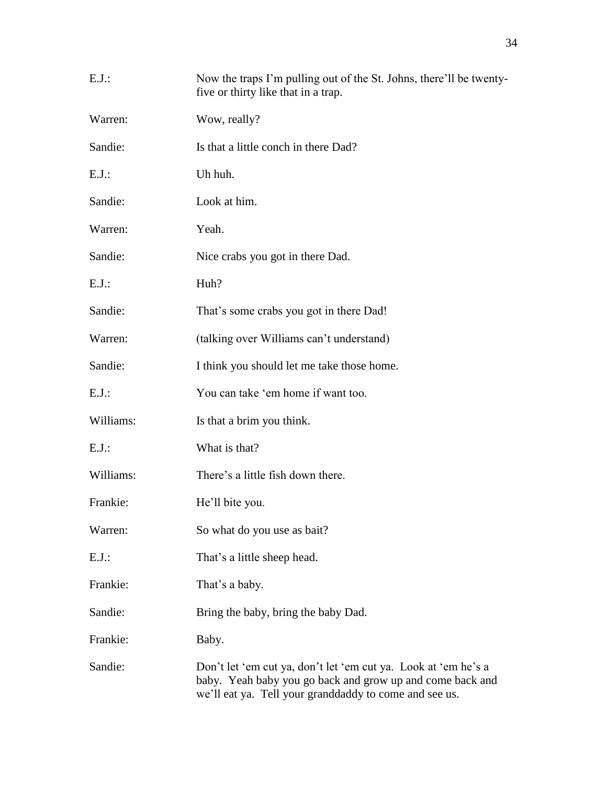| $E.J.$ :  | Now the traps I'm pulling out of the St. Johns, there'll be twenty-<br>five or thirty like that in a trap.                                                                            |
|-----------|---------------------------------------------------------------------------------------------------------------------------------------------------------------------------------------|
| Warren:   | Wow, really?                                                                                                                                                                          |
| Sandie:   | Is that a little conch in there Dad?                                                                                                                                                  |
| E.J.:     | Uh huh.                                                                                                                                                                               |
| Sandie:   | Look at him.                                                                                                                                                                          |
| Warren:   | Yeah.                                                                                                                                                                                 |
| Sandie:   | Nice crabs you got in there Dad.                                                                                                                                                      |
| $E.J.$ :  | Huh?                                                                                                                                                                                  |
| Sandie:   | That's some crabs you got in there Dad!                                                                                                                                               |
| Warren:   | (talking over Williams can't understand)                                                                                                                                              |
| Sandie:   | I think you should let me take those home.                                                                                                                                            |
| E.J.:     | You can take 'em home if want too.                                                                                                                                                    |
| Williams: | Is that a brim you think.                                                                                                                                                             |
| $E.J.$ :  | What is that?                                                                                                                                                                         |
| Williams: | There's a little fish down there.                                                                                                                                                     |
| Frankie:  | He'll bite you.                                                                                                                                                                       |
| Warren:   | So what do you use as bait?                                                                                                                                                           |
| $E.J.$ :  | That's a little sheep head.                                                                                                                                                           |
| Frankie:  | That's a baby.                                                                                                                                                                        |
| Sandie:   | Bring the baby, bring the baby Dad.                                                                                                                                                   |
| Frankie:  | Baby.                                                                                                                                                                                 |
| Sandie:   | Don't let 'em cut ya, don't let 'em cut ya. Look at 'em he's a<br>baby. Yeah baby you go back and grow up and come back and<br>we'll eat ya. Tell your granddaddy to come and see us. |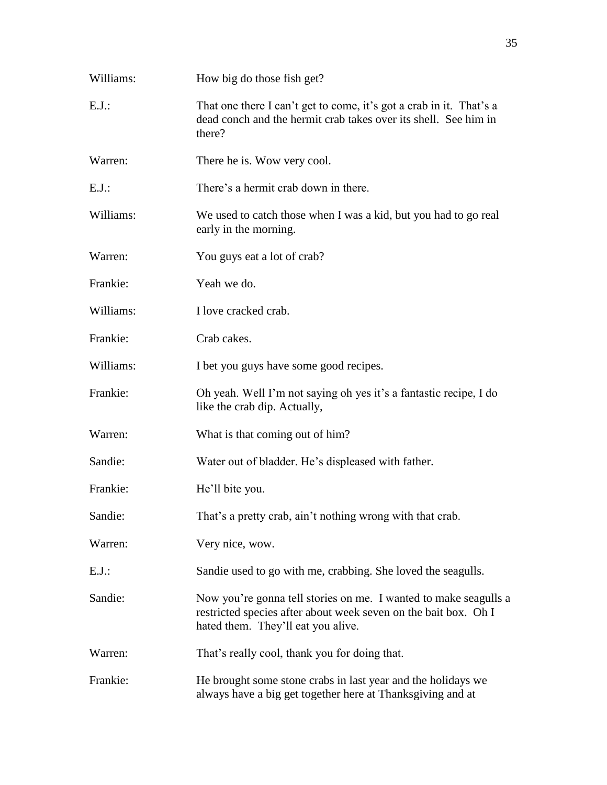| Williams: | How big do those fish get?                                                                                                                                                |
|-----------|---------------------------------------------------------------------------------------------------------------------------------------------------------------------------|
| $E.J.$ :  | That one there I can't get to come, it's got a crab in it. That's a<br>dead conch and the hermit crab takes over its shell. See him in<br>there?                          |
| Warren:   | There he is. Wow very cool.                                                                                                                                               |
| E.J.      | There's a hermit crab down in there.                                                                                                                                      |
| Williams: | We used to catch those when I was a kid, but you had to go real<br>early in the morning.                                                                                  |
| Warren:   | You guys eat a lot of crab?                                                                                                                                               |
| Frankie:  | Yeah we do.                                                                                                                                                               |
| Williams: | I love cracked crab.                                                                                                                                                      |
| Frankie:  | Crab cakes.                                                                                                                                                               |
| Williams: | I bet you guys have some good recipes.                                                                                                                                    |
| Frankie:  | Oh yeah. Well I'm not saying oh yes it's a fantastic recipe, I do<br>like the crab dip. Actually,                                                                         |
| Warren:   | What is that coming out of him?                                                                                                                                           |
| Sandie:   | Water out of bladder. He's displeased with father.                                                                                                                        |
| Frankie:  | He'll bite you.                                                                                                                                                           |
| Sandie:   | That's a pretty crab, ain't nothing wrong with that crab.                                                                                                                 |
| Warren:   | Very nice, wow.                                                                                                                                                           |
| $E.J.$ :  | Sandie used to go with me, crabbing. She loved the seagulls.                                                                                                              |
| Sandie:   | Now you're gonna tell stories on me. I wanted to make seagulls a<br>restricted species after about week seven on the bait box. Oh I<br>hated them. They'll eat you alive. |
| Warren:   | That's really cool, thank you for doing that.                                                                                                                             |
| Frankie:  | He brought some stone crabs in last year and the holidays we<br>always have a big get together here at Thanksgiving and at                                                |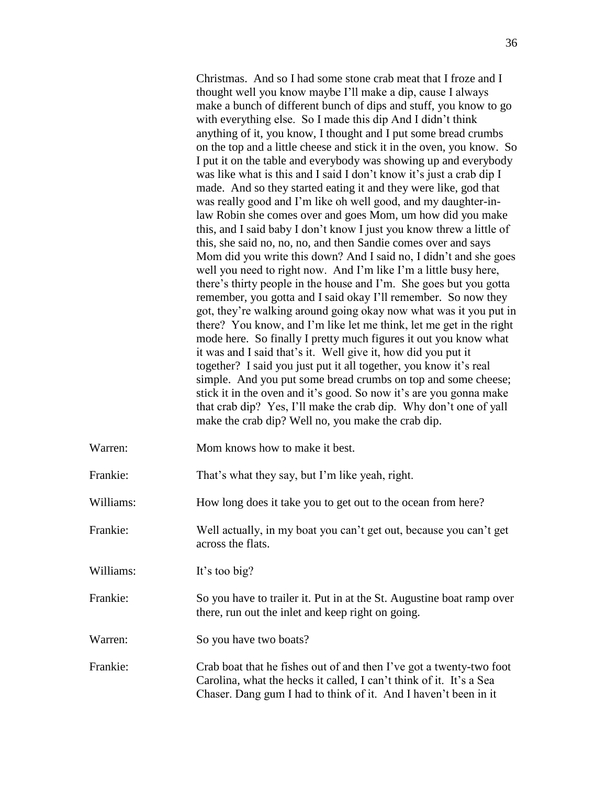Christmas. And so I had some stone crab meat that I froze and I thought well you know maybe I'll make a dip, cause I always make a bunch of different bunch of dips and stuff, you know to go with everything else. So I made this dip And I didn't think anything of it, you know, I thought and I put some bread crumbs on the top and a little cheese and stick it in the oven, you know. So I put it on the table and everybody was showing up and everybody was like what is this and I said I don't know it's just a crab dip I made. And so they started eating it and they were like, god that was really good and I'm like oh well good, and my daughter-inlaw Robin she comes over and goes Mom, um how did you make this, and I said baby I don't know I just you know threw a little of this, she said no, no, no, and then Sandie comes over and says Mom did you write this down? And I said no, I didn't and she goes well you need to right now. And I'm like I'm a little busy here, there's thirty people in the house and I'm. She goes but you gotta remember, you gotta and I said okay I'll remember. So now they got, they're walking around going okay now what was it you put in there? You know, and I'm like let me think, let me get in the right mode here. So finally I pretty much figures it out you know what it was and I said that's it. Well give it, how did you put it together? I said you just put it all together, you know it's real simple. And you put some bread crumbs on top and some cheese; stick it in the oven and it's good. So now it's are you gonna make that crab dip? Yes, I'll make the crab dip. Why don't one of yall make the crab dip? Well no, you make the crab dip.

Warren: Mom knows how to make it best.

Frankie: That's what they say, but I'm like yeah, right.

Williams: How long does it take you to get out to the ocean from here?

Frankie: Well actually, in my boat you can't get out, because you can't get across the flats.

Williams: It's too big?

Frankie: So you have to trailer it. Put in at the St. Augustine boat ramp over there, run out the inlet and keep right on going.

Warren: So you have two boats?

Frankie: Crab boat that he fishes out of and then I've got a twenty-two foot Carolina, what the hecks it called, I can't think of it. It's a Sea Chaser. Dang gum I had to think of it. And I haven't been in it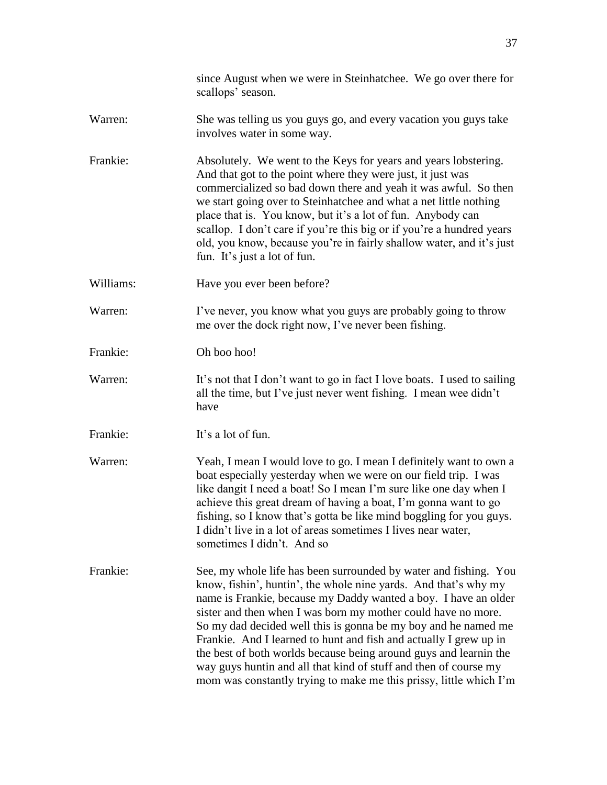|           | since August when we were in Steinhatchee. We go over there for<br>scallops' season.                                                                                                                                                                                                                                                                                                                                                                                                                                                                                                                                          |
|-----------|-------------------------------------------------------------------------------------------------------------------------------------------------------------------------------------------------------------------------------------------------------------------------------------------------------------------------------------------------------------------------------------------------------------------------------------------------------------------------------------------------------------------------------------------------------------------------------------------------------------------------------|
| Warren:   | She was telling us you guys go, and every vacation you guys take<br>involves water in some way.                                                                                                                                                                                                                                                                                                                                                                                                                                                                                                                               |
| Frankie:  | Absolutely. We went to the Keys for years and years lobstering.<br>And that got to the point where they were just, it just was<br>commercialized so bad down there and yeah it was awful. So then<br>we start going over to Steinhatchee and what a net little nothing<br>place that is. You know, but it's a lot of fun. Anybody can<br>scallop. I don't care if you're this big or if you're a hundred years<br>old, you know, because you're in fairly shallow water, and it's just<br>fun. It's just a lot of fun.                                                                                                        |
| Williams: | Have you ever been before?                                                                                                                                                                                                                                                                                                                                                                                                                                                                                                                                                                                                    |
| Warren:   | I've never, you know what you guys are probably going to throw<br>me over the dock right now, I've never been fishing.                                                                                                                                                                                                                                                                                                                                                                                                                                                                                                        |
| Frankie:  | Oh boo hoo!                                                                                                                                                                                                                                                                                                                                                                                                                                                                                                                                                                                                                   |
| Warren:   | It's not that I don't want to go in fact I love boats. I used to sailing<br>all the time, but I've just never went fishing. I mean wee didn't<br>have                                                                                                                                                                                                                                                                                                                                                                                                                                                                         |
| Frankie:  | It's a lot of fun.                                                                                                                                                                                                                                                                                                                                                                                                                                                                                                                                                                                                            |
| Warren:   | Yeah, I mean I would love to go. I mean I definitely want to own a<br>boat especially yesterday when we were on our field trip. I was<br>like dangit I need a boat! So I mean I'm sure like one day when I<br>achieve this great dream of having a boat, I'm gonna want to go<br>fishing, so I know that's gotta be like mind boggling for you guys.<br>I didn't live in a lot of areas sometimes I lives near water,<br>sometimes I didn't. And so                                                                                                                                                                           |
| Frankie:  | See, my whole life has been surrounded by water and fishing. You<br>know, fishin', huntin', the whole nine yards. And that's why my<br>name is Frankie, because my Daddy wanted a boy. I have an older<br>sister and then when I was born my mother could have no more.<br>So my dad decided well this is gonna be my boy and he named me<br>Frankie. And I learned to hunt and fish and actually I grew up in<br>the best of both worlds because being around guys and learnin the<br>way guys huntin and all that kind of stuff and then of course my<br>mom was constantly trying to make me this prissy, little which I'm |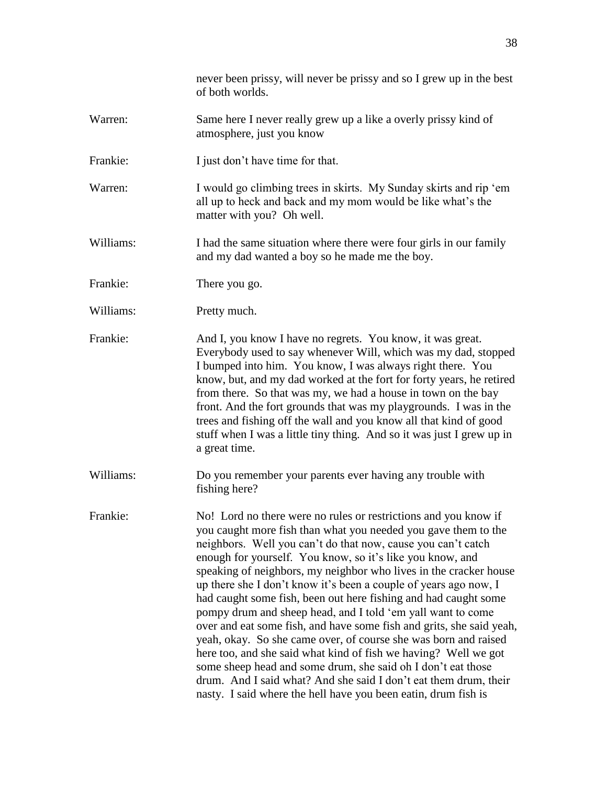never been prissy, will never be prissy and so I grew up in the best of both worlds. Warren: Same here I never really grew up a like a overly prissy kind of atmosphere, just you know Frankie: I just don't have time for that. Warren: I would go climbing trees in skirts. My Sunday skirts and rip 'em all up to heck and back and my mom would be like what's the matter with you? Oh well. Williams: I had the same situation where there were four girls in our family and my dad wanted a boy so he made me the boy. Frankie: There you go. Williams: Pretty much. Frankie: And I, you know I have no regrets. You know, it was great. Everybody used to say whenever Will, which was my dad, stopped I bumped into him. You know, I was always right there. You know, but, and my dad worked at the fort for forty years, he retired from there. So that was my, we had a house in town on the bay front. And the fort grounds that was my playgrounds. I was in the trees and fishing off the wall and you know all that kind of good stuff when I was a little tiny thing. And so it was just I grew up in a great time. Williams: Do you remember your parents ever having any trouble with fishing here? Frankie: No! Lord no there were no rules or restrictions and you know if you caught more fish than what you needed you gave them to the neighbors. Well you can't do that now, cause you can't catch enough for yourself. You know, so it's like you know, and speaking of neighbors, my neighbor who lives in the cracker house up there she I don't know it's been a couple of years ago now, I had caught some fish, been out here fishing and had caught some pompy drum and sheep head, and I told 'em yall want to come over and eat some fish, and have some fish and grits, she said yeah, yeah, okay. So she came over, of course she was born and raised here too, and she said what kind of fish we having? Well we got some sheep head and some drum, she said oh I don't eat those drum. And I said what? And she said I don't eat them drum, their nasty. I said where the hell have you been eatin, drum fish is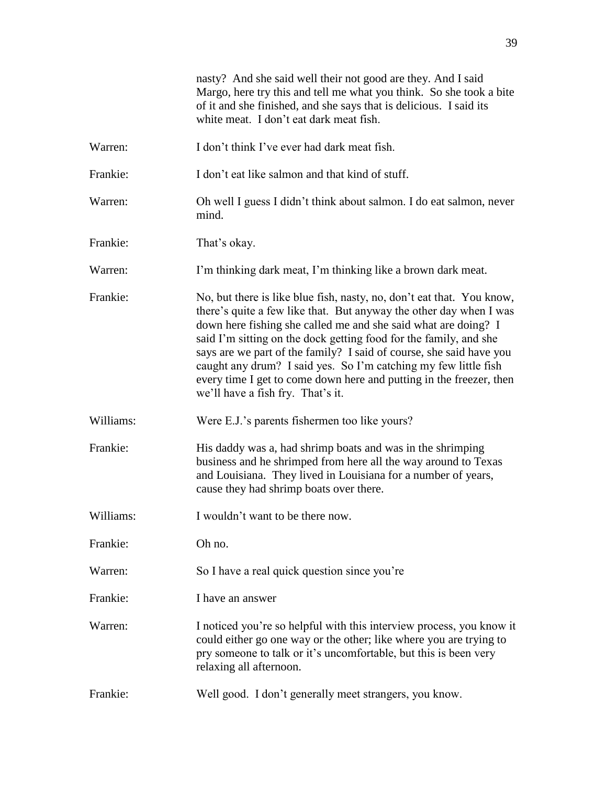|           | nasty? And she said well their not good are they. And I said<br>Margo, here try this and tell me what you think. So she took a bite<br>of it and she finished, and she says that is delicious. I said its<br>white meat. I don't eat dark meat fish.                                                                                                                                                                                                                                                                                     |
|-----------|------------------------------------------------------------------------------------------------------------------------------------------------------------------------------------------------------------------------------------------------------------------------------------------------------------------------------------------------------------------------------------------------------------------------------------------------------------------------------------------------------------------------------------------|
| Warren:   | I don't think I've ever had dark meat fish.                                                                                                                                                                                                                                                                                                                                                                                                                                                                                              |
| Frankie:  | I don't eat like salmon and that kind of stuff.                                                                                                                                                                                                                                                                                                                                                                                                                                                                                          |
| Warren:   | Oh well I guess I didn't think about salmon. I do eat salmon, never<br>mind.                                                                                                                                                                                                                                                                                                                                                                                                                                                             |
| Frankie:  | That's okay.                                                                                                                                                                                                                                                                                                                                                                                                                                                                                                                             |
| Warren:   | I'm thinking dark meat, I'm thinking like a brown dark meat.                                                                                                                                                                                                                                                                                                                                                                                                                                                                             |
| Frankie:  | No, but there is like blue fish, nasty, no, don't eat that. You know,<br>there's quite a few like that. But anyway the other day when I was<br>down here fishing she called me and she said what are doing? I<br>said I'm sitting on the dock getting food for the family, and she<br>says are we part of the family? I said of course, she said have you<br>caught any drum? I said yes. So I'm catching my few little fish<br>every time I get to come down here and putting in the freezer, then<br>we'll have a fish fry. That's it. |
| Williams: | Were E.J.'s parents fishermen too like yours?                                                                                                                                                                                                                                                                                                                                                                                                                                                                                            |
| Frankie:  | His daddy was a, had shrimp boats and was in the shrimping<br>business and he shrimped from here all the way around to Texas<br>and Louisiana. They lived in Louisiana for a number of years,<br>cause they had shrimp boats over there.                                                                                                                                                                                                                                                                                                 |
| Williams: | I wouldn't want to be there now                                                                                                                                                                                                                                                                                                                                                                                                                                                                                                          |
| Frankie:  | Oh no.                                                                                                                                                                                                                                                                                                                                                                                                                                                                                                                                   |
| Warren:   | So I have a real quick question since you're                                                                                                                                                                                                                                                                                                                                                                                                                                                                                             |
| Frankie:  | I have an answer                                                                                                                                                                                                                                                                                                                                                                                                                                                                                                                         |
| Warren:   | I noticed you're so helpful with this interview process, you know it<br>could either go one way or the other; like where you are trying to<br>pry someone to talk or it's uncomfortable, but this is been very<br>relaxing all afternoon.                                                                                                                                                                                                                                                                                                |
| Frankie:  | Well good. I don't generally meet strangers, you know.                                                                                                                                                                                                                                                                                                                                                                                                                                                                                   |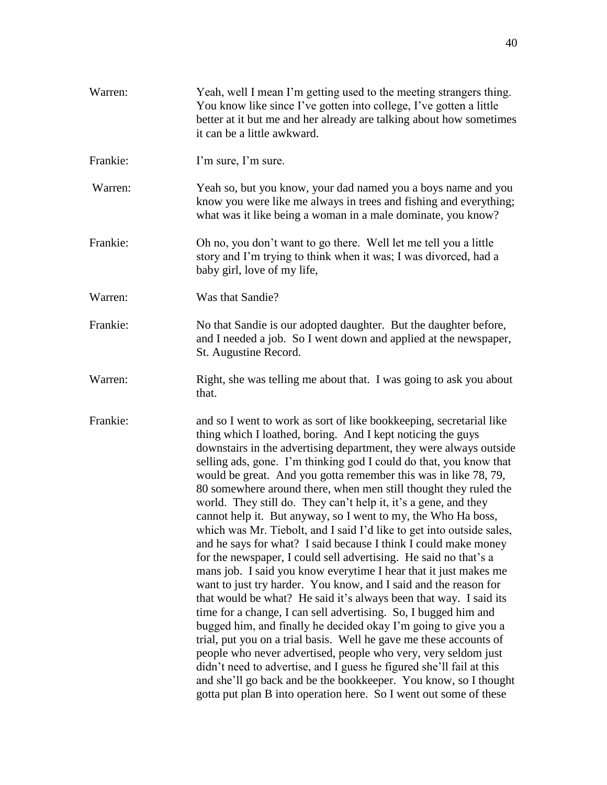| Warren:  | Yeah, well I mean I'm getting used to the meeting strangers thing.<br>You know like since I've gotten into college, I've gotten a little<br>better at it but me and her already are talking about how sometimes<br>it can be a little awkward.                                                                                                                                                                                                                                                                                                                                                                                                                                                                                                                                                                                                                                                                                                                                                                                                                                                                                                                                                                                                                                                                                                                                                                                                                                        |
|----------|---------------------------------------------------------------------------------------------------------------------------------------------------------------------------------------------------------------------------------------------------------------------------------------------------------------------------------------------------------------------------------------------------------------------------------------------------------------------------------------------------------------------------------------------------------------------------------------------------------------------------------------------------------------------------------------------------------------------------------------------------------------------------------------------------------------------------------------------------------------------------------------------------------------------------------------------------------------------------------------------------------------------------------------------------------------------------------------------------------------------------------------------------------------------------------------------------------------------------------------------------------------------------------------------------------------------------------------------------------------------------------------------------------------------------------------------------------------------------------------|
| Frankie: | I'm sure, I'm sure.                                                                                                                                                                                                                                                                                                                                                                                                                                                                                                                                                                                                                                                                                                                                                                                                                                                                                                                                                                                                                                                                                                                                                                                                                                                                                                                                                                                                                                                                   |
| Warren:  | Yeah so, but you know, your dad named you a boys name and you<br>know you were like me always in trees and fishing and everything;<br>what was it like being a woman in a male dominate, you know?                                                                                                                                                                                                                                                                                                                                                                                                                                                                                                                                                                                                                                                                                                                                                                                                                                                                                                                                                                                                                                                                                                                                                                                                                                                                                    |
| Frankie: | Oh no, you don't want to go there. Well let me tell you a little<br>story and I'm trying to think when it was; I was divorced, had a<br>baby girl, love of my life,                                                                                                                                                                                                                                                                                                                                                                                                                                                                                                                                                                                                                                                                                                                                                                                                                                                                                                                                                                                                                                                                                                                                                                                                                                                                                                                   |
| Warren:  | Was that Sandie?                                                                                                                                                                                                                                                                                                                                                                                                                                                                                                                                                                                                                                                                                                                                                                                                                                                                                                                                                                                                                                                                                                                                                                                                                                                                                                                                                                                                                                                                      |
| Frankie: | No that Sandie is our adopted daughter. But the daughter before,<br>and I needed a job. So I went down and applied at the newspaper,<br>St. Augustine Record.                                                                                                                                                                                                                                                                                                                                                                                                                                                                                                                                                                                                                                                                                                                                                                                                                                                                                                                                                                                                                                                                                                                                                                                                                                                                                                                         |
| Warren:  | Right, she was telling me about that. I was going to ask you about<br>that.                                                                                                                                                                                                                                                                                                                                                                                                                                                                                                                                                                                                                                                                                                                                                                                                                                                                                                                                                                                                                                                                                                                                                                                                                                                                                                                                                                                                           |
| Frankie: | and so I went to work as sort of like bookkeeping, secretarial like<br>thing which I loathed, boring. And I kept noticing the guys<br>downstairs in the advertising department, they were always outside<br>selling ads, gone. I'm thinking god I could do that, you know that<br>would be great. And you gotta remember this was in like 78, 79,<br>80 somewhere around there, when men still thought they ruled the<br>world. They still do. They can't help it, it's a gene, and they<br>cannot help it. But anyway, so I went to my, the Who Ha boss,<br>which was Mr. Tiebolt, and I said I'd like to get into outside sales,<br>and he says for what? I said because I think I could make money<br>for the newspaper, I could sell advertising. He said no that's a<br>mans job. I said you know everytime I hear that it just makes me<br>want to just try harder. You know, and I said and the reason for<br>that would be what? He said it's always been that way. I said its<br>time for a change, I can sell advertising. So, I bugged him and<br>bugged him, and finally he decided okay I'm going to give you a<br>trial, put you on a trial basis. Well he gave me these accounts of<br>people who never advertised, people who very, very seldom just<br>didn't need to advertise, and I guess he figured she'll fail at this<br>and she'll go back and be the bookkeeper. You know, so I thought<br>gotta put plan B into operation here. So I went out some of these |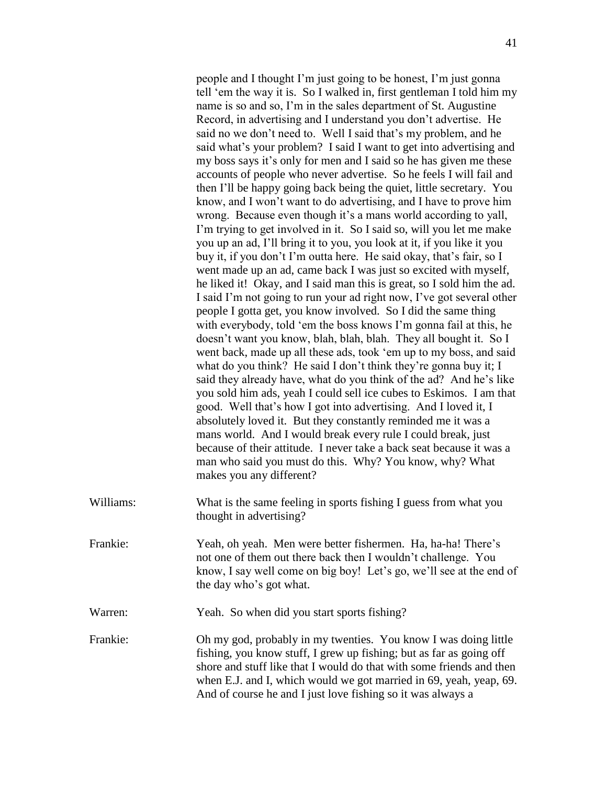people and I thought I'm just going to be honest, I'm just gonna tell 'em the way it is. So I walked in, first gentleman I told him my name is so and so, I'm in the sales department of St. Augustine Record, in advertising and I understand you don't advertise. He said no we don't need to. Well I said that's my problem, and he said what's your problem? I said I want to get into advertising and my boss says it's only for men and I said so he has given me these accounts of people who never advertise. So he feels I will fail and then I'll be happy going back being the quiet, little secretary. You know, and I won't want to do advertising, and I have to prove him wrong. Because even though it's a mans world according to yall, I'm trying to get involved in it. So I said so, will you let me make you up an ad, I'll bring it to you, you look at it, if you like it you buy it, if you don't I'm outta here. He said okay, that's fair, so I went made up an ad, came back I was just so excited with myself, he liked it! Okay, and I said man this is great, so I sold him the ad. I said I'm not going to run your ad right now, I've got several other people I gotta get, you know involved. So I did the same thing with everybody, told 'em the boss knows I'm gonna fail at this, he doesn't want you know, blah, blah, blah. They all bought it. So I went back, made up all these ads, took 'em up to my boss, and said what do you think? He said I don't think they're gonna buy it; I said they already have, what do you think of the ad? And he's like you sold him ads, yeah I could sell ice cubes to Eskimos. I am that good. Well that's how I got into advertising. And I loved it, I absolutely loved it. But they constantly reminded me it was a mans world. And I would break every rule I could break, just because of their attitude. I never take a back seat because it was a man who said you must do this. Why? You know, why? What makes you any different?

- Williams: What is the same feeling in sports fishing I guess from what you thought in advertising?
- Frankie: Yeah, oh yeah. Men were better fishermen. Ha, ha-ha! There's not one of them out there back then I wouldn't challenge. You know, I say well come on big boy! Let's go, we'll see at the end of the day who's got what.
- Warren: Yeah. So when did you start sports fishing?

Frankie: Oh my god, probably in my twenties. You know I was doing little fishing, you know stuff, I grew up fishing; but as far as going off shore and stuff like that I would do that with some friends and then when E.J. and I, which would we got married in 69, yeah, yeap, 69. And of course he and I just love fishing so it was always a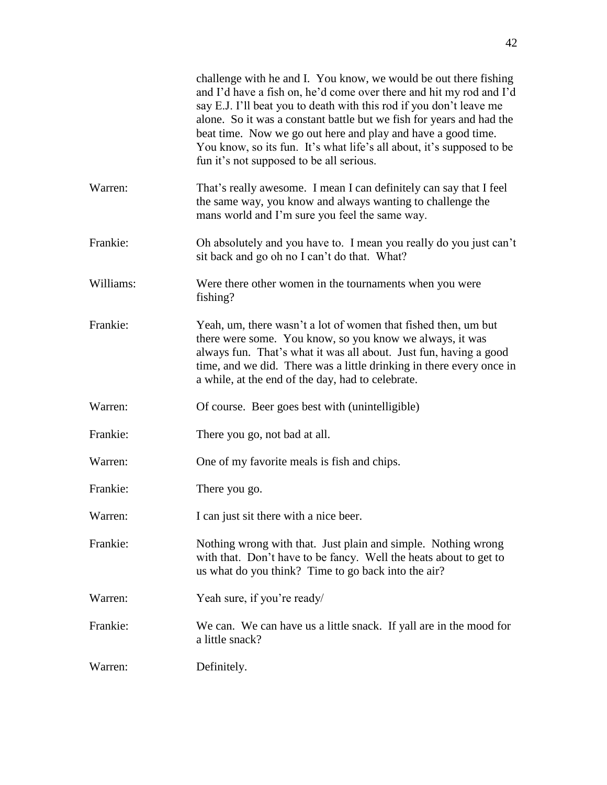|           | challenge with he and I. You know, we would be out there fishing<br>and I'd have a fish on, he'd come over there and hit my rod and I'd<br>say E.J. I'll beat you to death with this rod if you don't leave me<br>alone. So it was a constant battle but we fish for years and had the<br>beat time. Now we go out here and play and have a good time.<br>You know, so its fun. It's what life's all about, it's supposed to be<br>fun it's not supposed to be all serious. |
|-----------|-----------------------------------------------------------------------------------------------------------------------------------------------------------------------------------------------------------------------------------------------------------------------------------------------------------------------------------------------------------------------------------------------------------------------------------------------------------------------------|
| Warren:   | That's really awesome. I mean I can definitely can say that I feel<br>the same way, you know and always wanting to challenge the<br>mans world and I'm sure you feel the same way.                                                                                                                                                                                                                                                                                          |
| Frankie:  | Oh absolutely and you have to. I mean you really do you just can't<br>sit back and go oh no I can't do that. What?                                                                                                                                                                                                                                                                                                                                                          |
| Williams: | Were there other women in the tournaments when you were<br>fishing?                                                                                                                                                                                                                                                                                                                                                                                                         |
| Frankie:  | Yeah, um, there wasn't a lot of women that fished then, um but<br>there were some. You know, so you know we always, it was<br>always fun. That's what it was all about. Just fun, having a good<br>time, and we did. There was a little drinking in there every once in<br>a while, at the end of the day, had to celebrate.                                                                                                                                                |
| Warren:   | Of course. Beer goes best with (unintelligible)                                                                                                                                                                                                                                                                                                                                                                                                                             |
| Frankie:  | There you go, not bad at all.                                                                                                                                                                                                                                                                                                                                                                                                                                               |
| Warren:   | One of my favorite meals is fish and chips.                                                                                                                                                                                                                                                                                                                                                                                                                                 |
| Frankie:  | There you go.                                                                                                                                                                                                                                                                                                                                                                                                                                                               |
| Warren:   | I can just sit there with a nice beer.                                                                                                                                                                                                                                                                                                                                                                                                                                      |
| Frankie:  | Nothing wrong with that. Just plain and simple. Nothing wrong<br>with that. Don't have to be fancy. Well the heats about to get to<br>us what do you think? Time to go back into the air?                                                                                                                                                                                                                                                                                   |
| Warren:   | Yeah sure, if you're ready/                                                                                                                                                                                                                                                                                                                                                                                                                                                 |
| Frankie:  | We can. We can have us a little snack. If yall are in the mood for<br>a little snack?                                                                                                                                                                                                                                                                                                                                                                                       |
| Warren:   | Definitely.                                                                                                                                                                                                                                                                                                                                                                                                                                                                 |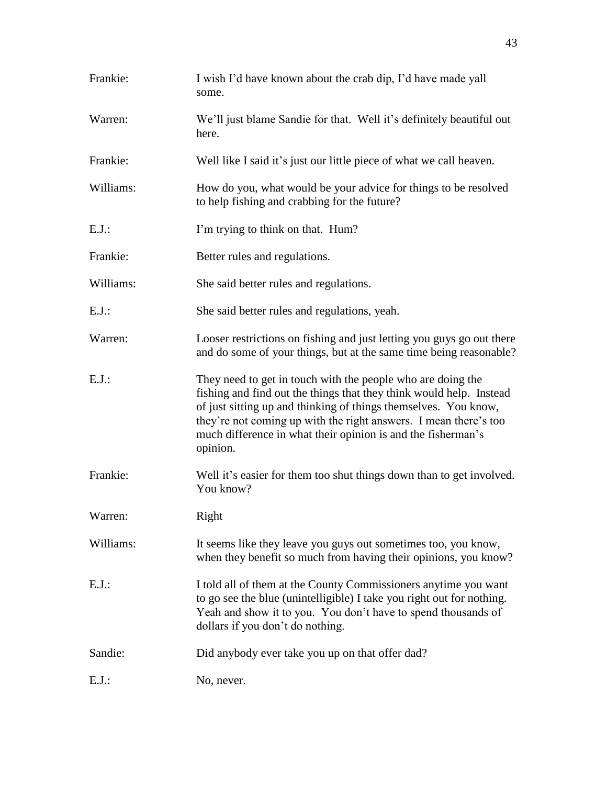| Frankie:  | I wish I'd have known about the crab dip, I'd have made yall<br>some.                                                                                                                                                                                                                                                                                 |
|-----------|-------------------------------------------------------------------------------------------------------------------------------------------------------------------------------------------------------------------------------------------------------------------------------------------------------------------------------------------------------|
| Warren:   | We'll just blame Sandie for that. Well it's definitely beautiful out<br>here.                                                                                                                                                                                                                                                                         |
| Frankie:  | Well like I said it's just our little piece of what we call heaven.                                                                                                                                                                                                                                                                                   |
| Williams: | How do you, what would be your advice for things to be resolved<br>to help fishing and crabbing for the future?                                                                                                                                                                                                                                       |
| $E.J.$ :  | I'm trying to think on that. Hum?                                                                                                                                                                                                                                                                                                                     |
| Frankie:  | Better rules and regulations.                                                                                                                                                                                                                                                                                                                         |
| Williams: | She said better rules and regulations.                                                                                                                                                                                                                                                                                                                |
| $E.J.$ :  | She said better rules and regulations, yeah.                                                                                                                                                                                                                                                                                                          |
| Warren:   | Looser restrictions on fishing and just letting you guys go out there<br>and do some of your things, but at the same time being reasonable?                                                                                                                                                                                                           |
| $E.J.$ :  | They need to get in touch with the people who are doing the<br>fishing and find out the things that they think would help. Instead<br>of just sitting up and thinking of things themselves. You know,<br>they're not coming up with the right answers. I mean there's too<br>much difference in what their opinion is and the fisherman's<br>opinion. |
| Frankie:  | Well it's easier for them too shut things down than to get involved.<br>You know?                                                                                                                                                                                                                                                                     |
| Warren:   | Right                                                                                                                                                                                                                                                                                                                                                 |
| Williams: | It seems like they leave you guys out sometimes too, you know,<br>when they benefit so much from having their opinions, you know?                                                                                                                                                                                                                     |
| $E.J.$ :  | I told all of them at the County Commissioners anytime you want<br>to go see the blue (unintelligible) I take you right out for nothing.<br>Yeah and show it to you. You don't have to spend thousands of<br>dollars if you don't do nothing.                                                                                                         |
| Sandie:   | Did anybody ever take you up on that offer dad?                                                                                                                                                                                                                                                                                                       |
| $E.J.$ :  | No, never.                                                                                                                                                                                                                                                                                                                                            |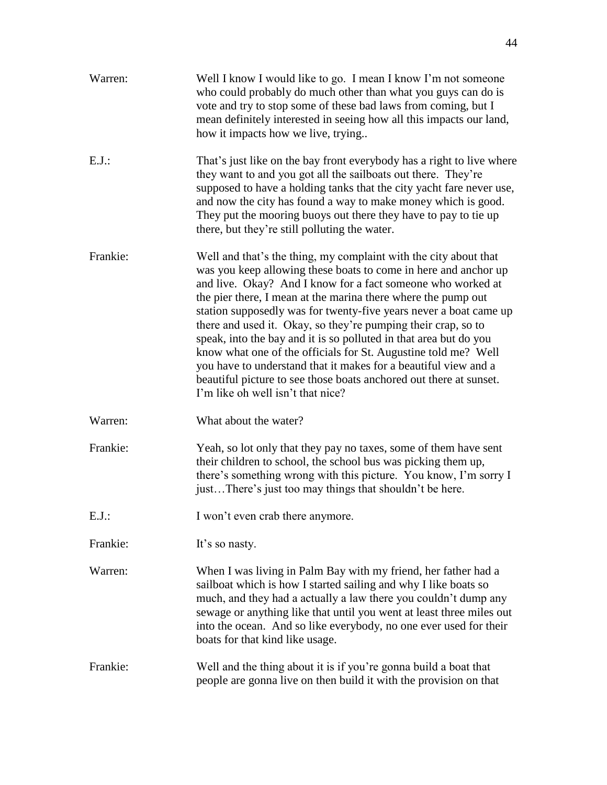| Warren:  | Well I know I would like to go. I mean I know I'm not someone<br>who could probably do much other than what you guys can do is<br>vote and try to stop some of these bad laws from coming, but I<br>mean definitely interested in seeing how all this impacts our land,<br>how it impacts how we live, trying                                                                                                                                                                                                                                                                                                                                                                                                                  |
|----------|--------------------------------------------------------------------------------------------------------------------------------------------------------------------------------------------------------------------------------------------------------------------------------------------------------------------------------------------------------------------------------------------------------------------------------------------------------------------------------------------------------------------------------------------------------------------------------------------------------------------------------------------------------------------------------------------------------------------------------|
| $E.J.$ : | That's just like on the bay front everybody has a right to live where<br>they want to and you got all the sailboats out there. They're<br>supposed to have a holding tanks that the city yacht fare never use,<br>and now the city has found a way to make money which is good.<br>They put the mooring buoys out there they have to pay to tie up<br>there, but they're still polluting the water.                                                                                                                                                                                                                                                                                                                            |
| Frankie: | Well and that's the thing, my complaint with the city about that<br>was you keep allowing these boats to come in here and anchor up<br>and live. Okay? And I know for a fact someone who worked at<br>the pier there, I mean at the marina there where the pump out<br>station supposedly was for twenty-five years never a boat came up<br>there and used it. Okay, so they're pumping their crap, so to<br>speak, into the bay and it is so polluted in that area but do you<br>know what one of the officials for St. Augustine told me? Well<br>you have to understand that it makes for a beautiful view and a<br>beautiful picture to see those boats anchored out there at sunset.<br>I'm like oh well isn't that nice? |
| Warren:  | What about the water?                                                                                                                                                                                                                                                                                                                                                                                                                                                                                                                                                                                                                                                                                                          |
| Frankie: | Yeah, so lot only that they pay no taxes, some of them have sent<br>their children to school, the school bus was picking them up,<br>there's something wrong with this picture. You know, I'm sorry I<br>justThere's just too may things that shouldn't be here.                                                                                                                                                                                                                                                                                                                                                                                                                                                               |
| $E.J.$ : | I won't even crab there anymore.                                                                                                                                                                                                                                                                                                                                                                                                                                                                                                                                                                                                                                                                                               |
| Frankie: | It's so nasty.                                                                                                                                                                                                                                                                                                                                                                                                                                                                                                                                                                                                                                                                                                                 |
| Warren:  | When I was living in Palm Bay with my friend, her father had a<br>sailboat which is how I started sailing and why I like boats so<br>much, and they had a actually a law there you couldn't dump any<br>sewage or anything like that until you went at least three miles out<br>into the ocean. And so like everybody, no one ever used for their<br>boats for that kind like usage.                                                                                                                                                                                                                                                                                                                                           |
| Frankie: | Well and the thing about it is if you're gonna build a boat that<br>people are gonna live on then build it with the provision on that                                                                                                                                                                                                                                                                                                                                                                                                                                                                                                                                                                                          |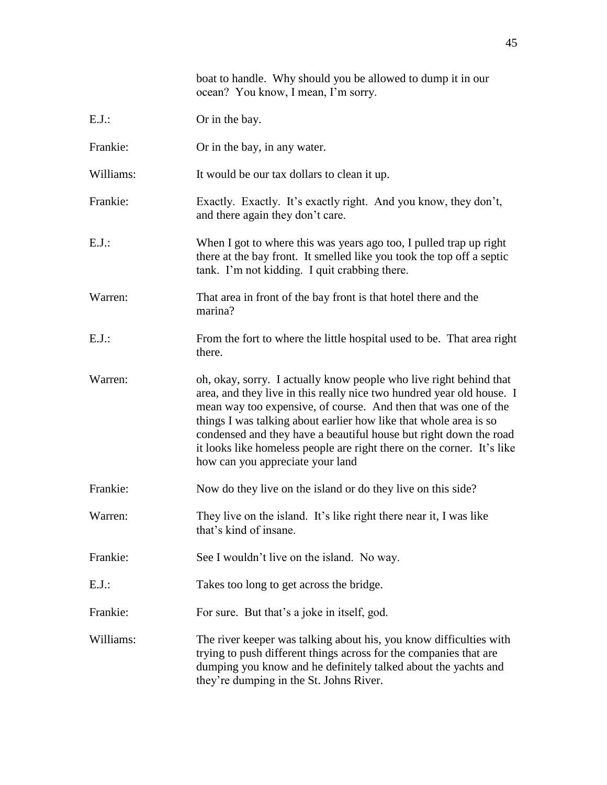|           | ocean? You know, I mean, I'm sorry.                                                                                                                                                                                                                                                                                                                                                                                                                                    |
|-----------|------------------------------------------------------------------------------------------------------------------------------------------------------------------------------------------------------------------------------------------------------------------------------------------------------------------------------------------------------------------------------------------------------------------------------------------------------------------------|
| $E.J.$ :  | Or in the bay.                                                                                                                                                                                                                                                                                                                                                                                                                                                         |
| Frankie:  | Or in the bay, in any water.                                                                                                                                                                                                                                                                                                                                                                                                                                           |
| Williams: | It would be our tax dollars to clean it up.                                                                                                                                                                                                                                                                                                                                                                                                                            |
| Frankie:  | Exactly. Exactly. It's exactly right. And you know, they don't,<br>and there again they don't care.                                                                                                                                                                                                                                                                                                                                                                    |
| $E.J.$ :  | When I got to where this was years ago too, I pulled trap up right<br>there at the bay front. It smelled like you took the top off a septic<br>tank. I'm not kidding. I quit crabbing there.                                                                                                                                                                                                                                                                           |
| Warren:   | That area in front of the bay front is that hotel there and the<br>marina?                                                                                                                                                                                                                                                                                                                                                                                             |
| $E.J.$ :  | From the fort to where the little hospital used to be. That area right<br>there.                                                                                                                                                                                                                                                                                                                                                                                       |
| Warren:   | oh, okay, sorry. I actually know people who live right behind that<br>area, and they live in this really nice two hundred year old house. I<br>mean way too expensive, of course. And then that was one of the<br>things I was talking about earlier how like that whole area is so<br>condensed and they have a beautiful house but right down the road<br>it looks like homeless people are right there on the corner. It's like<br>how can you appreciate your land |
| Frankie:  | Now do they live on the island or do they live on this side?                                                                                                                                                                                                                                                                                                                                                                                                           |
| Warren:   | They live on the island. It's like right there near it, I was like<br>that's kind of insane.                                                                                                                                                                                                                                                                                                                                                                           |
| Frankie:  | See I wouldn't live on the island. No way.                                                                                                                                                                                                                                                                                                                                                                                                                             |
| $E.J.$ :  | Takes too long to get across the bridge.                                                                                                                                                                                                                                                                                                                                                                                                                               |
| Frankie:  | For sure. But that's a joke in itself, god.                                                                                                                                                                                                                                                                                                                                                                                                                            |
| Williams: | The river keeper was talking about his, you know difficulties with<br>trying to push different things across for the companies that are<br>dumping you know and he definitely talked about the yachts and<br>they're dumping in the St. Johns River.                                                                                                                                                                                                                   |

boat to handle. Why should you be allowed to dump it in our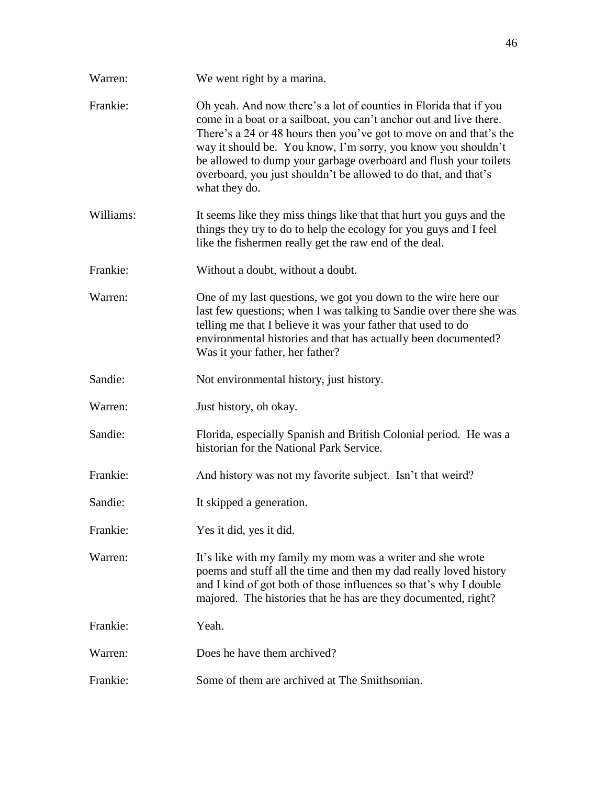| Warren:   | We went right by a marina.                                                                                                                                                                                                                                                                                                                                                                                                             |
|-----------|----------------------------------------------------------------------------------------------------------------------------------------------------------------------------------------------------------------------------------------------------------------------------------------------------------------------------------------------------------------------------------------------------------------------------------------|
| Frankie:  | Oh yeah. And now there's a lot of counties in Florida that if you<br>come in a boat or a sailboat, you can't anchor out and live there.<br>There's a 24 or 48 hours then you've got to move on and that's the<br>way it should be. You know, I'm sorry, you know you shouldn't<br>be allowed to dump your garbage overboard and flush your toilets<br>overboard, you just shouldn't be allowed to do that, and that's<br>what they do. |
| Williams: | It seems like they miss things like that that hurt you guys and the<br>things they try to do to help the ecology for you guys and I feel<br>like the fishermen really get the raw end of the deal.                                                                                                                                                                                                                                     |
| Frankie:  | Without a doubt, without a doubt.                                                                                                                                                                                                                                                                                                                                                                                                      |
| Warren:   | One of my last questions, we got you down to the wire here our<br>last few questions; when I was talking to Sandie over there she was<br>telling me that I believe it was your father that used to do<br>environmental histories and that has actually been documented?<br>Was it your father, her father?                                                                                                                             |
| Sandie:   | Not environmental history, just history.                                                                                                                                                                                                                                                                                                                                                                                               |
| Warren:   | Just history, oh okay.                                                                                                                                                                                                                                                                                                                                                                                                                 |
| Sandie:   | Florida, especially Spanish and British Colonial period. He was a<br>historian for the National Park Service.                                                                                                                                                                                                                                                                                                                          |
| Frankie:  | And history was not my favorite subject. Isn't that weird?                                                                                                                                                                                                                                                                                                                                                                             |
| Sandie:   | It skipped a generation.                                                                                                                                                                                                                                                                                                                                                                                                               |
| Frankie:  | Yes it did, yes it did.                                                                                                                                                                                                                                                                                                                                                                                                                |
| Warren:   | It's like with my family my mom was a writer and she wrote<br>poems and stuff all the time and then my dad really loved history<br>and I kind of got both of those influences so that's why I double<br>majored. The histories that he has are they documented, right?                                                                                                                                                                 |
| Frankie:  | Yeah.                                                                                                                                                                                                                                                                                                                                                                                                                                  |
| Warren:   | Does he have them archived?                                                                                                                                                                                                                                                                                                                                                                                                            |
| Frankie:  | Some of them are archived at The Smithsonian.                                                                                                                                                                                                                                                                                                                                                                                          |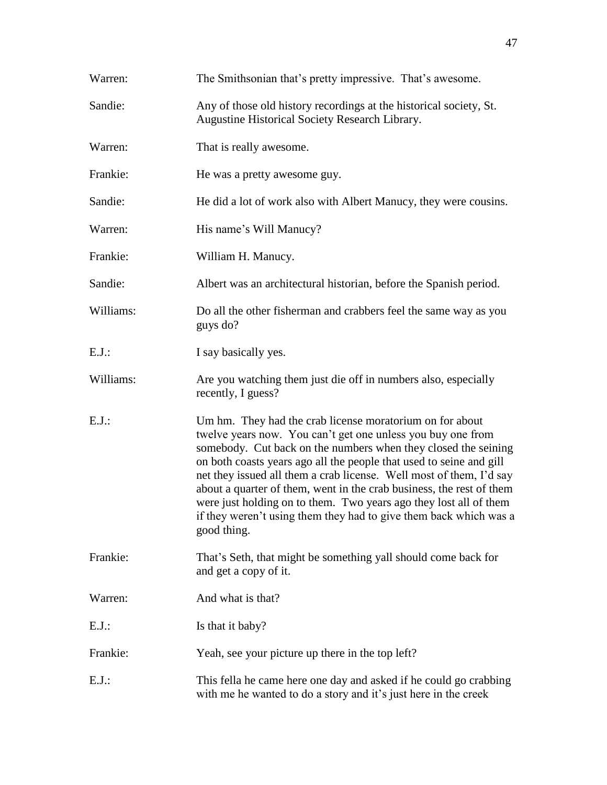| Warren:   | The Smithsonian that's pretty impressive. That's awesome.                                                                                                                                                                                                                                                                                                                                                                                                                                                                                                                |
|-----------|--------------------------------------------------------------------------------------------------------------------------------------------------------------------------------------------------------------------------------------------------------------------------------------------------------------------------------------------------------------------------------------------------------------------------------------------------------------------------------------------------------------------------------------------------------------------------|
| Sandie:   | Any of those old history recordings at the historical society, St.<br>Augustine Historical Society Research Library.                                                                                                                                                                                                                                                                                                                                                                                                                                                     |
| Warren:   | That is really awesome.                                                                                                                                                                                                                                                                                                                                                                                                                                                                                                                                                  |
| Frankie:  | He was a pretty awesome guy.                                                                                                                                                                                                                                                                                                                                                                                                                                                                                                                                             |
| Sandie:   | He did a lot of work also with Albert Manucy, they were cousins.                                                                                                                                                                                                                                                                                                                                                                                                                                                                                                         |
| Warren:   | His name's Will Manucy?                                                                                                                                                                                                                                                                                                                                                                                                                                                                                                                                                  |
| Frankie:  | William H. Manucy.                                                                                                                                                                                                                                                                                                                                                                                                                                                                                                                                                       |
| Sandie:   | Albert was an architectural historian, before the Spanish period.                                                                                                                                                                                                                                                                                                                                                                                                                                                                                                        |
| Williams: | Do all the other fisherman and crabbers feel the same way as you<br>guys do?                                                                                                                                                                                                                                                                                                                                                                                                                                                                                             |
| $E.J.$ :  | I say basically yes.                                                                                                                                                                                                                                                                                                                                                                                                                                                                                                                                                     |
| Williams: | Are you watching them just die off in numbers also, especially<br>recently, I guess?                                                                                                                                                                                                                                                                                                                                                                                                                                                                                     |
| $E.J.$ :  | Um hm. They had the crab license moratorium on for about<br>twelve years now. You can't get one unless you buy one from<br>somebody. Cut back on the numbers when they closed the seining<br>on both coasts years ago all the people that used to seine and gill<br>net they issued all them a crab license. Well most of them, I'd say<br>about a quarter of them, went in the crab business, the rest of them<br>were just holding on to them. Two years ago they lost all of them<br>if they weren't using them they had to give them back which was a<br>good thing. |
| Frankie:  | That's Seth, that might be something yall should come back for<br>and get a copy of it.                                                                                                                                                                                                                                                                                                                                                                                                                                                                                  |
| Warren:   | And what is that?                                                                                                                                                                                                                                                                                                                                                                                                                                                                                                                                                        |
| $E.J.$ :  | Is that it baby?                                                                                                                                                                                                                                                                                                                                                                                                                                                                                                                                                         |
| Frankie:  | Yeah, see your picture up there in the top left?                                                                                                                                                                                                                                                                                                                                                                                                                                                                                                                         |
| $E.J.$ :  | This fella he came here one day and asked if he could go crabbing<br>with me he wanted to do a story and it's just here in the creek                                                                                                                                                                                                                                                                                                                                                                                                                                     |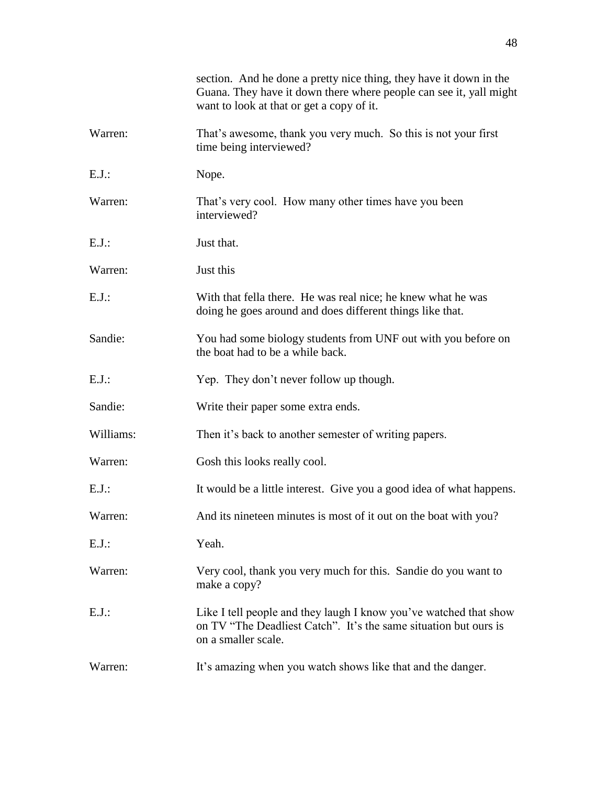|           | section. And he done a pretty nice thing, they have it down in the<br>Guana. They have it down there where people can see it, yall might<br>want to look at that or get a copy of it. |
|-----------|---------------------------------------------------------------------------------------------------------------------------------------------------------------------------------------|
| Warren:   | That's awesome, thank you very much. So this is not your first<br>time being interviewed?                                                                                             |
| E.J.:     | Nope.                                                                                                                                                                                 |
| Warren:   | That's very cool. How many other times have you been<br>interviewed?                                                                                                                  |
| $E.J.$ :  | Just that.                                                                                                                                                                            |
| Warren:   | Just this                                                                                                                                                                             |
| $E.J.$ :  | With that fella there. He was real nice; he knew what he was<br>doing he goes around and does different things like that.                                                             |
| Sandie:   | You had some biology students from UNF out with you before on<br>the boat had to be a while back.                                                                                     |
| $E.J.$ :  | Yep. They don't never follow up though.                                                                                                                                               |
| Sandie:   | Write their paper some extra ends.                                                                                                                                                    |
| Williams: | Then it's back to another semester of writing papers.                                                                                                                                 |
| Warren:   | Gosh this looks really cool.                                                                                                                                                          |
| $E.J.$ :  | It would be a little interest. Give you a good idea of what happens.                                                                                                                  |
| Warren:   | And its nineteen minutes is most of it out on the boat with you?                                                                                                                      |
| $E.J.$ :  | Yeah.                                                                                                                                                                                 |
| Warren:   | Very cool, thank you very much for this. Sandie do you want to<br>make a copy?                                                                                                        |
| E.J.:     | Like I tell people and they laugh I know you've watched that show<br>on TV "The Deadliest Catch". It's the same situation but ours is<br>on a smaller scale.                          |
| Warren:   | It's amazing when you watch shows like that and the danger.                                                                                                                           |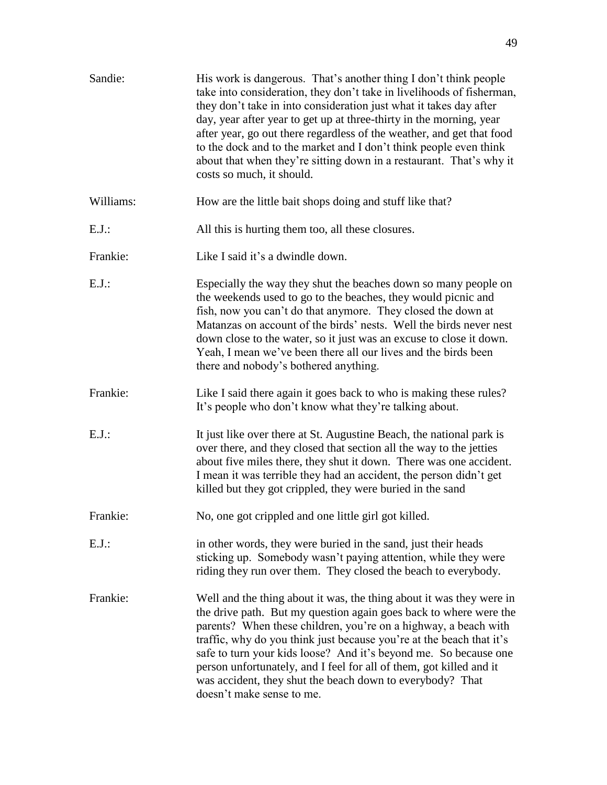| Sandie:   | His work is dangerous. That's another thing I don't think people<br>take into consideration, they don't take in livelihoods of fisherman,<br>they don't take in into consideration just what it takes day after<br>day, year after year to get up at three-thirty in the morning, year<br>after year, go out there regardless of the weather, and get that food<br>to the dock and to the market and I don't think people even think<br>about that when they're sitting down in a restaurant. That's why it<br>costs so much, it should. |
|-----------|------------------------------------------------------------------------------------------------------------------------------------------------------------------------------------------------------------------------------------------------------------------------------------------------------------------------------------------------------------------------------------------------------------------------------------------------------------------------------------------------------------------------------------------|
| Williams: | How are the little bait shops doing and stuff like that?                                                                                                                                                                                                                                                                                                                                                                                                                                                                                 |
| $E.J.$ :  | All this is hurting them too, all these closures.                                                                                                                                                                                                                                                                                                                                                                                                                                                                                        |
| Frankie:  | Like I said it's a dwindle down.                                                                                                                                                                                                                                                                                                                                                                                                                                                                                                         |
| $E.J.$ :  | Especially the way they shut the beaches down so many people on<br>the weekends used to go to the beaches, they would picnic and<br>fish, now you can't do that anymore. They closed the down at<br>Matanzas on account of the birds' nests. Well the birds never nest<br>down close to the water, so it just was an excuse to close it down.<br>Yeah, I mean we've been there all our lives and the birds been<br>there and nobody's bothered anything.                                                                                 |
| Frankie:  | Like I said there again it goes back to who is making these rules?<br>It's people who don't know what they're talking about.                                                                                                                                                                                                                                                                                                                                                                                                             |
| $E.J.$ :  | It just like over there at St. Augustine Beach, the national park is<br>over there, and they closed that section all the way to the jetties<br>about five miles there, they shut it down. There was one accident.<br>I mean it was terrible they had an accident, the person didn't get<br>killed but they got crippled, they were buried in the sand                                                                                                                                                                                    |
| Frankie:  | No, one got crippled and one little girl got killed.                                                                                                                                                                                                                                                                                                                                                                                                                                                                                     |
| $E.J.$ :  | in other words, they were buried in the sand, just their heads<br>sticking up. Somebody wasn't paying attention, while they were<br>riding they run over them. They closed the beach to everybody.                                                                                                                                                                                                                                                                                                                                       |
| Frankie:  | Well and the thing about it was, the thing about it was they were in<br>the drive path. But my question again goes back to where were the<br>parents? When these children, you're on a highway, a beach with<br>traffic, why do you think just because you're at the beach that it's<br>safe to turn your kids loose? And it's beyond me. So because one<br>person unfortunately, and I feel for all of them, got killed and it<br>was accident, they shut the beach down to everybody? That<br>doesn't make sense to me.                |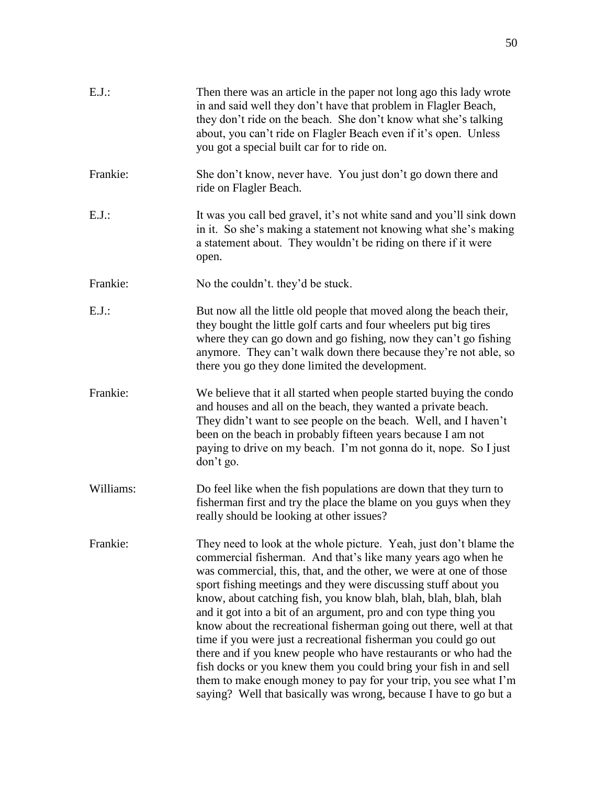| $E.J.$ :  | Then there was an article in the paper not long ago this lady wrote<br>in and said well they don't have that problem in Flagler Beach,<br>they don't ride on the beach. She don't know what she's talking<br>about, you can't ride on Flagler Beach even if it's open. Unless<br>you got a special built car for to ride on.                                                                                                                                                                                                                                                                                                                                                                                                                                                                                                                    |
|-----------|-------------------------------------------------------------------------------------------------------------------------------------------------------------------------------------------------------------------------------------------------------------------------------------------------------------------------------------------------------------------------------------------------------------------------------------------------------------------------------------------------------------------------------------------------------------------------------------------------------------------------------------------------------------------------------------------------------------------------------------------------------------------------------------------------------------------------------------------------|
| Frankie:  | She don't know, never have. You just don't go down there and<br>ride on Flagler Beach.                                                                                                                                                                                                                                                                                                                                                                                                                                                                                                                                                                                                                                                                                                                                                          |
| $E.J.$ :  | It was you call bed gravel, it's not white sand and you'll sink down<br>in it. So she's making a statement not knowing what she's making<br>a statement about. They wouldn't be riding on there if it were<br>open.                                                                                                                                                                                                                                                                                                                                                                                                                                                                                                                                                                                                                             |
| Frankie:  | No the couldn't. they'd be stuck.                                                                                                                                                                                                                                                                                                                                                                                                                                                                                                                                                                                                                                                                                                                                                                                                               |
| $E.J.$ :  | But now all the little old people that moved along the beach their,<br>they bought the little golf carts and four wheelers put big tires<br>where they can go down and go fishing, now they can't go fishing<br>anymore. They can't walk down there because they're not able, so<br>there you go they done limited the development.                                                                                                                                                                                                                                                                                                                                                                                                                                                                                                             |
| Frankie:  | We believe that it all started when people started buying the condo<br>and houses and all on the beach, they wanted a private beach.<br>They didn't want to see people on the beach. Well, and I haven't<br>been on the beach in probably fifteen years because I am not<br>paying to drive on my beach. I'm not gonna do it, nope. So I just<br>don't go.                                                                                                                                                                                                                                                                                                                                                                                                                                                                                      |
| Williams: | Do feel like when the fish populations are down that they turn to<br>fisherman first and try the place the blame on you guys when they<br>really should be looking at other issues?                                                                                                                                                                                                                                                                                                                                                                                                                                                                                                                                                                                                                                                             |
| Frankie:  | They need to look at the whole picture. Yeah, just don't blame the<br>commercial fisherman. And that's like many years ago when he<br>was commercial, this, that, and the other, we were at one of those<br>sport fishing meetings and they were discussing stuff about you<br>know, about catching fish, you know blah, blah, blah, blah, blah<br>and it got into a bit of an argument, pro and con type thing you<br>know about the recreational fisherman going out there, well at that<br>time if you were just a recreational fisherman you could go out<br>there and if you knew people who have restaurants or who had the<br>fish docks or you knew them you could bring your fish in and sell<br>them to make enough money to pay for your trip, you see what I'm<br>saying? Well that basically was wrong, because I have to go but a |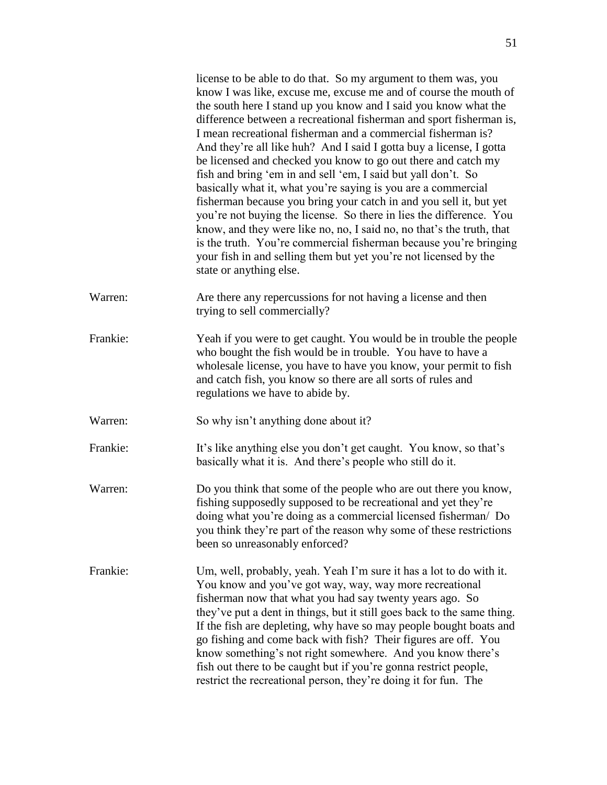|          | license to be able to do that. So my argument to them was, you<br>know I was like, excuse me, excuse me and of course the mouth of<br>the south here I stand up you know and I said you know what the<br>difference between a recreational fisherman and sport fisherman is,<br>I mean recreational fisherman and a commercial fisherman is?<br>And they're all like huh? And I said I gotta buy a license, I gotta<br>be licensed and checked you know to go out there and catch my<br>fish and bring 'em in and sell 'em, I said but yall don't. So<br>basically what it, what you're saying is you are a commercial<br>fisherman because you bring your catch in and you sell it, but yet<br>you're not buying the license. So there in lies the difference. You<br>know, and they were like no, no, I said no, no that's the truth, that<br>is the truth. You're commercial fisherman because you're bringing<br>your fish in and selling them but yet you're not licensed by the<br>state or anything else. |
|----------|------------------------------------------------------------------------------------------------------------------------------------------------------------------------------------------------------------------------------------------------------------------------------------------------------------------------------------------------------------------------------------------------------------------------------------------------------------------------------------------------------------------------------------------------------------------------------------------------------------------------------------------------------------------------------------------------------------------------------------------------------------------------------------------------------------------------------------------------------------------------------------------------------------------------------------------------------------------------------------------------------------------|
| Warren:  | Are there any repercussions for not having a license and then<br>trying to sell commercially?                                                                                                                                                                                                                                                                                                                                                                                                                                                                                                                                                                                                                                                                                                                                                                                                                                                                                                                    |
| Frankie: | Yeah if you were to get caught. You would be in trouble the people<br>who bought the fish would be in trouble. You have to have a<br>wholesale license, you have to have you know, your permit to fish<br>and catch fish, you know so there are all sorts of rules and<br>regulations we have to abide by.                                                                                                                                                                                                                                                                                                                                                                                                                                                                                                                                                                                                                                                                                                       |
| Warren:  | So why isn't anything done about it?                                                                                                                                                                                                                                                                                                                                                                                                                                                                                                                                                                                                                                                                                                                                                                                                                                                                                                                                                                             |
| Frankie: | It's like anything else you don't get caught. You know, so that's<br>basically what it is. And there's people who still do it.                                                                                                                                                                                                                                                                                                                                                                                                                                                                                                                                                                                                                                                                                                                                                                                                                                                                                   |
| Warren:  | Do you think that some of the people who are out there you know,<br>fishing supposedly supposed to be recreational and yet they're<br>doing what you're doing as a commercial licensed fisherman/ Do<br>you think they're part of the reason why some of these restrictions<br>been so unreasonably enforced?                                                                                                                                                                                                                                                                                                                                                                                                                                                                                                                                                                                                                                                                                                    |
| Frankie: | Um, well, probably, yeah. Yeah I'm sure it has a lot to do with it.<br>You know and you've got way, way, way more recreational<br>fisherman now that what you had say twenty years ago. So<br>they've put a dent in things, but it still goes back to the same thing.<br>If the fish are depleting, why have so may people bought boats and<br>go fishing and come back with fish? Their figures are off. You<br>know something's not right somewhere. And you know there's<br>fish out there to be caught but if you're gonna restrict people,<br>restrict the recreational person, they're doing it for fun. The                                                                                                                                                                                                                                                                                                                                                                                               |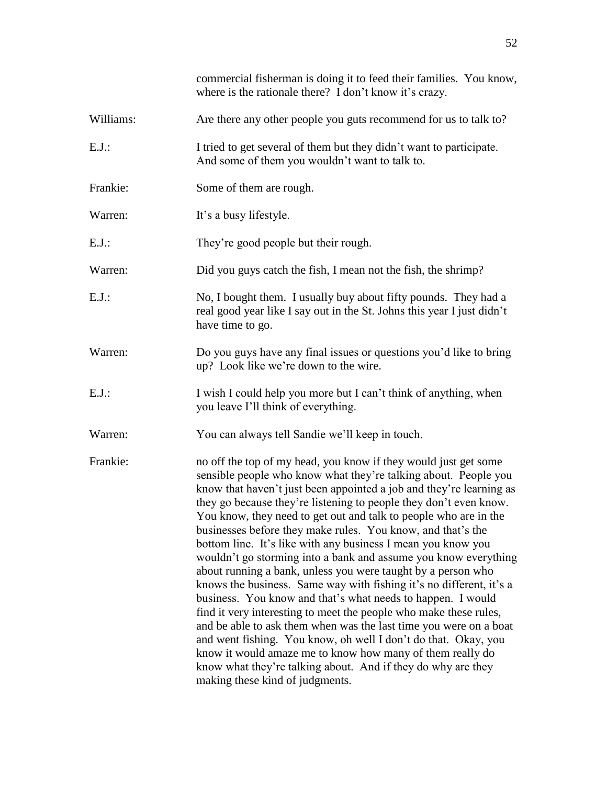|           | commercial fisherman is doing it to feed their families. You know,<br>where is the rationale there? I don't know it's crazy.                                                                                                                                                                                                                                                                                                                                                                                                                                                                                                                                                                                                                                                                                                                                                                                                                                                                                                                                                                                                           |
|-----------|----------------------------------------------------------------------------------------------------------------------------------------------------------------------------------------------------------------------------------------------------------------------------------------------------------------------------------------------------------------------------------------------------------------------------------------------------------------------------------------------------------------------------------------------------------------------------------------------------------------------------------------------------------------------------------------------------------------------------------------------------------------------------------------------------------------------------------------------------------------------------------------------------------------------------------------------------------------------------------------------------------------------------------------------------------------------------------------------------------------------------------------|
| Williams: | Are there any other people you guts recommend for us to talk to?                                                                                                                                                                                                                                                                                                                                                                                                                                                                                                                                                                                                                                                                                                                                                                                                                                                                                                                                                                                                                                                                       |
| $E.J.$ :  | I tried to get several of them but they didn't want to participate.<br>And some of them you wouldn't want to talk to.                                                                                                                                                                                                                                                                                                                                                                                                                                                                                                                                                                                                                                                                                                                                                                                                                                                                                                                                                                                                                  |
| Frankie:  | Some of them are rough.                                                                                                                                                                                                                                                                                                                                                                                                                                                                                                                                                                                                                                                                                                                                                                                                                                                                                                                                                                                                                                                                                                                |
| Warren:   | It's a busy lifestyle.                                                                                                                                                                                                                                                                                                                                                                                                                                                                                                                                                                                                                                                                                                                                                                                                                                                                                                                                                                                                                                                                                                                 |
| $E.J.$ :  | They're good people but their rough.                                                                                                                                                                                                                                                                                                                                                                                                                                                                                                                                                                                                                                                                                                                                                                                                                                                                                                                                                                                                                                                                                                   |
| Warren:   | Did you guys catch the fish, I mean not the fish, the shrimp?                                                                                                                                                                                                                                                                                                                                                                                                                                                                                                                                                                                                                                                                                                                                                                                                                                                                                                                                                                                                                                                                          |
| $E.J.$ :  | No, I bought them. I usually buy about fifty pounds. They had a<br>real good year like I say out in the St. Johns this year I just didn't<br>have time to go.                                                                                                                                                                                                                                                                                                                                                                                                                                                                                                                                                                                                                                                                                                                                                                                                                                                                                                                                                                          |
| Warren:   | Do you guys have any final issues or questions you'd like to bring<br>up? Look like we're down to the wire.                                                                                                                                                                                                                                                                                                                                                                                                                                                                                                                                                                                                                                                                                                                                                                                                                                                                                                                                                                                                                            |
| $E.J.$ :  | I wish I could help you more but I can't think of anything, when<br>you leave I'll think of everything.                                                                                                                                                                                                                                                                                                                                                                                                                                                                                                                                                                                                                                                                                                                                                                                                                                                                                                                                                                                                                                |
| Warren:   | You can always tell Sandie we'll keep in touch.                                                                                                                                                                                                                                                                                                                                                                                                                                                                                                                                                                                                                                                                                                                                                                                                                                                                                                                                                                                                                                                                                        |
| Frankie:  | no off the top of my head, you know if they would just get some<br>sensible people who know what they're talking about. People you<br>know that haven't just been appointed a job and they're learning as<br>they go because they're listening to people they don't even know.<br>You know, they need to get out and talk to people who are in the<br>businesses before they make rules. You know, and that's the<br>bottom line. It's like with any business I mean you know you<br>wouldn't go storming into a bank and assume you know everything<br>about running a bank, unless you were taught by a person who<br>knows the business. Same way with fishing it's no different, it's a<br>business. You know and that's what needs to happen. I would<br>find it very interesting to meet the people who make these rules,<br>and be able to ask them when was the last time you were on a boat<br>and went fishing. You know, oh well I don't do that. Okay, you<br>know it would amaze me to know how many of them really do<br>know what they're talking about. And if they do why are they<br>making these kind of judgments. |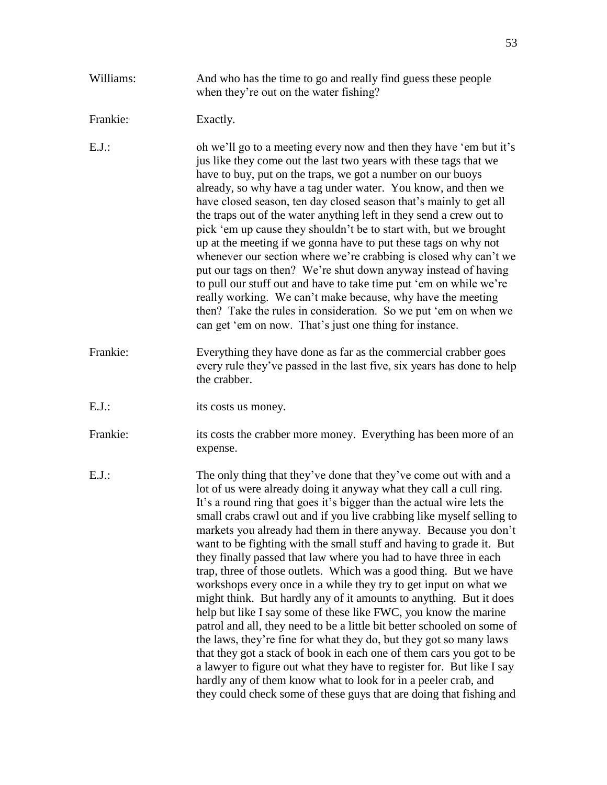| Williams: | And who has the time to go and really find guess these people<br>when they're out on the water fishing?                                                                                                                                                                                                                                                                                                                                                                                                                                                                                                                                                                                                                                                                                                                                                                                                                                                                                                                                                                                                                                                                                                                               |
|-----------|---------------------------------------------------------------------------------------------------------------------------------------------------------------------------------------------------------------------------------------------------------------------------------------------------------------------------------------------------------------------------------------------------------------------------------------------------------------------------------------------------------------------------------------------------------------------------------------------------------------------------------------------------------------------------------------------------------------------------------------------------------------------------------------------------------------------------------------------------------------------------------------------------------------------------------------------------------------------------------------------------------------------------------------------------------------------------------------------------------------------------------------------------------------------------------------------------------------------------------------|
| Frankie:  | Exactly.                                                                                                                                                                                                                                                                                                                                                                                                                                                                                                                                                                                                                                                                                                                                                                                                                                                                                                                                                                                                                                                                                                                                                                                                                              |
| $E.J.$ :  | oh we'll go to a meeting every now and then they have 'em but it's<br>jus like they come out the last two years with these tags that we<br>have to buy, put on the traps, we got a number on our buoys<br>already, so why have a tag under water. You know, and then we<br>have closed season, ten day closed season that's mainly to get all<br>the traps out of the water anything left in they send a crew out to<br>pick 'em up cause they shouldn't be to start with, but we brought<br>up at the meeting if we gonna have to put these tags on why not<br>whenever our section where we're crabbing is closed why can't we<br>put our tags on then? We're shut down anyway instead of having<br>to pull our stuff out and have to take time put 'em on while we're<br>really working. We can't make because, why have the meeting<br>then? Take the rules in consideration. So we put 'em on when we<br>can get 'em on now. That's just one thing for instance.                                                                                                                                                                                                                                                                 |
| Frankie:  | Everything they have done as far as the commercial crabber goes<br>every rule they've passed in the last five, six years has done to help<br>the crabber.                                                                                                                                                                                                                                                                                                                                                                                                                                                                                                                                                                                                                                                                                                                                                                                                                                                                                                                                                                                                                                                                             |
| $E.J.$ :  | its costs us money.                                                                                                                                                                                                                                                                                                                                                                                                                                                                                                                                                                                                                                                                                                                                                                                                                                                                                                                                                                                                                                                                                                                                                                                                                   |
| Frankie:  | its costs the crabber more money. Everything has been more of an<br>expense.                                                                                                                                                                                                                                                                                                                                                                                                                                                                                                                                                                                                                                                                                                                                                                                                                                                                                                                                                                                                                                                                                                                                                          |
| $E.J.$ :  | The only thing that they've done that they've come out with and a<br>lot of us were already doing it anyway what they call a cull ring.<br>It's a round ring that goes it's bigger than the actual wire lets the<br>small crabs crawl out and if you live crabbing like myself selling to<br>markets you already had them in there anyway. Because you don't<br>want to be fighting with the small stuff and having to grade it. But<br>they finally passed that law where you had to have three in each<br>trap, three of those outlets. Which was a good thing. But we have<br>workshops every once in a while they try to get input on what we<br>might think. But hardly any of it amounts to anything. But it does<br>help but like I say some of these like FWC, you know the marine<br>patrol and all, they need to be a little bit better schooled on some of<br>the laws, they're fine for what they do, but they got so many laws<br>that they got a stack of book in each one of them cars you got to be<br>a lawyer to figure out what they have to register for. But like I say<br>hardly any of them know what to look for in a peeler crab, and<br>they could check some of these guys that are doing that fishing and |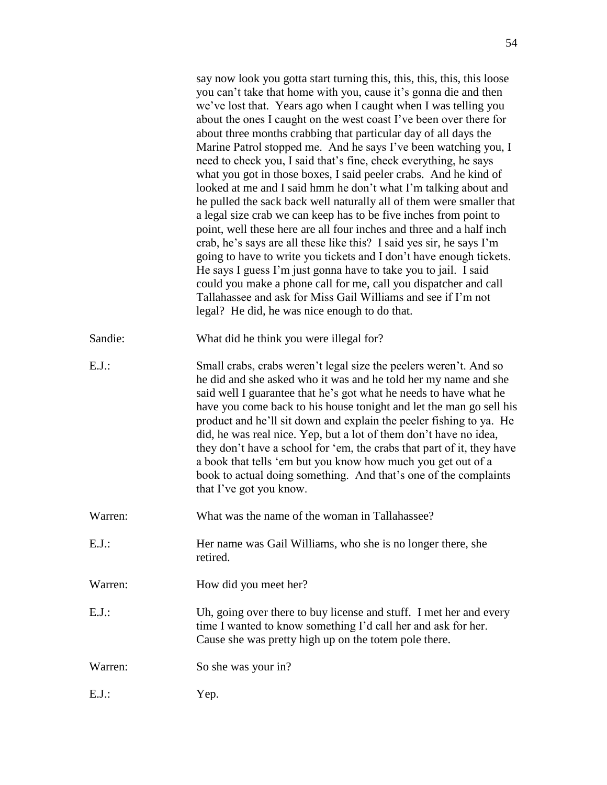|          | say now look you gotta start turning this, this, this, this, this loose<br>you can't take that home with you, cause it's gonna die and then<br>we've lost that. Years ago when I caught when I was telling you<br>about the ones I caught on the west coast I've been over there for<br>about three months crabbing that particular day of all days the<br>Marine Patrol stopped me. And he says I've been watching you, I<br>need to check you, I said that's fine, check everything, he says<br>what you got in those boxes, I said peeler crabs. And he kind of<br>looked at me and I said hmm he don't what I'm talking about and<br>he pulled the sack back well naturally all of them were smaller that<br>a legal size crab we can keep has to be five inches from point to<br>point, well these here are all four inches and three and a half inch<br>crab, he's says are all these like this? I said yes sir, he says I'm<br>going to have to write you tickets and I don't have enough tickets.<br>He says I guess I'm just gonna have to take you to jail. I said<br>could you make a phone call for me, call you dispatcher and call<br>Tallahassee and ask for Miss Gail Williams and see if I'm not<br>legal? He did, he was nice enough to do that. |
|----------|--------------------------------------------------------------------------------------------------------------------------------------------------------------------------------------------------------------------------------------------------------------------------------------------------------------------------------------------------------------------------------------------------------------------------------------------------------------------------------------------------------------------------------------------------------------------------------------------------------------------------------------------------------------------------------------------------------------------------------------------------------------------------------------------------------------------------------------------------------------------------------------------------------------------------------------------------------------------------------------------------------------------------------------------------------------------------------------------------------------------------------------------------------------------------------------------------------------------------------------------------------------------|
| Sandie:  | What did he think you were illegal for?                                                                                                                                                                                                                                                                                                                                                                                                                                                                                                                                                                                                                                                                                                                                                                                                                                                                                                                                                                                                                                                                                                                                                                                                                            |
| $E.J.$ : | Small crabs, crabs weren't legal size the peelers weren't. And so<br>he did and she asked who it was and he told her my name and she<br>said well I guarantee that he's got what he needs to have what he<br>have you come back to his house tonight and let the man go sell his<br>product and he'll sit down and explain the peeler fishing to ya. He<br>did, he was real nice. Yep, but a lot of them don't have no idea,<br>they don't have a school for 'em, the crabs that part of it, they have<br>a book that tells 'em but you know how much you get out of a<br>book to actual doing something. And that's one of the complaints<br>that I've got you know.                                                                                                                                                                                                                                                                                                                                                                                                                                                                                                                                                                                              |
| Warren:  | What was the name of the woman in Tallahassee?                                                                                                                                                                                                                                                                                                                                                                                                                                                                                                                                                                                                                                                                                                                                                                                                                                                                                                                                                                                                                                                                                                                                                                                                                     |
| $E.J.$ : | Her name was Gail Williams, who she is no longer there, she<br>retired.                                                                                                                                                                                                                                                                                                                                                                                                                                                                                                                                                                                                                                                                                                                                                                                                                                                                                                                                                                                                                                                                                                                                                                                            |
| Warren:  | How did you meet her?                                                                                                                                                                                                                                                                                                                                                                                                                                                                                                                                                                                                                                                                                                                                                                                                                                                                                                                                                                                                                                                                                                                                                                                                                                              |
| $E.J.$ : | Uh, going over there to buy license and stuff. I met her and every<br>time I wanted to know something I'd call her and ask for her.<br>Cause she was pretty high up on the totem pole there.                                                                                                                                                                                                                                                                                                                                                                                                                                                                                                                                                                                                                                                                                                                                                                                                                                                                                                                                                                                                                                                                       |
| Warren:  | So she was your in?                                                                                                                                                                                                                                                                                                                                                                                                                                                                                                                                                                                                                                                                                                                                                                                                                                                                                                                                                                                                                                                                                                                                                                                                                                                |
| $E.J.$ : | Yep.                                                                                                                                                                                                                                                                                                                                                                                                                                                                                                                                                                                                                                                                                                                                                                                                                                                                                                                                                                                                                                                                                                                                                                                                                                                               |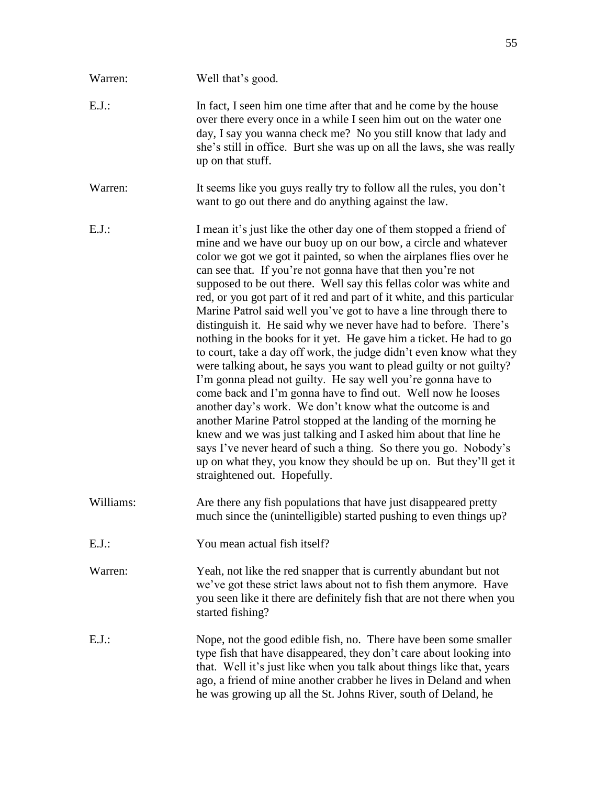| Warren:   | Well that's good.                                                                                                                                                                                                                                                                                                                                                                                                                                                                                                                                                                                                                                                                                                                                                                                                                                                                                                                                                                                                                                                                                                                                                                                                                                                                                        |
|-----------|----------------------------------------------------------------------------------------------------------------------------------------------------------------------------------------------------------------------------------------------------------------------------------------------------------------------------------------------------------------------------------------------------------------------------------------------------------------------------------------------------------------------------------------------------------------------------------------------------------------------------------------------------------------------------------------------------------------------------------------------------------------------------------------------------------------------------------------------------------------------------------------------------------------------------------------------------------------------------------------------------------------------------------------------------------------------------------------------------------------------------------------------------------------------------------------------------------------------------------------------------------------------------------------------------------|
| $E.J.$ :  | In fact, I seen him one time after that and he come by the house<br>over there every once in a while I seen him out on the water one<br>day, I say you wanna check me? No you still know that lady and<br>she's still in office. Burt she was up on all the laws, she was really<br>up on that stuff.                                                                                                                                                                                                                                                                                                                                                                                                                                                                                                                                                                                                                                                                                                                                                                                                                                                                                                                                                                                                    |
| Warren:   | It seems like you guys really try to follow all the rules, you don't<br>want to go out there and do anything against the law.                                                                                                                                                                                                                                                                                                                                                                                                                                                                                                                                                                                                                                                                                                                                                                                                                                                                                                                                                                                                                                                                                                                                                                            |
| E.J.      | I mean it's just like the other day one of them stopped a friend of<br>mine and we have our buoy up on our bow, a circle and whatever<br>color we got we got it painted, so when the airplanes flies over he<br>can see that. If you're not gonna have that then you're not<br>supposed to be out there. Well say this fellas color was white and<br>red, or you got part of it red and part of it white, and this particular<br>Marine Patrol said well you've got to have a line through there to<br>distinguish it. He said why we never have had to before. There's<br>nothing in the books for it yet. He gave him a ticket. He had to go<br>to court, take a day off work, the judge didn't even know what they<br>were talking about, he says you want to plead guilty or not guilty?<br>I'm gonna plead not guilty. He say well you're gonna have to<br>come back and I'm gonna have to find out. Well now he looses<br>another day's work. We don't know what the outcome is and<br>another Marine Patrol stopped at the landing of the morning he<br>knew and we was just talking and I asked him about that line he<br>says I've never heard of such a thing. So there you go. Nobody's<br>up on what they, you know they should be up on. But they'll get it<br>straightened out. Hopefully. |
| Williams: | Are there any fish populations that have just disappeared pretty<br>much since the (unintelligible) started pushing to even things up?                                                                                                                                                                                                                                                                                                                                                                                                                                                                                                                                                                                                                                                                                                                                                                                                                                                                                                                                                                                                                                                                                                                                                                   |
| $E.J.$ :  | You mean actual fish itself?                                                                                                                                                                                                                                                                                                                                                                                                                                                                                                                                                                                                                                                                                                                                                                                                                                                                                                                                                                                                                                                                                                                                                                                                                                                                             |
| Warren:   | Yeah, not like the red snapper that is currently abundant but not<br>we've got these strict laws about not to fish them anymore. Have<br>you seen like it there are definitely fish that are not there when you<br>started fishing?                                                                                                                                                                                                                                                                                                                                                                                                                                                                                                                                                                                                                                                                                                                                                                                                                                                                                                                                                                                                                                                                      |
| E.J.      | Nope, not the good edible fish, no. There have been some smaller<br>type fish that have disappeared, they don't care about looking into<br>that. Well it's just like when you talk about things like that, years<br>ago, a friend of mine another crabber he lives in Deland and when<br>he was growing up all the St. Johns River, south of Deland, he                                                                                                                                                                                                                                                                                                                                                                                                                                                                                                                                                                                                                                                                                                                                                                                                                                                                                                                                                  |